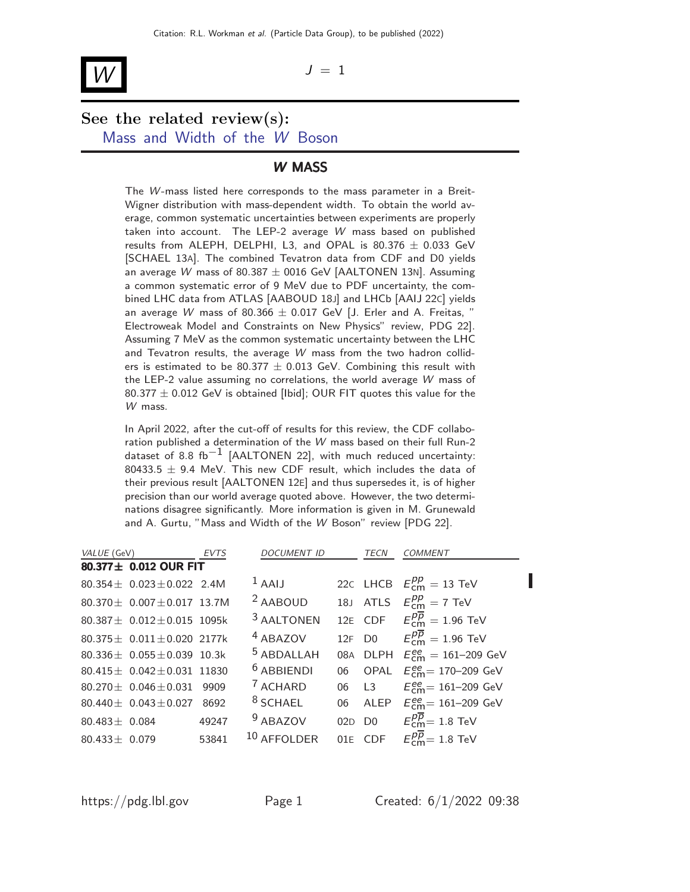# $\mathcal{W}$   $J = 1$

## See the related review(s): [Mass and Width of the](http://pdg.lbl.gov/2022/reviews/rpp2021-rev-w-mass.pdf) W Boson

### W MASS

The W-mass listed here corresponds to the mass parameter in a Breit-Wigner distribution with mass-dependent width. To obtain the world average, common systematic uncertainties between experiments are properly taken into account. The LEP-2 average W mass based on published results from ALEPH, DELPHI, L3, and OPAL is  $80.376 \pm 0.033$  GeV [SCHAEL 13A]. The combined Tevatron data from CDF and D0 yields an average W mass of 80.387  $\pm$  0016 GeV [AALTONEN 13N]. Assuming a common systematic error of 9 MeV due to PDF uncertainty, the combined LHC data from ATLAS [AABOUD 18J] and LHCb [AAIJ 22C] yields an average W mass of 80.366  $\pm$  0.017 GeV [J. Erler and A. Freitas, " Electroweak Model and Constraints on New Physics" review, PDG 22]. Assuming 7 MeV as the common systematic uncertainty between the LHC and Tevatron results, the average W mass from the two hadron colliders is estimated to be 80.377  $\pm$  0.013 GeV. Combining this result with the LEP-2 value assuming no correlations, the world average W mass of 80.377  $\pm$  0.012 GeV is obtained [Ibid]; OUR FIT quotes this value for the W mass.

In April 2022, after the cut-off of results for this review, the CDF collaboration published a determination of the W mass based on their full Run-2 dataset of 8.8 fb<sup>-1</sup> [AALTONEN 22], with much reduced uncertainty: 80433.5  $\pm$  9.4 MeV. This new CDF result, which includes the data of their previous result [AALTONEN 12E] and thus supersedes it, is of higher precision than our world average quoted above. However, the two determinations disagree significantly. More information is given in M. Grunewald and A. Gurtu, "Mass and Width of the W Boson" review [PDG 22].

| VALUE (GeV)        |                                      | <b>EVTS</b> | <b>DOCUMENT ID</b>    |       | TECN   | <b>COMMENT</b>                                            |
|--------------------|--------------------------------------|-------------|-----------------------|-------|--------|-----------------------------------------------------------|
|                    | 80.377± 0.012 OUR FIT                |             |                       |       |        |                                                           |
|                    | 80.354 $\pm$ 0.023 $\pm$ 0.022 2.4M  |             | $1$ AAIJ              |       |        | 22C LHCB $E_{cm}^{pp} = 13$ TeV                           |
|                    | 80.370 $\pm$ 0.007 $\pm$ 0.017 13.7M |             | <sup>2</sup> AABOUD   |       |        | 18J ATLS $E_{cm}^{pp} = 7$ TeV                            |
|                    | 80.387 $\pm$ 0.012 $\pm$ 0.015 1095k |             | <sup>3</sup> AALTONEN |       |        | 12E CDF $E_{cm}^{p\overline{p}}=1.96$ TeV                 |
|                    | 80.375 ± 0.011 ± 0.020 2177k         |             | <sup>4</sup> ABAZOV   |       | 12F D0 | $E_{cm}^{p\overline{p}}=1.96$ TeV                         |
|                    | 80.336 $\pm$ 0.055 $\pm$ 0.039 10.3k |             | $5$ ABDALLAH          |       |        | 08A DLPH $E_{cm}^{ee} = 161 - 209$ GeV                    |
|                    | 80.415 $\pm$ 0.042 $\pm$ 0.031 11830 |             | $6$ ABBIENDI          | 06    |        | OPAL $E_{cm}^{ee}$ = 170–209 GeV                          |
|                    | 80.270 $\pm$ 0.046 $\pm$ 0.031       | 9909        | <sup>7</sup> ACHARD   | 06 L3 |        | $E_{\text{cm}}^{\text{ee}} = 161 - 209 \text{ GeV}$       |
|                    | $80.440 \pm 0.043 \pm 0.027$         | 8692        | $8$ SCHAEL            |       |        | 06 ALEP $E_{\text{cm}}^{ee} = 161 - 209 \text{ GeV}$      |
| $80.483 \pm 0.084$ |                                      | 49247       | $9$ ABAZOV            |       |        | 02D D0 $E_{\text{cm}}^{p\overline{p}} = 1.8 \text{ TeV}$  |
| $80.433 \pm 0.079$ |                                      | 53841       | $10$ AFFOLDER         |       |        | 01E CDF $E_{\text{cm}}^{p\overline{p}} = 1.8 \text{ TeV}$ |

ι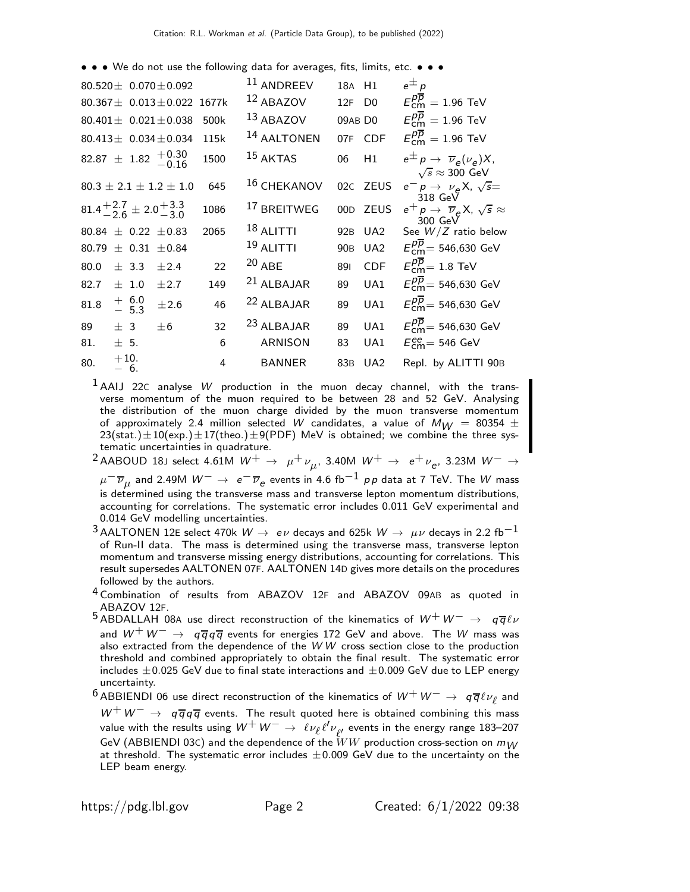• • • We do not use the following data for averages, fits, limits, etc. • • •

|      |                 |                    | 80.520 $\pm$ 0.070 $\pm$ 0.092                               |       | 11 ANDREEV             | 18A H1          |                 | $e^{\pm}p$                                                                                |
|------|-----------------|--------------------|--------------------------------------------------------------|-------|------------------------|-----------------|-----------------|-------------------------------------------------------------------------------------------|
|      |                 |                    | $80.367 \pm 0.013 \pm 0.022$                                 | 1677k | 12 ABAZOV              | 12F             | D <sub>0</sub>  | $E_{cm}^{pp} = 1.96$ TeV                                                                  |
|      |                 |                    | 80.401 $\pm$ 0.021 $\pm$ 0.038                               | 500k  | $13$ ABAZOV            | 09AB DO         |                 | $E_{cm}^{p\overline{p}}=1.96$ TeV                                                         |
|      |                 |                    | 80.413 $\pm$ 0.034 $\pm$ 0.034                               | 115k  | <sup>14</sup> AALTONEN |                 | 07F CDF         | $E_{cm}^{p\overline{p}}=1.96$ TeV                                                         |
|      |                 |                    | $82.87 \pm 1.82 \begin{array}{c} +0.30 \\ -0.16 \end{array}$ | 1500  | 15 AKTAS               | 06              | H1              | $e^{\pm} p \rightarrow \overline{\nu}_e(\nu_e) X$ ,<br>$\sqrt{s} \approx 300 \text{ GeV}$ |
|      |                 |                    | $80.3 \pm 2.1 \pm 1.2 \pm 1.0$                               | 645   | <sup>16</sup> CHEKANOV |                 | 02c ZEUS        | $e^- p \rightarrow \nu_e X$ , $\sqrt{s} =$<br>318 GeV                                     |
|      |                 |                    | $81.4^{+2.7}_{-2.6} \pm 2.0^{+3.3}_{-3.0}$                   | 1086  | <sup>17</sup> BREITWEG |                 | 00D ZEUS        | $e^+ p \rightarrow \overline{\nu}_e X$ , $\sqrt{s} \approx$<br>300 GeV                    |
|      |                 |                    | 80.84 $\pm$ 0.22 $\pm$ 0.83                                  | 2065  | $18$ ALITTI            | 92 <sub>B</sub> | UA2             | See $W/Z$ ratio below                                                                     |
|      |                 |                    | 80.79 $\pm$ 0.31 $\pm$ 0.84                                  |       | $19$ ALITTI            | 90 <sub>B</sub> | UA <sub>2</sub> | $E_{cm}^{pp}$ = 546,630 GeV                                                               |
| 80.0 |                 | $\pm$ 3.3          | ±2.4                                                         | 22    | $20$ ABE               | 891             | <b>CDF</b>      | $E_{cm}^{p\bar{p}}=1.8$ TeV                                                               |
| 82.7 |                 | $\pm$ 1.0          | ±2.7                                                         | 149   | $21$ ALBAJAR           | 89              | UA1             | $E_{cm}^{p\overline{p}} = 546,630 \text{ GeV}$                                            |
| 81.8 |                 | $+ 6.0$<br>$- 5.3$ | ±2.6                                                         | 46    | <sup>22</sup> ALBAJAR  | 89              | UA1             | $E_{cm}^{p\overline{p}} = 546,630 \text{ GeV}$                                            |
| 89   | $+3$            |                    | $+6$                                                         | 32    | 23 ALBAJAR             | 89              | UA1             | $E_{cm}^{p\overline{p}} = 546,630 \text{ GeV}$                                            |
| 81.  | $\pm$ 5.        |                    |                                                              | 6     | <b>ARNISON</b>         | 83              | UA1             | $E_{\text{cm}}^{\text{ee}}$ = 546 GeV                                                     |
| 80.  | $+10.$<br>$-6.$ |                    |                                                              | 4     | <b>BANNER</b>          | 83B             | U <sub>A2</sub> | Repl. by ALITTI 90B                                                                       |
|      |                 |                    |                                                              |       |                        |                 |                 |                                                                                           |

 $1$  AAIJ 22C analyse W production in the muon decay channel, with the transverse momentum of the muon required to be between 28 and 52 GeV. Analysing the distribution of the muon charge divided by the muon transverse momentum of approximately 2.4 million selected W candidates, a value of  $M_W$  = 80354  $\pm$  $23(stat.) \pm 10(exp.) \pm 17(theo.) \pm 9(PDF)$  MeV is obtained; we combine the three systematic uncertainties in quadrature.

 $^2$ AABOUD 18J select 4.61M  $W^+ \rightarrow \;\mu^+ \nu_{\mu}^{}$ , 3.40M  $W^+ \rightarrow \;$   $e^+ \nu_{e}^{}$ , 3.23M  $W^- \rightarrow \;$ 

 $\mu^-\overline{\nu}_\mu$  and 2.49M  $W^-\to~e^-\overline{\nu}_e$  events in 4.6 fb $^{-1}$   $\rho\, \rho$  data at 7 TeV. The  $W$  mass is determined using the transverse mass and transverse lepton momentum distributions, accounting for correlations. The systematic error includes 0.011 GeV experimental and 0.014 GeV modelling uncertainties.

3 AALTONEN 12E select 470k  $W \to e\nu$  decays and 625k  $W \to \mu\nu$  decays in 2.2 fb<sup>-1</sup> of Run-II data. The mass is determined using the transverse mass, transverse lepton momentum and transverse missing energy distributions, accounting for correlations. This result supersedes AALTONEN 07F. AALTONEN 14D gives more details on the procedures followed by the authors.

4 Combination of results from ABAZOV 12<sup>F</sup> and ABAZOV 09AB as quoted in ABAZOV 12F.

- 5 ABDALLAH 08A use direct reconstruction of the kinematics of  $W^+ W^- \rightarrow q \overline{q} \ell \nu$ and  $W^+ W^- \rightarrow q \overline{q} q \overline{q}$  events for energies 172 GeV and above. The W mass was also extracted from the dependence of the W W cross section close to the production threshold and combined appropriately to obtain the final result. The systematic error includes  $\pm$  0.025 GeV due to final state interactions and  $\pm$  0.009 GeV due to LEP energy uncertainty.
- $^6$ ABBIENDI 06 use direct reconstruction of the kinematics of  $W^+ \, W^- \rightarrow \; q \overline{q} \ell \nu_\ell$  and  $W^+W^-\rightarrow q\overline{q}q\overline{q}$  events. The result quoted here is obtained combining this mass value with the results using  $W^+ W^- \to \ell \nu_\ell \ell' \nu_{\ell'}$  events in the energy range 183–207 GeV (ABBIENDI 03C) and the dependence of the  $\tilde{W}W$  production cross-section on  $m_{10}$ at threshold. The systematic error includes  $\pm 0.009$  GeV due to the uncertainty on the LEP beam energy.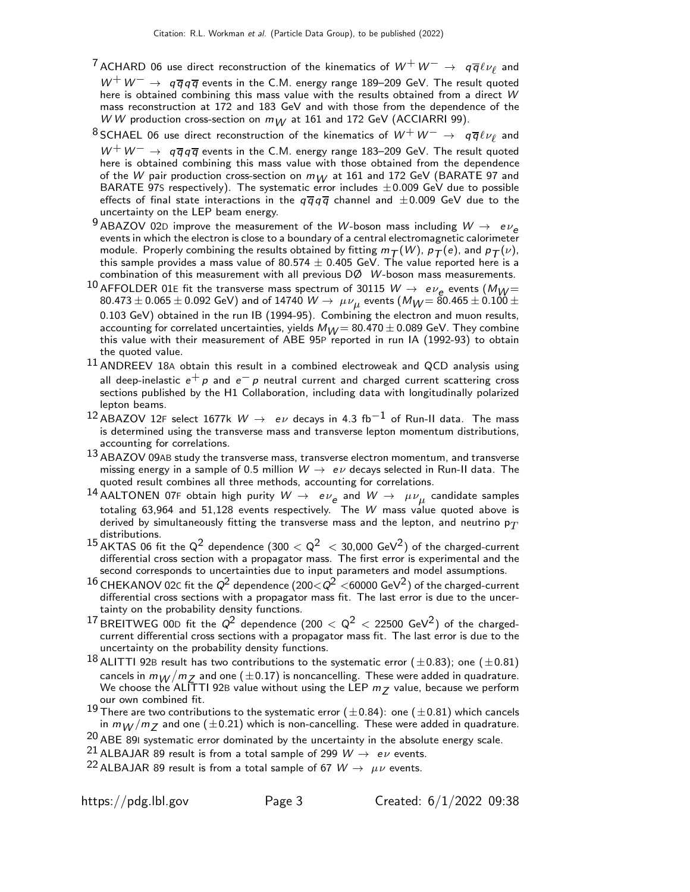- $^7$ ACHARD 06 use direct reconstruction of the kinematics of  $W^+ \, W^- \rightarrow \; q \overline{q} \ell \nu_\ell$  and  $W^+W^-\rightarrow q\overline{q}q\overline{q}$  events in the C.M. energy range 189–209 GeV. The result quoted here is obtained combining this mass value with the results obtained from a direct W mass reconstruction at 172 and 183 GeV and with those from the dependence of the W W production cross-section on  $m_{W}$  at 161 and 172 GeV (ACCIARRI 99).
- $^8$ SCHAEL 06 use direct reconstruction of the kinematics of  $W^+ \, W^- \rightarrow \,\,\, q \overline{q} \ell \nu_\ell$  and  $W^+W^-\rightarrow q\overline{q}q\overline{q}$  events in the C.M. energy range 183–209 GeV. The result quoted here is obtained combining this mass value with those obtained from the dependence of the W pair production cross-section on  $m_W$  at 161 and 172 GeV (BARATE 97 and BARATE 97S respectively). The systematic error includes  $\pm 0.009$  GeV due to possible effects of final state interactions in the  $q\overline{q}q\overline{q}$  channel and  $\pm 0.009$  GeV due to the uncertainty on the LEP beam energy.
- 9 ABAZOV 02D improve the measurement of the W-boson mass including  $W \rightarrow e \nu_e$ events in which the electron is close to a boundary of a central electromagnetic calorimeter module. Properly combining the results obtained by fitting  $m_T(W)$ ,  $p_T(e)$ , and  $p_T(v)$ , this sample provides a mass value of 80.574  $\pm$  0.405 GeV. The value reported here is a combination of this measurement with all previous DØ W-boson mass measurements.
- <sup>10</sup> AFFOLDER 01<sup>E</sup> fit the transverse mass spectrum of 30115 <sup>W</sup> <sup>→</sup> <sup>e</sup> <sup>ν</sup><sup>e</sup> events (MW =  $80.473 \pm 0.065 \pm 0.092$  GeV) and of 14740  $\,$   $W \rightarrow \,$   $\mu \nu_{\mu}$  events ( $M_{\small{W}}$   $= 80.465 \pm 0.100 \pm$ 0.103 GeV) obtained in the run IB (1994-95). Combining the electron and muon results, accounting for correlated uncertainties, yields  $M_{V} = 80.470 \pm 0.089$  GeV. They combine this value with their measurement of ABE 95P reported in run IA (1992-93) to obtain the quoted value.
- $11$  ANDREEV 18A obtain this result in a combined electroweak and QCD analysis using all deep-inelastic  $e^+\rho$  and  $e^-\rho$  neutral current and charged current scattering cross sections published by the H1 Collaboration, including data with longitudinally polarized lepton beams.
- <sup>12</sup> ABAZOV 12F select 1677k  $W \rightarrow e \nu$  decays in 4.3 fb<sup>-1</sup> of Run-II data. The mass is determined using the transverse mass and transverse lepton momentum distributions, accounting for correlations.
- 13 ABAZOV 09AB study the transverse mass, transverse electron momentum, and transverse missing energy in a sample of 0.5 million  $W \rightarrow e \nu$  decays selected in Run-II data. The quoted result combines all three methods, accounting for correlations.
- $^{14}$  AALTONEN 07F obtain high purity  $\,W\rightarrow\,$  e $\,\nu_e^{}$  and  $\,W\rightarrow\,$   $\,\mu\nu_\mu^{}$  candidate samples totaling 63,964 and 51,128 events respectively. The W mass value quoted above is derived by simultaneously fitting the transverse mass and the lepton, and neutrino  $p_T$ distributions.
- 15 AKTAS 06 fit the  $Q^2$  dependence  $(300 < Q^2 < 30,000 \text{ GeV}^2)$  of the charged-current differential cross section with a propagator mass. The first error is experimental and the second corresponds to uncertainties due to input parameters and model assumptions.
- $^{16}$  CHEKANOV 02c fit the  $Q^2$  dependence (200 $<$   $Q^2$   $<$ 60000 GeV $^2$ ) of the charged-current differential cross sections with a propagator mass fit. The last error is due to the uncertainty on the probability density functions.
- <sup>17</sup> BREITWEG 00D fit the  $Q^2$  dependence (200  $< Q^2 < 22500$  GeV<sup>2</sup>) of the chargedcurrent differential cross sections with a propagator mass fit. The last error is due to the uncertainty on the probability density functions.
- $^{18}$  ALITTI 92B result has two contributions to the systematic error ( $\pm$ 0.83); one ( $\pm$ 0.81) cancels in  $m_W/m_Z$  and one ( $\pm$ 0.17) is noncancelling. These were added in quadrature. We choose the ALITTI 92B value without using the LEP  $m_Z$  value, because we perform our own combined fit.
- 19 There are two contributions to the systematic error  $(\pm 0.84)$ : one  $(\pm 0.81)$  which cancels in  $m_W/m_Z$  and one ( $\pm$ 0.21) which is non-cancelling. These were added in quadrature.

 $20$  ABE 89I systematic error dominated by the uncertainty in the absolute energy scale.

<sup>21</sup> ALBAJAR 89 result is from a total sample of 299  $W \rightarrow e \nu$  events.

<sup>22</sup> ALBAJAR 89 result is from a total sample of 67  $W \rightarrow \mu \nu$  events.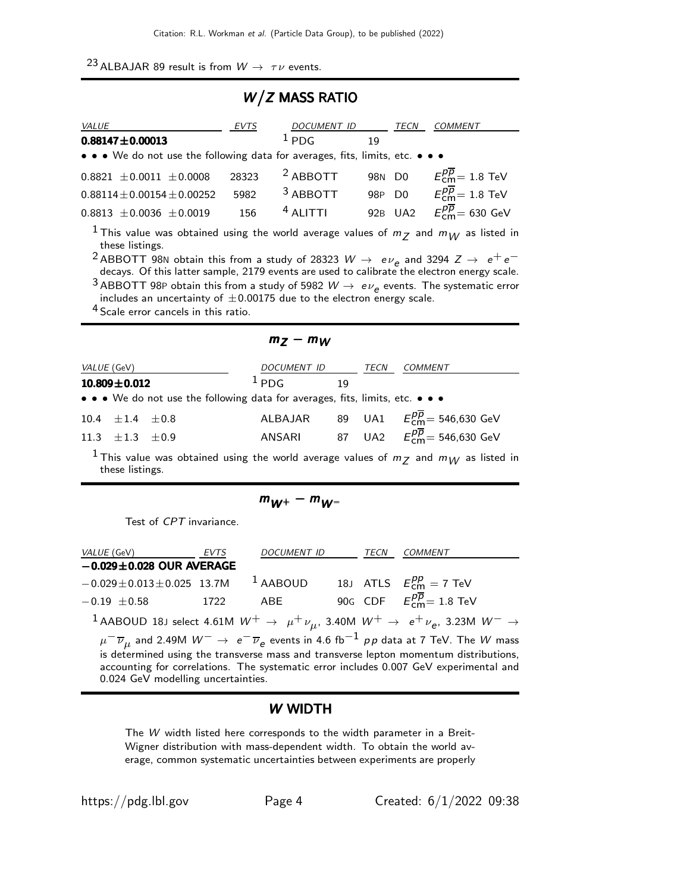# 23 ALBAJAR 89 result is from  $W \rightarrow \tau \nu$  events.

# W/Z MASS RATIO

| VALUE                                                                                                                                                                                                                                                                                                                                                                                                                                              | EVTS  | <i>DOCUMENT ID</i>  |    | <b>TECN</b> | COMMENT                                          |  |  |  |  |
|----------------------------------------------------------------------------------------------------------------------------------------------------------------------------------------------------------------------------------------------------------------------------------------------------------------------------------------------------------------------------------------------------------------------------------------------------|-------|---------------------|----|-------------|--------------------------------------------------|--|--|--|--|
| $0.88147 + 0.00013$                                                                                                                                                                                                                                                                                                                                                                                                                                |       | $1_{PDG}$           | 19 |             |                                                  |  |  |  |  |
| • • • We do not use the following data for averages, fits, limits, etc. • • •                                                                                                                                                                                                                                                                                                                                                                      |       |                     |    |             |                                                  |  |  |  |  |
| $0.8821 \pm 0.0011 \pm 0.0008$                                                                                                                                                                                                                                                                                                                                                                                                                     | 28323 | <sup>2</sup> ABBOTT |    | 98N D0      | $E_{\text{cm}}^{p\overline{p}}=1.8$ TeV          |  |  |  |  |
| $0.88114 \pm 0.00154 \pm 0.00252$                                                                                                                                                                                                                                                                                                                                                                                                                  | 5982  | $3$ ABBOTT          |    |             | 98P D0 $E_{cm}^{\overline{p}} = 1.8 \text{ TeV}$ |  |  |  |  |
| $0.8813 \pm 0.0036 \pm 0.0019$                                                                                                                                                                                                                                                                                                                                                                                                                     | 156   | $4$ ALITTI          |    |             | 92B UA2 $E_{cm}^{p\overline{p}} = 630$ GeV       |  |  |  |  |
| <sup>1</sup> This value was obtained using the world average values of $m_Z$ and $m_W$ as listed in<br>these listings.<br><sup>2</sup> ABBOTT 98N obtain this from a study of 28323 $W \rightarrow e \nu_e$ and 3294 $Z \rightarrow e^+e^-$<br>decays. Of this latter sample, 2179 events are used to calibrate the electron energy scale.<br>$^3$ ABBOTT 98P obtain this from a study of 5982 $W\rightarrow\ e\nu_e$ events. The systematic error |       |                     |    |             |                                                  |  |  |  |  |
| includes an uncertainty of $\pm 0.00175$ due to the electron energy scale.<br>$\mathcal{A}_{\mathcal{C}}$ is the set of $\mathcal{A}_{\mathcal{C}}$                                                                                                                                                                                                                                                                                                |       |                     |    |             |                                                  |  |  |  |  |

| <sup>4</sup> Scale error cancels in this ratio. |  |  |  |
|-------------------------------------------------|--|--|--|
|                                                 |  |  |  |

| <i>VALUE</i> (GeV) |                          |  |                                                                                                     | DOCUMENT ID                                                          |    |  | COMMENT                                              |  |
|--------------------|--------------------------|--|-----------------------------------------------------------------------------------------------------|----------------------------------------------------------------------|----|--|------------------------------------------------------|--|
| $10.809 \pm 0.012$ |                          |  | $1_{PDG}$                                                                                           |                                                                      | 19 |  |                                                      |  |
|                    |                          |  | • • • We do not use the following data for averages, fits, limits, etc. • • •                       |                                                                      |    |  |                                                      |  |
|                    | $10.4 \pm 1.4 \pm 0.8$   |  |                                                                                                     | ALBAJAR 89 UA1 $E_{\text{cm}}^{p\overline{p}} = 546,630 \text{ GeV}$ |    |  |                                                      |  |
|                    | 11.3 $\pm$ 1.3 $\pm$ 0.9 |  |                                                                                                     | ANSARI                                                               |    |  | 87 UA2 $E_{cm}^{\overline{p}} = 546,630 \text{ GeV}$ |  |
|                    | these listings.          |  | <sup>1</sup> This value was obtained using the world average values of $m_Z$ and $m_W$ as listed in |                                                                      |    |  |                                                      |  |

 $m_Z - m_W$ 

| $m_{W^+} - m_{W^-}$ |  |
|---------------------|--|

Test of CPT invariance.

| <i>VALUE</i> (GeV)                 | EVTS | <b>DOCUMENT ID</b>                                                | TECN | COMMENT                                                                                                                                                                                                                                                                                                                 |
|------------------------------------|------|-------------------------------------------------------------------|------|-------------------------------------------------------------------------------------------------------------------------------------------------------------------------------------------------------------------------------------------------------------------------------------------------------------------------|
| $-0.029 \pm 0.028$ OUR AVERAGE     |      |                                                                   |      |                                                                                                                                                                                                                                                                                                                         |
| $-0.029 \pm 0.013 \pm 0.025$ 13.7M |      | <sup>1</sup> AABOUD 18J ATLS $E_{\text{cm}}^{pp} = 7 \text{ TeV}$ |      |                                                                                                                                                                                                                                                                                                                         |
| $-0.19 \pm 0.58$                   | 1722 | ABE                                                               |      | 90G CDF $E_{cm}^{\overline{p}}=1.8$ TeV                                                                                                                                                                                                                                                                                 |
|                                    |      |                                                                   |      | <sup>1</sup> AABOUD 18J select 4.61M $W^+$ $\rightarrow$ $\mu^+ \nu_\mu$ , 3.40M $W^+$ $\rightarrow$ $e^+ \nu_e$ , 3.23M $W^ \rightarrow$                                                                                                                                                                               |
| 0.024 GeV modelling uncertainties. |      |                                                                   |      | $\mu^- \overline{\nu}_\mu$ and 2.49M $W^- \to e^- \overline{\nu}_e$ events in 4.6 fb <sup>-1</sup> $\rho \rho$ data at 7 TeV. The W mass is determined using the transverse mass and transverse lepton momentum distributions,<br>accounting for correlations. The systematic error includes 0.007 GeV experimental and |

### W WIDTH

The W width listed here corresponds to the width parameter in a Breit-Wigner distribution with mass-dependent width. To obtain the world average, common systematic uncertainties between experiments are properly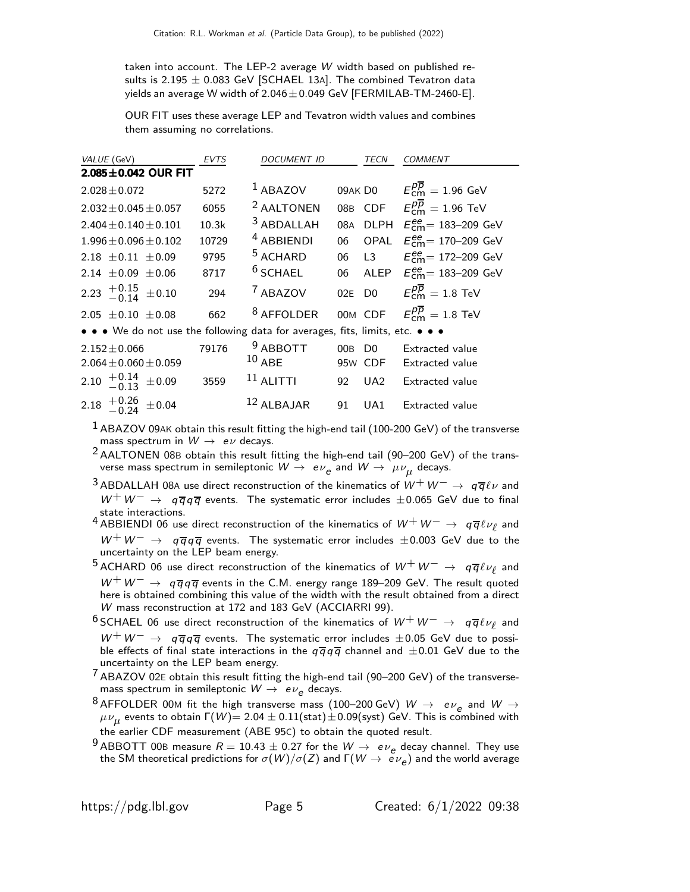taken into account. The LEP-2 average W width based on published results is 2.195  $\pm$  0.083 GeV [SCHAEL 13A]. The combined Tevatron data yields an average W width of  $2.046 \pm 0.049$  GeV [FERMILAB-TM-2460-E].

OUR FIT uses these average LEP and Tevatron width values and combines them assuming no correlations.

| VALUE (GeV)                                                                   | <b>EVTS</b> | DOCUMENT ID            |       | TECN                                  | <b>COMMENT</b>                                      |
|-------------------------------------------------------------------------------|-------------|------------------------|-------|---------------------------------------|-----------------------------------------------------|
| $2.085 \pm 0.042$ OUR FIT                                                     |             |                        |       |                                       |                                                     |
| $2.028 \pm 0.072$                                                             | 5272        | $1$ ABAZOV             |       | 09AK D0                               | $E_{\rm cm}^{p\overline{p}}=1.96$ GeV               |
| $2.032 \pm 0.045 \pm 0.057$                                                   | 6055        | <sup>2</sup> AALTONEN  |       |                                       | 08B CDF $E_{cm}^{p\overline{p}}=1.96$ TeV           |
| $2.404 \pm 0.140 \pm 0.101$                                                   | 10.3k       | $3$ ABDALLAH           | 08A   | <b>DLPH</b>                           | $E_{\text{cm}}^{ee}$ = 183–209 GeV                  |
| $1.996 \pm 0.096 \pm 0.102$                                                   | 10729       | <sup>4</sup> ABBIENDI  | 06    |                                       | OPAL $E_{cm}^{ee}$ = 170-209 GeV                    |
| $2.18 \pm 0.11 \pm 0.09$                                                      | 9795        | <sup>5</sup> ACHARD    | 06 L3 |                                       | $E_{cm}^{ee}$ = 172–209 GeV                         |
| $2.14 \pm 0.09 \pm 0.06$                                                      | 8717        | $6$ SCHAEL             | 06    | ALEP                                  | $E_{\text{cm}}^{\text{ee}} = 183 - 209 \text{ GeV}$ |
| 2.23 $^{+0.15}_{-0.14}$ ±0.10                                                 | 294         | <sup>7</sup> ABAZOV    |       | 02E D0                                | $E^{p\overline{p}}_{cm} = 1.8$ TeV                  |
| 2.05 $\pm$ 0.10 $\pm$ 0.08                                                    | 662         | <sup>8</sup> AFFOLDER  |       | 00M CDF                               | $E_{\textsf{cm}}^{p\overline{p}}=1.8\;\textsf{TeV}$ |
| • • • We do not use the following data for averages, fits, limits, etc. • • • |             |                        |       |                                       |                                                     |
| $2.152 \pm 0.066$<br>$2.064 \pm 0.060 \pm 0.059$                              | 79176       | $9$ ABBOTT<br>$10$ ABE | 00B   | D <sub>0</sub><br>95 <sub>W</sub> CDF | <b>Extracted value</b><br><b>Extracted value</b>    |
| 2.10 $^{+0.14}_{-0.13}$ ±0.09                                                 | 3559        | $11$ ALITTI            | 92    | $U$ A2                                | <b>Extracted value</b>                              |
| 2.18 $^{+0.26}_{-0.24}$ ±0.04                                                 |             | $12$ ALBAJAR           | 91    | UA1                                   | <b>Extracted value</b>                              |

 $<sup>1</sup>$  ABAZOV 09AK obtain this result fitting the high-end tail (100-200 GeV) of the transverse</sup> mass spectrum in  $W \rightarrow e \nu$  decays.

2 AALTONEN 08<sup>B</sup> obtain this result fitting the high-end tail (90–200 GeV) of the transverse mass spectrum in semileptonic  $W\rightarrow\; e \nu_{\bm e}$  and  $W\rightarrow\; \mu \nu_{\bm \mu}$  decays.

<sup>3</sup> ABDALLAH 08A use direct reconstruction of the kinematics of  $W^+W^-\rightarrow q\overline{q}\ell\nu$  and  $W^+W^-\rightarrow q\overline{q}q\overline{q}$  events. The systematic error includes  $\pm 0.065$  GeV due to final state interactions.

 $^4$ ABBIENDI 06 use direct reconstruction of the kinematics of  $W^+ \, W^- \rightarrow \; q \overline{q} \ell \nu_\ell$  and  $W^+W^-\rightarrow q\overline{q}q\overline{q}$  events. The systematic error includes  $\pm 0.003$  GeV due to the uncertainty on the LEP beam energy.

 $^5$ ACHARD 06 use direct reconstruction of the kinematics of  $W^+ \, W^- \rightarrow \, ~q\overline{q} \ell \nu_\ell$  and  $W^+W^-\rightarrow q\overline{q}q\overline{q}$  events in the C.M. energy range 189–209 GeV. The result quoted here is obtained combining this value of the width with the result obtained from a direct W mass reconstruction at 172 and 183 GeV (ACCIARRI 99).

 $^6$ SCHAEL 06 use direct reconstruction of the kinematics of  $W^+ \, W^- \rightarrow \; \; q \, \overline{q} \ell \nu_\ell$  and  $W^+W^-\rightarrow q\overline{q}q\overline{q}$  events. The systematic error includes  $\pm 0.05$  GeV due to possible effects of final state interactions in the  $q\overline{q}q\overline{q}$  channel and  $\pm 0.01$  GeV due to the uncertainty on the LEP beam energy.

 $7$  ABAZOV 02E obtain this result fitting the high-end tail (90–200 GeV) of the transversemass spectrum in semileptonic  $W\rightarrow\ e \nu_{\bm{e}}$  decays.

<sup>8</sup> AFFOLDER 00M fit the high transverse mass (100–200 GeV)  $W \rightarrow e \nu_e$  and  $W \rightarrow$  $\mu\nu_{\mu}$  events to obtain Γ(W)= 2.04  $\pm$  0.11(stat) $\pm$ 0.09(syst) GeV. This is combined with the earlier CDF measurement (ABE 95C) to obtain the quoted result.

<sup>9</sup> ABBOTT 00B measure  $R = 10.43 \pm 0.27$  for the  $W \rightarrow e \nu_e$  decay channel. They use the SM theoretical predictions for  $\sigma(W)/\sigma(Z)$  and  $\mathsf{\Gamma}(W\to~{\bar e} \nu_e)$  and the world average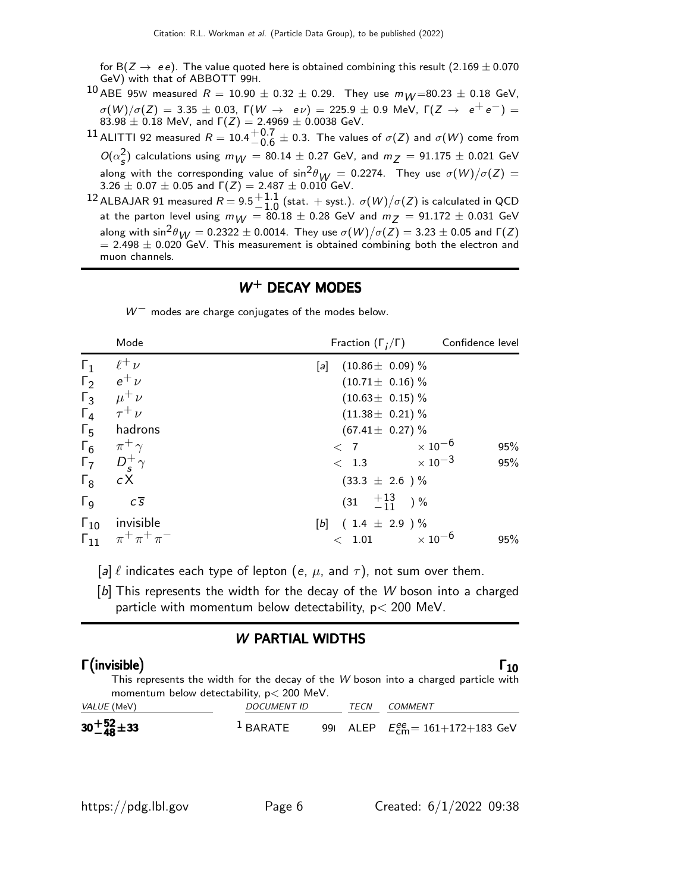for B( $Z \rightarrow ee$ ). The value quoted here is obtained combining this result (2.169  $\pm$  0.070 GeV) with that of ABBOTT 99H.

<sup>10</sup> ABE 95W measured  $R = 10.90 \pm 0.32 \pm 0.29$ . They use  $m_W = 80.23 \pm 0.18$  GeV,  $\sigma(W)/\sigma(Z) = 3.35 \pm 0.03$ ,  $\Gamma(W \to eV) = 225.9 \pm 0.9$  MeV,  $\Gamma(Z \to e^+e^-) =$ 83.98  $\pm$  0.18 MeV, and  $\Gamma(Z) = 2.4969 \pm 0.0038$  GeV.

11 ALITTI 92 measured  $R = 10.4 \frac{+0.7}{0.6}$  $+0.7$   $+0.3$ . The values of  $\sigma(Z)$  and  $\sigma(W)$  come from  $O(\alpha_s^2)$  calculations using  $m_{\mathcal{W}} = 80.14 \pm 0.27$  GeV, and  $m_{\mathcal{Z}} = 91.175 \pm 0.021$  GeV along with the corresponding value of  $\sin^2 \theta_W = 0.2274$ . They use  $\sigma(W)/\sigma(Z) =$  $3.26 \pm 0.07 \pm 0.05$  and  $\Gamma(Z) = 2.487 \pm 0.010$  GeV.

<sup>12</sup> ALBAJAR 91 measured  $R = 9.5 + 1.1$  $^{+1.1}_{-1.0}$  (stat. + syst.).  $\sigma(W)/\sigma(Z)$  is calculated in QCD<br>− 80.18 + 0.28 CoV and m − − 01.172 + 0.031 CoV at the parton level using  $m_W = 80.18 \pm 0.28$  GeV and  $m_Z = 91.172 \pm 0.031$  GeV along with  $\sin^2 \theta_{W} = 0.2322 \pm 0.0014$ . They use  $\sigma(W)/\sigma(Z) = 3.23 \pm 0.05$  and  $\Gamma(Z)$  $= 2.498 \pm 0.020$  GeV. This measurement is obtained combining both the electron and muon channels.

### $W<sup>+</sup>$  DECAY MODES

 $W^-$  modes are charge conjugates of the modes below.

|                       | Mode                              | Fraction $(\Gamma_i/\Gamma)$ | Confidence level           |
|-----------------------|-----------------------------------|------------------------------|----------------------------|
| $\Gamma_1$            | $\ell^+ \nu$                      | $(10.86 \pm 0.09)$ %<br>[a]  |                            |
| $\Gamma_2$            | $e^+$ $\nu$                       | $(10.71 \pm 0.16)$ %         |                            |
| $\Gamma_3$            | $\mu^+ \nu$                       | $(10.63 \pm 0.15)\%$         |                            |
| $\Gamma_4$            | $\tau^+ \nu$                      | $(11.38 \pm 0.21)$ %         |                            |
| $\Gamma_{5}$          | hadrons                           | $(67.41 \pm 0.27)\%$         |                            |
| $\Gamma_6$            | $\pi^+$ $\gamma$                  | < 7                          | $\times$ 10 $^{-6}$<br>95% |
| $\Gamma_7$            | $D_s^+\gamma$                     | $\times$ 10 $^{-3}$<br>< 1.3 | 95%                        |
| $\Gamma_8$            | cX                                | $(33.3 \pm 2.6) \%$          |                            |
| $\Gamma_{\mathsf{Q}}$ | $c\overline{s}$                   | $(31 \t +13 \t -11)$ %       |                            |
|                       | $\Gamma_{10}$ invisible           | $(1.4 \pm 2.9) \%$<br>[b]    |                            |
|                       | $\Gamma_{11}$ $\pi^+ \pi^+ \pi^-$ | < 1.01                       | $\times$ 10 $^{-6}$<br>95% |

[a]  $\ell$  indicates each type of lepton (e,  $\mu$ , and  $\tau$ ), not sum over them.

[b] This represents the width for the decay of the W boson into a charged particle with momentum below detectability, p< 200 MeV.

### W PARTIAL WIDTHS

#### $\Gamma$ (invisible)  $\Gamma_{10}$  $\Gamma$ (invisible)  $\Gamma_{10}$ invisible<sup>Γ</sup> <sup>Γ</sup>

This represents the width for the decay of the W boson into a charged particle with momentum below detectability, p< 200 MeV. VALUE (MeV) DOCUMENT ID TECN COMMENT  $+$ **52** ± 33  $1$  BARATE 99I ALEP  $E_{\text{cm}}^{ee}$  = 161+172+183 GeV

| $30 + 52 + 33$ |
|----------------|
|                |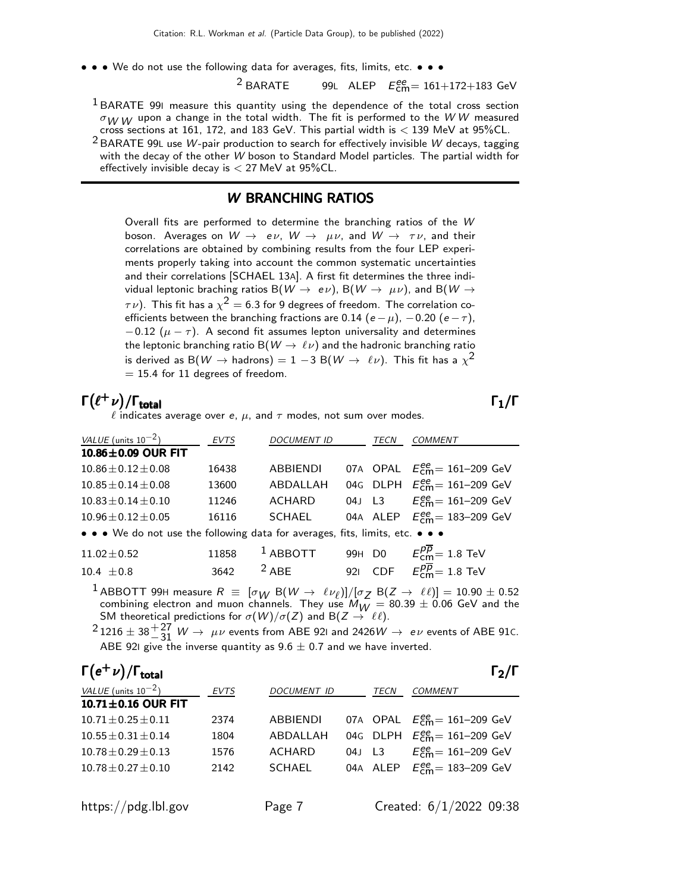• • • We do not use the following data for averages, fits, limits, etc. • • •

 $2$  BARATE 99L ALEP  $E_{\textsf{cm}}^{ee}$  = 161+172+183 GeV

<sup>1</sup> BARATE 99I measure this quantity using the dependence of the total cross section  $\sigma_{W}$  W upon a change in the total width. The fit is performed to the WW measured cross sections at 161, 172, and 183 GeV. This partial width is  $<$  139 MeV at 95%CL.

<sup>2</sup> BARATE 99L use W-pair production to search for effectively invisible W decays, tagging with the decay of the other W boson to Standard Model particles. The partial width for effectively invisible decay is  $<$  27 MeV at 95%CL.

#### W BRANCHING RATIOS

Overall fits are performed to determine the branching ratios of the W boson. Averages on  $W \to e\nu$ ,  $W \to \mu\nu$ , and  $W \to \tau\nu$ , and their correlations are obtained by combining results from the four LEP experiments properly taking into account the common systematic uncertainties and their correlations [SCHAEL 13A]. A first fit determines the three individual leptonic braching ratios B( $W \rightarrow e\nu$ ), B( $W \rightarrow \mu\nu$ ), and B( $W \rightarrow$  $\tau \nu)$ . This fit has a  $\chi^2 =$  6.3 for 9 degrees of freedom. The correlation coefficients between the branching fractions are 0.14 (e –  $\mu$ ), –0.20 (e –  $\tau$ ),  $-0.12$  ( $\mu - \tau$ ). A second fit assumes lepton universality and determines the leptonic branching ratio B( $W \rightarrow \ell \nu$ ) and the hadronic branching ratio is derived as B $(W \rightarrow$  hadrons)  $= 1-3$  B $(W \rightarrow \ \ell \nu)$ . This fit has a  $\chi^2$  $= 15.4$  for 11 degrees of freedom.

## $\Gamma(\ell^+\nu)/\Gamma_{\rm total}$   $\Gamma_1/\Gamma$  $\ell$  indicates average over e,  $\mu$ , and  $\tau$  modes, not sum over modes.

| VALUE (units $10^{-2}$ )                                                      | <b>EVTS</b> | <b>DOCUMENT ID</b> | TECN | <b>COMMENT</b>                         |
|-------------------------------------------------------------------------------|-------------|--------------------|------|----------------------------------------|
| 10.86±0.09 OUR FIT                                                            |             |                    |      |                                        |
| $10.86 \pm 0.12 \pm 0.08$                                                     | 16438       | ABBIENDI           |      | 07A OPAL $E_{cm}^{ee} = 161 - 209$ GeV |
| $10.85 \pm 0.14 \pm 0.08$                                                     | 13600       | ABDALLAH           |      | 04G DLPH $E_{cm}^{ee} = 161 - 209$ GeV |
| $10.83 \pm 0.14 \pm 0.10$                                                     | 11246       | ACHARD             |      | 04J L3 $E_{cm}^{ee} = 161-209$ GeV     |
| $10.96 \pm 0.12 \pm 0.05$                                                     | 16116       | SCHAEL             |      | 04A ALEP $E_{cm}^{ee} = 183 - 209$ GeV |
| • • • We do not use the following data for averages, fits, limits, etc. • • • |             |                    |      |                                        |

| $11.02\pm0.52$ |                 | 11858 <sup>1</sup> ABBOTT 99H D0 $E_{cm}^{pp} = 1.8$ TeV |  |                                        |
|----------------|-----------------|----------------------------------------------------------|--|----------------------------------------|
| $10.4 \pm 0.8$ | 3642 $^{2}$ ABE |                                                          |  | 921 CDF $E_{\text{cm}}^{pp}$ = 1.8 TeV |

1 ABBOTT 99H measure  $R \equiv [\sigma_W B(W \to \ell \nu_\ell)]/[\sigma_Z B(Z \to \ell \ell)] = 10.90 \pm 0.52$ combining electron and muon channels. They use  $M_W = 80.39 \pm 0.06$  GeV and the SM theoretical predictions for  $\sigma(W)/\sigma(Z)$  and B $(Z \to \ell\ell)$ .

 $^{2}$  1216  $\pm$  38 $^{+27}_{-31}$  W  $\rightarrow \mu\nu$  events from ABE 92I and 2426W  $\rightarrow e\nu$  events of ABE 91C. ABE 92I give the inverse quantity as  $9.6 \pm 0.7$  and we have inverted.

| $\Gamma(e^+\nu)/\Gamma_{\rm total}$ |             |                    |        |      |                                                       | $\Gamma_2/\Gamma$ |
|-------------------------------------|-------------|--------------------|--------|------|-------------------------------------------------------|-------------------|
| VALUE (units $10^{-2}$ )            | <b>EVTS</b> | <b>DOCUMENT ID</b> |        | TECN | <b>COMMENT</b>                                        |                   |
| 10.71 $\pm$ 0.16 OUR FIT            |             |                    |        |      |                                                       |                   |
| $10.71 + 0.25 + 0.11$               | 2374        | <b>ABBIENDI</b>    |        |      | 07A OPAL $E_{\text{cm}}^{ee} = 161 - 209 \text{ GeV}$ |                   |
| $10.55 + 0.31 + 0.14$               | 1804        | ABDALLAH           |        |      | 04G DLPH $E_{cm}^{ee} = 161 - 209$ GeV                |                   |
| $10.78 + 0.29 + 0.13$               | 1576        | <b>ACHARD</b>      | 04J L3 |      | $E_{\text{cm}}^{\text{ee}} = 161 - 209 \text{ GeV}$   |                   |
| $10.78 + 0.27 + 0.10$               | 2142        | <b>SCHAEL</b>      |        |      | 04A ALEP $E_{\text{cm}}^{ee} = 183 - 209 \text{ GeV}$ |                   |
|                                     |             |                    |        |      |                                                       |                   |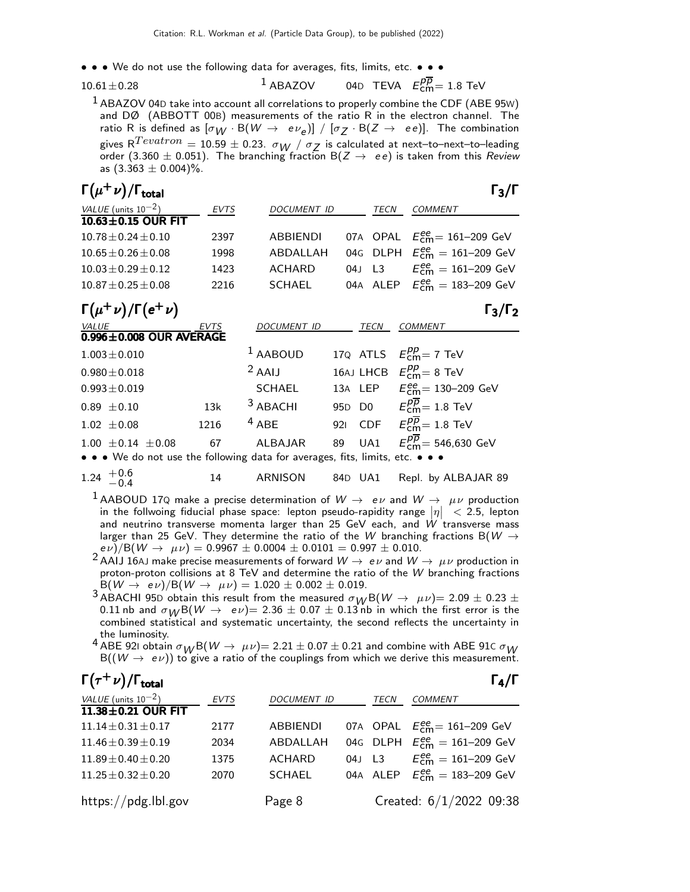• • • We do not use the following data for averages, fits, limits, etc. • • •

$$
10.61 \!\pm\! 0.28
$$

 $10.61 \pm 0.28$   $1$  ABAZOV 04D TEVA  $E_{\text{cm}}^{p\overline{p}} = 1.8$  TeV

 $<sup>1</sup>$  ABAZOV 04D take into account all correlations to properly combine the CDF (ABE 95W)</sup> and DØ (ABBOTT 00B) measurements of the ratio R in the electron channel. The ratio R is defined as  $[\sigma_W \cdot B(W \to e \nu_e)] / [\sigma_Z \cdot B(Z \to ee)]$ . The combination gives  $R^{Tevatron} = 10.59 \pm 0.23$ .  $\sigma_{W}$  /  $\sigma_{Z}$  is calculated at next-to-next-to-leading order (3.360  $\pm$  0.051). The branching fraction B(Z  $\rightarrow$  ee) is taken from this Review as  $(3.363 \pm 0.004)\%$ .

| $\Gamma(\mu^+\nu)/\Gamma_{\rm total}$ |             |                    |        | $\Gamma_3/\Gamma$                      |
|---------------------------------------|-------------|--------------------|--------|----------------------------------------|
| VALUE (units $10^{-2}$ )              | <b>EVTS</b> | <b>DOCUMENT ID</b> | TECN   | <b>COMMENT</b>                         |
| $10.63 \pm 0.15$ OUR FIT              |             |                    |        |                                        |
| $10.78 + 0.24 + 0.10$                 | 2397        | ABBIENDI           |        | 07A OPAL $E_{cm}^{ee} = 161 - 209$ GeV |
| $10.65 + 0.26 + 0.08$                 | 1998        | ABDALLAH           |        | 04G DLPH $E_{cm}^{ee} = 161-209$ GeV   |
| $10.03 + 0.29 + 0.12$                 | 1423        | ACHARD             | 04J L3 | $E_{cm}^{ee} = 161 - 209$ GeV          |
| $10.87 \pm 0.25 \pm 0.08$             | 2216        | SCHAFL             |        | 04A ALEP $E_{cm}^{ee} = 183 - 209$ GeV |
|                                       |             |                    |        |                                        |

| $\Gamma(\mu^+\nu)/\Gamma(e^+\nu)$                                      |             |               |             | $\Gamma_3/\Gamma_2$                                    |
|------------------------------------------------------------------------|-------------|---------------|-------------|--------------------------------------------------------|
| <b>VALUE</b>                                                           | <b>EVTS</b> | DOCUMENT ID   | <b>TECN</b> | <b>COMMENT</b>                                         |
| $0.996 \pm 0.008$ OUR AVERAGE                                          |             |               |             |                                                        |
| $1.003 \pm 0.010$                                                      |             | $1$ AABOUD    |             | 170 ATLS $E_{\text{cm}}^{pp} = 7 \text{ TeV}$          |
| $0.980 \pm 0.018$                                                      |             | $2$ AAIJ      |             | 16AJ LHCB $E_{\text{cm}}^{pp} = 8 \text{ TeV}$         |
| $0.993 \pm 0.019$                                                      |             | <b>SCHAEL</b> |             | 13A LEP $E_{cm}^{ee} = 130 - 209$ GeV                  |
| $0.89 \pm 0.10$                                                        | 13k         | $3$ ABACHI    |             | 95D D0 $E_{cm}^{p\overline{p}} = 1.8$ TeV              |
| $1.02 \pm 0.08$                                                        | 1216        | $4$ ABE       |             | 921 CDF $E_{\text{cm}}^{\overline{p}}=1.8 \text{ TeV}$ |
| $1.00 \pm 0.14 \pm 0.08$                                               | 67          | ALBAJAR       | 89 UA1      | $E_{cm}^{p\overline{p}}$ = 546,630 GeV                 |
| a a Mode pet use the following data fex averages fits limits ats a a a |             |               |             |                                                        |

• • We do not use the following data for averages, fits, limits, etc. • • •

$$
1.24~^{+0.6}_{-0.4}
$$

14 ARNISON 84D UA1 Repl. by ALBAJAR 89

<sup>1</sup> AABOUD 17Q make a precise determination of  $W \rightarrow e \nu$  and  $W \rightarrow \mu \nu$  production in the follwoing fiducial phase space: lepton pseudo-rapidity range  $|\eta| < 2.5$ , lepton in the follwoing fiducial phase space: lepton pseudo-rapidity range  $|\eta| < 2.5$ , lepton and neutrino transverse momenta larger than 25 GeV each, and W transverse mass larger than 25 GeV. They determine the ratio of the W branching fractions B( $W \rightarrow$  $e \nu$ )/B(W  $\rightarrow \mu \nu$ ) = 0.9967  $\pm$  0.0004  $\pm$  0.0101 = 0.997  $\pm$  0.010.

- $^2$ AAIJ 16AJ make precise measurements of forward  $W\to e\nu$  and  $W\to \mu\nu$  production in proton-proton collisions at 8 TeV and determine the ratio of the W branching fractions  $B(W \to e\nu)/B(W \to \mu\nu) = 1.020 \pm 0.002 \pm 0.019.$
- 3 ABACHI 95D obtain this result from the measured  $\sigma_W B(W \to \mu \nu) = 2.09 \pm 0.23 \pm 0.23$ 0.11 nb and  $\sigma_W B(W \to e\nu) = 2.36 \pm 0.07 \pm 0.13$  nb in which the first error is the combined statistical and systematic uncertainty, the second reflects the uncertainty in the luminosity.
- 4 ABE 921 obtain  $\sigma_{10}/B(W \to \mu \nu) = 2.21 \pm 0.07 \pm 0.21$  and combine with ABE 91C  $\sigma_{10}/W$  $B((W \to e\nu))$  to give a ratio of the couplings from which we derive this measurement.

| $\Gamma(\tau^+\nu)/\Gamma_{\rm total}$         |             |                    |          | $\Gamma_4/\Gamma$                                     |
|------------------------------------------------|-------------|--------------------|----------|-------------------------------------------------------|
| VALUE (units $10^{-2}$ )<br>11.38±0.21 OUR FIT | <b>EVTS</b> | <b>DOCUMENT ID</b> | TECN     | <b>COMMENT</b>                                        |
| $11.14 \pm 0.31 \pm 0.17$                      | 2177        | ABBIENDI           |          | 07A OPAL $E_{\text{cm}}^{ee} = 161 - 209 \text{ GeV}$ |
| $11.46 \pm 0.39 \pm 0.19$                      | 2034        | ABDALLAH           |          | 04G DLPH $E_{cm}^{ee} = 161-209$ GeV                  |
| $11.89 \pm 0.40 \pm 0.20$                      | 1375        | <b>ACHARD</b>      | 04J L3   | $E_{cm}^{ee} = 161 - 209$ GeV                         |
| $11.25 \pm 0.32 \pm 0.20$                      | 2070        | <b>SCHAEL</b>      | 04A ALEP | $E_{cm}^{ee} = 183 - 209$ GeV                         |
| https://pdg.lbl.gov                            |             | Page 8             |          | Created: 6/1/2022 09:38                               |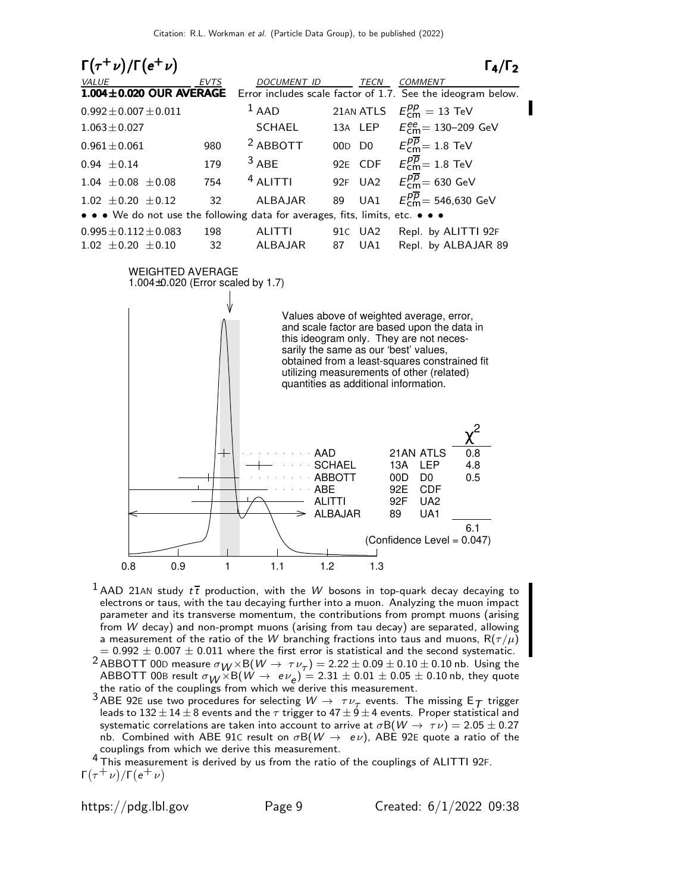

<sup>1</sup> AAD 21AN study  $t\bar{t}$  production, with the W bosons in top-quark decay decaying to electrons or taus, with the tau decaying further into a muon. Analyzing the muon impact parameter and its transverse momentum, the contributions from prompt muons (arising from W decay) and non-prompt muons (arising from tau decay) are separated, allowing a measurement of the ratio of the W branching fractions into taus and muons,  $R(\tau/\mu)$  $= 0.992 \pm 0.007 \pm 0.011$  where the first error is statistical and the second systematic.

- <sup>2</sup> ABBOTT 00D measure  $\sigma_{W} \times B(W \to \tau \nu_{\tau}) = 2.22 \pm 0.09 \pm 0.10 \pm 0.10$  nb. Using the  $\mathrm{ABBOTT}$  00B result  $\sigma_{\mathcal{W}}\times \mathrm{B}(\mathcal{W}\rightarrow e\,\nu_{\bm{e}}) = 2.31\pm0.01\pm0.05\pm0.10$  nb, they quote the ratio of the couplings from which we derive this measurement.
- <sup>3</sup> ABE 92E use two procedures for selecting  $W \to \tau \nu_{\tau}$  events. The missing  $E_{\mathcal{T}}$  trigger leads to  $132 \pm 14 \pm 8$  events and the  $\tau$  trigger to  $47 \pm 9 \pm 4$  events. Proper statistical and systematic correlations are taken into account to arrive at  $\sigma B(W \to \tau \nu) = 2.05 \pm 0.27$ nb. Combined with ABE 91C result on  $\sigma B(W \to e\nu)$ , ABE 92E quote a ratio of the couplings from which we derive this measurement.

 $4$  This measurement is derived by us from the ratio of the couplings of ALITTI 92F.  $\Gamma(\tau^+ \nu)/\Gamma(e^+ \nu)$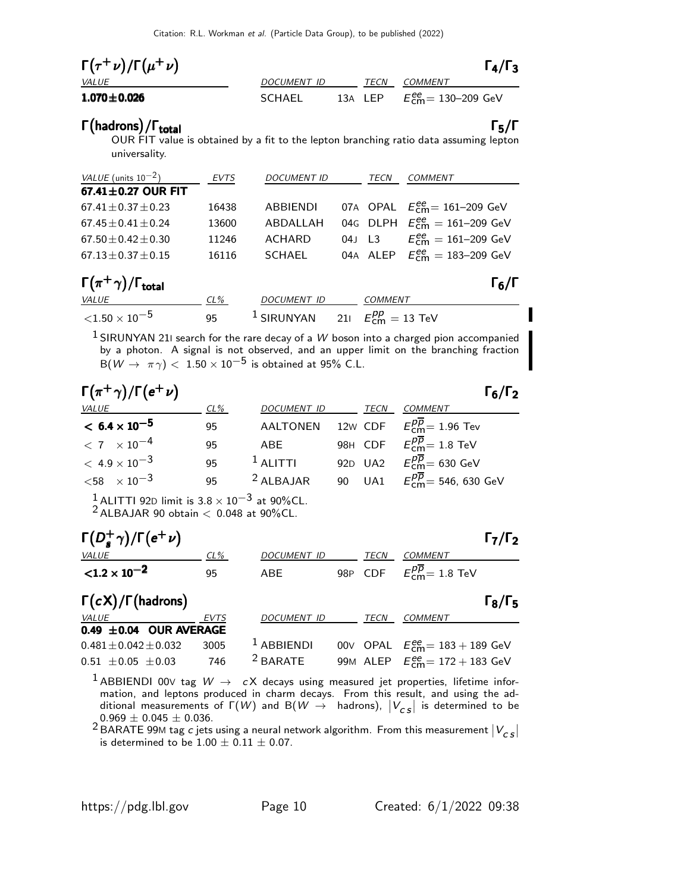| $\Gamma(\tau^+\nu)/\Gamma(\mu^+\nu)$ |             |             | $\Gamma_4/\Gamma_3$                                  |
|--------------------------------------|-------------|-------------|------------------------------------------------------|
| <i>VALUE</i>                         | DOCUMENT ID | <b>TFCN</b> | COMMENT                                              |
| $1.070 \pm 0.026$                    | SCHAEL      |             | 13A LEP $E_{\text{cm}}^{ee} = 130 - 209 \text{ GeV}$ |

# Γ (hadrons) / Γ<sub>total</sub>Γ (πρόκληση) του Γενικό Γενικό Γενικό Γενικό Γενικό Γενικό Γενικό Γενικό Γενικό Γενικό Γ

/Γ<sub>total</sub> Γ<sub>5</sub>/Γ OUR FIT value is obtained by a fit to the lepton branching ratio data assuming lepton universality.

| VALUE (units $10^{-2}$ )                 | <b>EVTS</b> | <b>DOCUMENT ID</b> | TECN                              | <b>COMMENT</b>                                             |
|------------------------------------------|-------------|--------------------|-----------------------------------|------------------------------------------------------------|
| 67.41 $\pm$ 0.27 OUR FIT                 |             |                    |                                   |                                                            |
| $67.41 \pm 0.37 \pm 0.23$                | 16438       | ABBIENDI           |                                   | 07A OPAL $E_{\text{cm}}^{\text{ee}} = 161-209 \text{ GeV}$ |
| $67.45 \pm 0.41 \pm 0.24$                | 13600       | ABDALLAH           |                                   | 04G DLPH $E_{cm}^{ee} = 161-209$ GeV                       |
| $67.50 \pm 0.42 \pm 0.30$                | 11246       | <b>ACHARD</b>      | 04J L3                            | $E_{\text{cm}}^{\text{ee}} = 161 - 209 \text{ GeV}$        |
| $67.13 \pm 0.37 \pm 0.15$                | 16116       | <b>SCHAEL</b>      |                                   | 04A ALEP $E_{cm}^{ee} = 183 - 209$ GeV                     |
| $\Gamma(\pi^+\gamma)/\Gamma_{\rm total}$ |             |                    |                                   | $\Gamma_6/\Gamma$                                          |
| VALUE                                    | CL%         | DOCUMENT ID        | <b>COMMENT</b>                    |                                                            |
| ${<}1.50\times10^{-5}$                   | 95          | $1$ SIRUNYAN       | 21 $E_{cm}^{pp} = 13 \text{ TeV}$ |                                                            |

 $1$  SIRUNYAN 21I search for the rare decay of a W boson into a charged pion accompanied by a photon. A signal is not observed, and an upper limit on the branching fraction  $\mathsf{B}(W \to \pi\gamma) <~1.50 \times 10^{-5}$  is obtained at 95% C.L.

| $\Gamma(\pi^+\gamma)/\Gamma(e^+\nu)$ |        |                    |             | $\Gamma_6/\Gamma_2$                                       |
|--------------------------------------|--------|--------------------|-------------|-----------------------------------------------------------|
| VALUE                                | $CL\%$ | <b>DOCUMENT ID</b> | <b>TECN</b> | <b>COMMENT</b>                                            |
| $< 6.4 \times 10^{-5}$               | 95     |                    |             | AALTONEN 12w CDF $E_{cm}^{\overline{p}}=1.96$ Tev         |
| $< 7 \times 10^{-4}$                 | 95     | ABE                |             | 98H CDF $E_{cm}^{\overline{p}}=1.8$ TeV                   |
| $< 4.9 \times 10^{-3}$               | 95     | $1$ ALITTI         |             | 92D UA2 $E_{\text{cm}}^{p\overline{p}} = 630 \text{ GeV}$ |
| $<$ 58 $\times$ 10 <sup>-3</sup>     | 95     | $2$ ALBAJAR        |             | 90 UA1 $E_{cm}^{p\overline{p}} = 546, 630 \text{ GeV}$    |

 $1$ ALITTI 92D limit is  $3.8 \times 10^{-3}$  at 90%CL.

 $2$  ALBAJAR 90 obtain  $<$  0.048 at 90%CL.

| $\Gamma(D_s^+\gamma)/\Gamma(e^+\nu)$ |        |                    |      | $\Gamma_7/\Gamma_2$                                   |
|--------------------------------------|--------|--------------------|------|-------------------------------------------------------|
| VALUE                                | $CL\%$ | <b>DOCUMENT ID</b> | TECN | <b>COMMENT</b>                                        |
| $< 1.2 \times 10^{-2}$               | 95     | <b>ABE</b>         |      | 98P CDF $E_{cm}^{\overline{pp}} = 1.8$ TeV            |
| $\Gamma(cX)/\Gamma$ (hadrons)        |        |                    |      | $\Gamma_8/\Gamma_5$                                   |
| <i>VALUE</i>                         | EVTS   | <b>DOCUMENT ID</b> | TECN | <b>COMMENT</b>                                        |
| 0.49 $\pm$ 0.04 OUR AVERAGE          |        |                    |      |                                                       |
| $0.481 \pm 0.042 \pm 0.032$          | 3005   | $1$ ABBIENDI       |      | 00V OPAL $E_{\text{cm}}^{ee} = 183 + 189 \text{ GeV}$ |
| $0.51 \pm 0.05 \pm 0.03$             | 746    | $2$ BARATE         |      | 99M ALEP $E_{cm}^{ee} = 172 + 183$ GeV                |

 $^1$  ABBIENDI 00V tag  $W \rightarrow cX$  decays using measured jet properties, lifetime information, and leptons produced in charm decays. From this result, and using the additional measurements of  $\Gamma(W)$  and  $B(W \rightarrow$  hadrons),  $|V_{CS}|$  is determined to be  $0.969 \pm 0.045 \pm 0.036$ .

 $2\frac{20000 \pm 0.006 \pm 0.0006}{\text{BARATE 99M tag c jets using a neural network algorithm. From this measurement } |V_{cs}|$ is determined to be  $1.00 \pm 0.11 \pm 0.07$ .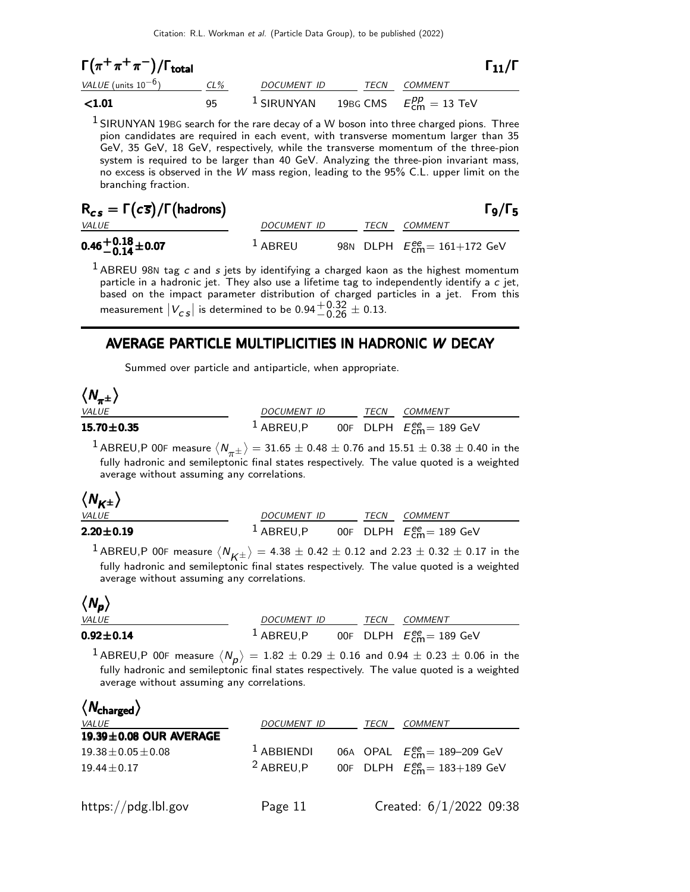$$
\Gamma(\pi^{+}\pi^{+}\pi^{-})/\Gamma_{\text{total}}
$$
\n
$$
\frac{\text{VALU E (units 10-6)}}{4.01}
$$
\n
$$
\frac{\text{CL\%}}{95}
$$
\n
$$
\frac{\text{DOCUMENT ID}}{1 \text{SIRUNYAN}}
$$
\n
$$
\frac{\text{TECN}}{19 \text{BG CMS}}
$$
\n
$$
\frac{\text{COMMENT}}{\text{Em}} = 13 \text{ TeV}
$$

 $1$  SIRUNYAN 19BG search for the rare decay of a W boson into three charged pions. Three pion candidates are required in each event, with transverse momentum larger than 35 GeV, 35 GeV, 18 GeV, respectively, while the transverse momentum of the three-pion system is required to be larger than 40 GeV. Analyzing the three-pion invariant mass, no excess is observed in the W mass region, leading to the 95% C.L. upper limit on the branching fraction.

| $R_{cs} = \Gamma(c\overline{s})/\Gamma(hadrons)$ |             |      |                                        | $\Gamma$ 9/Г $_5$ |
|--------------------------------------------------|-------------|------|----------------------------------------|-------------------|
| <i>VALUE</i>                                     | DOCUMENT ID | TECN | <i>COMMENT</i>                         |                   |
| $0.46 + 0.18 + 0.07$                             | $1$ ABREU   |      | 98N DLPH $E_{cm}^{ee} = 161 + 172$ GeV |                   |

 $1$  ABREU 98N tag c and s jets by identifying a charged kaon as the highest momentum particle in a hadronic jet. They also use a lifetime tag to independently identify a  $c$  jet, based on the impact parameter distribution of charged particles in a jet. From this measurement  $|V_{CS}|$  is determined to be  $0.94^{+0.32}_{-0.26} \pm 0.13$ .

### AVERAGE PARTICLE MULTIPLICITIES IN HADRONIC W DECAY

Summed over particle and antiparticle, when appropriate.

| $\langle N_{\pi^{\pm}}\rangle$ |              |             |                                                |
|--------------------------------|--------------|-------------|------------------------------------------------|
| <i>VALUE</i>                   | DOCUMENT ID  | <b>TFCN</b> | COMMENT                                        |
| $15.70 \pm 0.35$               | $1$ ABREU, P |             | 00F DLPH $E_{\text{cm}}^{\text{ee}}$ = 189 GeV |

<sup>1</sup> ABREU,P 00F measure  $\langle N_{\pi^{\pm}} \rangle = 31.65 \pm 0.48 \pm 0.76$  and  $15.51 \pm 0.38 \pm 0.40$  in the fully hadronic and semileptonic final states respectively. The value quoted is a weighted average without assuming any correlations.

| $\langle N_{K^{\pm}} \rangle$ |              |      |                                          |
|-------------------------------|--------------|------|------------------------------------------|
| <i>VALUE</i>                  | DOCUMENT ID  | TECN | COMMENT                                  |
| $2.20 \pm 0.19$               | $1$ ABREU, P |      | 00F DLPH $E_{\rm cm}^{\rm ee}$ = 189 GeV |

<sup>1</sup> ABREU,P 00F measure  $\langle N_{K\pm} \rangle = 4.38 \pm 0.42 \pm 0.12$  and 2.23  $\pm$  0.32  $\pm$  0.17 in the fully hadronic and semileptonic final states respectively. The value quoted is a weighted average without assuming any correlations.

# $\langle N_p \rangle$

| <i>VALUE</i>    | <i>DOCUMENT ID</i> |  | TECN COMMENT                                   |
|-----------------|--------------------|--|------------------------------------------------|
| $0.92 \pm 0.14$ | $1$ ABREU.P        |  | 00F DLPH $E_{\text{cm}}^{\text{ee}}$ = 189 GeV |

 $^{\displaystyle 1}$  ABREU,P 00F measure  $\langle N_{\bm p}^{} \rangle = 1.82 \pm 0.29 \pm 0.16$  and  $0.94 \pm 0.23 \pm 0.06$  in the fully hadronic and semileptonic final states respectively. The value quoted is a weighted average without assuming any correlations.

| $\langle N_{\rm charged} \rangle$ |                      |      |                                        |
|-----------------------------------|----------------------|------|----------------------------------------|
| <i>VALUE</i>                      | <b>DOCUMENT ID</b>   | TECN | <b>COMMENT</b>                         |
| $19.39 \pm 0.08$ OUR AVERAGE      |                      |      |                                        |
| $19.38 \pm 0.05 \pm 0.08$         | $1$ ABBIENDI         |      | 06A OPAL $E_{cm}^{ee}$ = 189-209 GeV   |
| $19.44 \pm 0.17$                  | <sup>2</sup> ABREU.P |      | 00F DLPH $E_{cm}^{ee} = 183 + 189$ GeV |
|                                   |                      |      |                                        |
| .                                 |                      |      | - - - - - - - - - - -                  |

https://pdg.lbl.gov Page 11 Created: 6/1/2022 09:38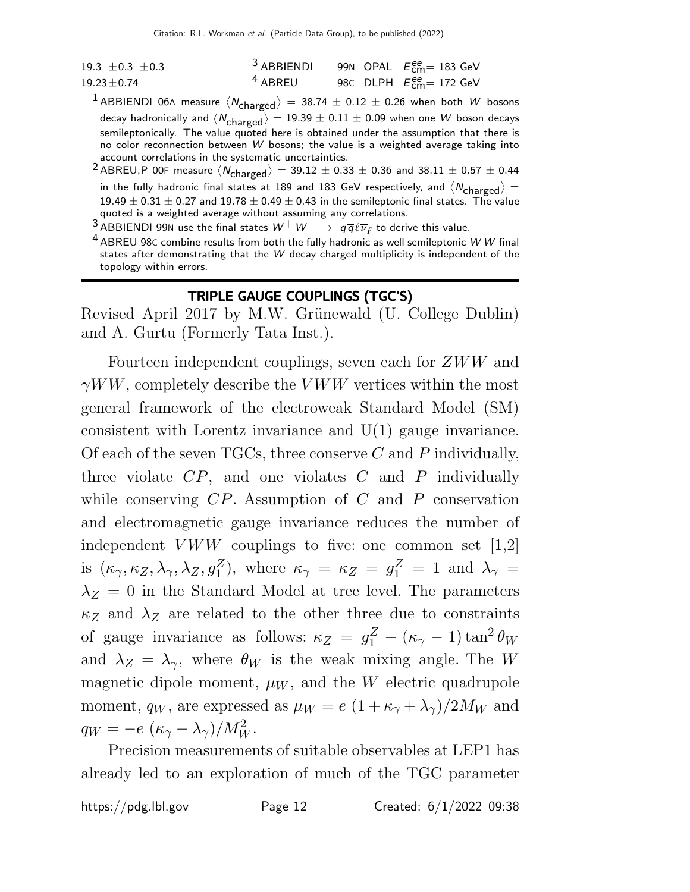| 19.3 $\pm$ 0.3 $\pm$ 0.3 | <sup>3</sup> ABBIENDI 99N OPAL $E_{cm}^{ee}$ = 183 GeV |  |                                                        |
|--------------------------|--------------------------------------------------------|--|--------------------------------------------------------|
| $19.23 \pm 0.74$         | <sup>4</sup> ABREU                                     |  | 98C DLPH $E_{\text{cm}}^{\text{ee}} = 172 \text{ GeV}$ |

- $^{\text{1}}$  ABBIENDI 06A measure  $\langle N_{\text{charged}}\rangle$   $=$   $\,38.74\,\pm\,0.12\,\pm\,0.26$  when both  $\,W\,$  bosons decay hadronically and  $\langle N_{\rm charged} \rangle = 19.39 \pm 0.11 \pm 0.09$  when one  $W$  boson decays semileptonically. The value quoted here is obtained under the assumption that there is no color reconnection between  $W$  bosons; the value is a weighted average taking into account correlations in the systematic uncertainties.
- <sup>2</sup> ABREU,P 00F measure  $\langle N_{\text{charged}} \rangle = 39.12 \pm 0.33 \pm 0.36$  and  $38.11 \pm 0.57 \pm 0.44$ in the fully hadronic final states at 189 and 183 GeV respectively, and  $\langle N_{\rm charged} \rangle =$  $19.49 \pm 0.31 \pm 0.27$  and  $19.78 \pm 0.49 \pm 0.43$  in the semileptonic final states. The value quoted is a weighted average without assuming any correlations.
- $\frac{3}{4}$ ABBIENDI 99N use the final states  $W^+W^-\rightarrow q\overline{q}\ell\overline{\nu}_\ell$  to derive this value.
- $4$  ABREU 98C combine results from both the fully hadronic as well semileptonic W W final states after demonstrating that the W decay charged multiplicity is independent of the topology within errors.

### TRIPLE GAUGE COUPLINGS (TGC'S)

Revised April 2017 by M.W. Grünewald (U. College Dublin) and A. Gurtu (Formerly Tata Inst.).

Fourteen independent couplings, seven each for ZWW and  $\gamma WW$ , completely describe the VWW vertices within the most general framework of the electroweak Standard Model (SM) consistent with Lorentz invariance and U(1) gauge invariance. Of each of the seven TGCs, three conserve  $C$  and  $P$  individually, three violate  $CP$ , and one violates  $C$  and  $P$  individually while conserving  $CP$ . Assumption of  $C$  and  $P$  conservation and electromagnetic gauge invariance reduces the number of independent VWW couplings to five: one common set  $[1,2]$ is  $(\kappa_\gamma,\kappa_Z,\lambda_\gamma,\lambda_Z,g_1^Z)$ , where  $\kappa_\gamma\,=\,\kappa_Z\,=\,g_1^Z\,=\,1\,$  and  $\,\lambda_\gamma\,=\,$  $\lambda_Z = 0$  in the Standard Model at tree level. The parameters  $\kappa_Z$  and  $\lambda_Z$  are related to the other three due to constraints of gauge invariance as follows:  $\kappa_Z = g_1^Z - (\kappa_\gamma - 1) \tan^2 \theta_W$ and  $\lambda_Z = \lambda_\gamma$ , where  $\theta_W$  is the weak mixing angle. The W magnetic dipole moment,  $\mu_W$ , and the W electric quadrupole moment,  $q_W$ , are expressed as  $\mu_W = e (1 + \kappa_{\gamma} + \lambda_{\gamma})/2M_W$  and  $q_W = -e \left(\kappa_\gamma - \lambda_\gamma\right)/M_W^2.$ 

Precision measurements of suitable observables at LEP1 has already led to an exploration of much of the TGC parameter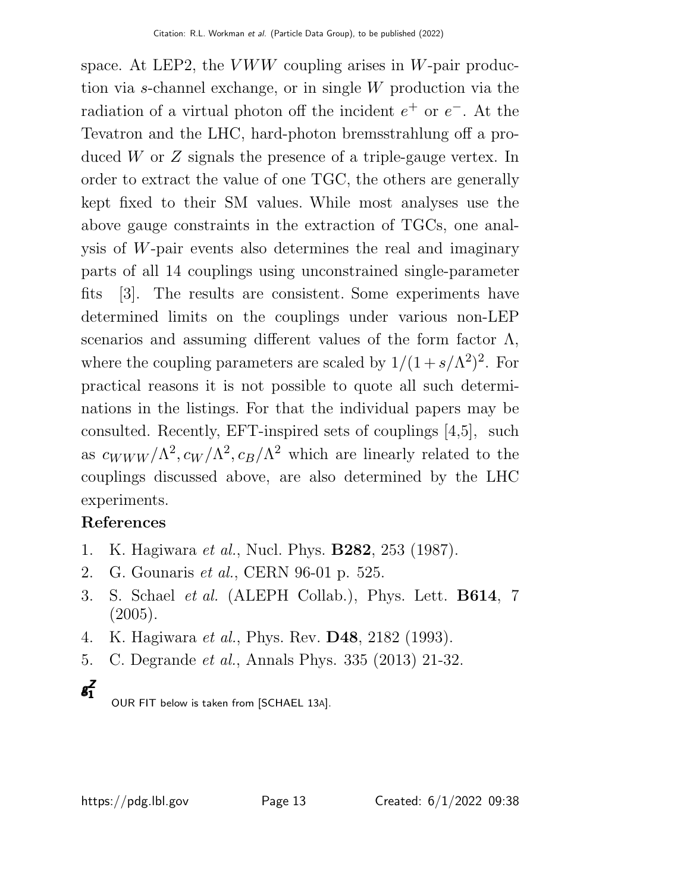space. At LEP2, the  $VWW$  coupling arises in W-pair production via s-channel exchange, or in single W production via the radiation of a virtual photon off the incident  $e^+$  or  $e^-$ . At the Tevatron and the LHC, hard-photon bremsstrahlung off a produced W or Z signals the presence of a triple-gauge vertex. In order to extract the value of one TGC, the others are generally kept fixed to their SM values. While most analyses use the above gauge constraints in the extraction of TGCs, one analysis of W-pair events also determines the real and imaginary parts of all 14 couplings using unconstrained single-parameter fits [3]. The results are consistent. Some experiments have determined limits on the couplings under various non-LEP scenarios and assuming different values of the form factor  $\Lambda$ , where the coupling parameters are scaled by  $1/(1 + s/\Lambda^2)^2$ . For practical reasons it is not possible to quote all such determinations in the listings. For that the individual papers may be consulted. Recently, EFT-inspired sets of couplings [4,5], such as  $c_{WWW}/\Lambda^2$ ,  $c_W/\Lambda^2$ ,  $c_B/\Lambda^2$  which are linearly related to the couplings discussed above, are also determined by the LHC experiments.

# References

- 1. K. Hagiwara et al., Nucl. Phys. B282, 253 (1987).
- 2. G. Gounaris et al., CERN 96-01 p. 525.
- 3. S. Schael et al. (ALEPH Collab.), Phys. Lett. B614, 7 (2005).
- 4. K. Hagiwara *et al.*, Phys. Rev. **D48**, 2182 (1993).
- 5. C. Degrande et al., Annals Phys. 335 (2013) 21-32.



OUR FIT below is taken from [SCHAEL 13A].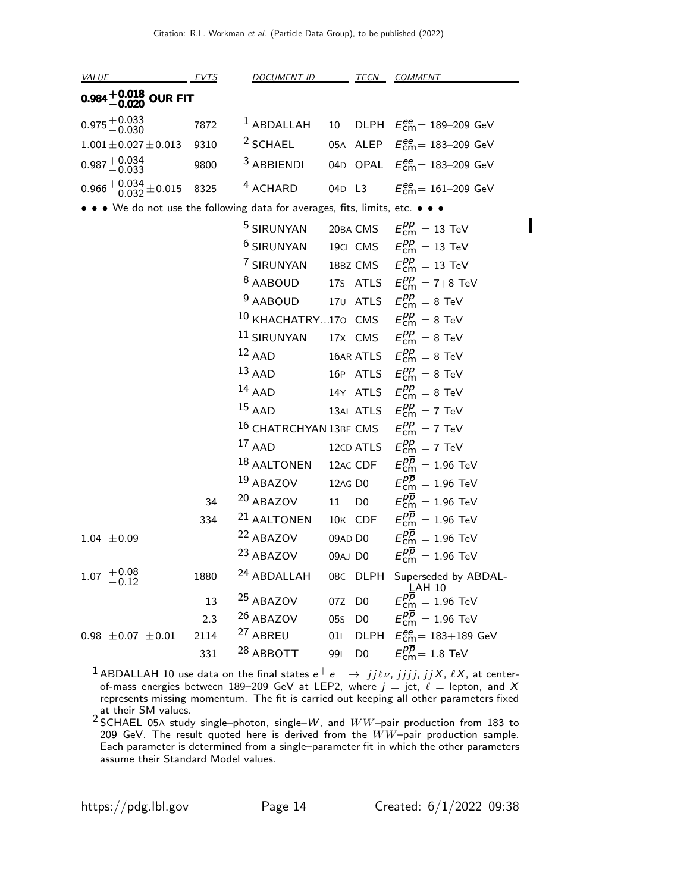| <u>VALUE EVTS</u>                                                             |      | DOCUMENT ID TECN COMMENT                                                          |        |                |                                                                  |
|-------------------------------------------------------------------------------|------|-----------------------------------------------------------------------------------|--------|----------------|------------------------------------------------------------------|
| 0.984 $+$ 0.018 OUR FIT                                                       |      |                                                                                   |        |                |                                                                  |
| $0.975 + 0.033$                                                               | 7872 |                                                                                   |        |                | <sup>1</sup> ABDALLAH 10 DLPH $E_{\text{cm}}^{ee}$ = 189-209 GeV |
| $1.001 \pm 0.027 \pm 0.013$                                                   | 9310 | $2$ SCHAEL                                                                        |        |                | 05A ALEP $E_{\text{cm}}^{ee} = 183 - 209 \text{ GeV}$            |
| $0.987 + 0.034$<br>$-0.033$                                                   | 9800 | <sup>3</sup> ABBIENDI                                                             |        |                | 04D OPAL $E_{\text{cm}}^{ee}$ = 183–209 GeV                      |
| $0.966 + 0.034 + 0.015$                                                       | 8325 | <sup>4</sup> ACHARD                                                               |        |                | 04D L3 $E_{\text{cm}}^{ee} = 161-209 \text{ GeV}$                |
| • • • We do not use the following data for averages, fits, limits, etc. • • • |      |                                                                                   |        |                |                                                                  |
|                                                                               |      | <sup>5</sup> SIRUNYAN                                                             |        |                | 20BA CMS $E_{cm}^{pp} = 13$ TeV                                  |
|                                                                               |      | <sup>6</sup> SIRUNYAN                                                             |        |                | 19CL CMS $E_{cm}^{pp} = 13$ TeV                                  |
|                                                                               |      | <sup>7</sup> SIRUNYAN 18BZ CMS $E_{\text{cm}}^{pp} = 13$ TeV                      |        |                |                                                                  |
|                                                                               |      |                                                                                   |        |                | <sup>8</sup> AABOUD 17S ATLS $E_{\text{cm}}^{pp} = 7+8$ TeV      |
|                                                                               |      | <sup>9</sup> AABOUD 170 ATLS $E_{cm}^{pp} = 8$ TeV                                |        |                |                                                                  |
|                                                                               |      | <sup>10</sup> KHACHATRY170 CMS $E_{\text{cm}}^{pp} = 8$ TeV                       |        |                |                                                                  |
|                                                                               |      | $^{11}$ SIRUNYAN                                                                  |        |                | 17X CMS $E_{cm}^{pp} = 8$ TeV                                    |
|                                                                               |      | $12$ AAD                                                                          |        |                | 16AR ATLS $E_{cm}^{pp} = 8$ TeV                                  |
|                                                                               |      | $13$ AAD                                                                          |        |                | 16P ATLS $E_{cm}^{pp} = 8$ TeV                                   |
|                                                                               |      | $14$ AAD                                                                          |        |                | 14Y ATLS $E_{\text{cm}}^{pp} = 8 \text{ TeV}$                    |
|                                                                               |      | $15$ AAD                                                                          |        |                | 13AL ATLS $E_{cm}^{pp} = 7$ TeV                                  |
|                                                                               |      | <sup>16</sup> CHATRCHYAN 13BF CMS $E_{\text{cm}}^{pp} = 7$ TeV                    |        |                |                                                                  |
|                                                                               |      | $17$ AAD                                                                          |        |                | 12CD ATLS $E_{cm}^{pp} = 7$ TeV                                  |
|                                                                               |      | <sup>18</sup> AALTONEN 12AC CDF $E_{\text{cm}}^{p\overline{p}} = 1.96$ TeV        |        |                |                                                                  |
|                                                                               |      | $^{19}$ ABAZOV                                                                    |        |                | 12AG D0 $E_{\text{cm}}^{pp} = 1.96 \text{ TeV}$                  |
|                                                                               | 34   | <sup>20</sup> ABAZOV 11 D0 $E_{cm}^{pp} = 1.96$ TeV                               |        |                |                                                                  |
|                                                                               | 334  | <sup>21</sup> AALTONEN 10K CDF $E_{\text{cm}}^{p\overline{p}} = 1.96 \text{ TeV}$ |        |                |                                                                  |
| $1.04 \pm 0.09$                                                               |      | <sup>22</sup> ABAZOV                                                              |        |                | 09AD D0 $E_{\text{cm}}^{pp} = 1.96 \text{ TeV}$                  |
|                                                                               |      | 23 ABAZOV                                                                         |        |                | 09AJ D0 $E_{\text{cm}}^{pp} = 1.96 \text{ TeV}$                  |
| $1.07$ $\begin{array}{c} +0.08 \\ -0.12 \end{array}$                          | 1880 | 24 ABDALLAH                                                                       |        | 08C DLPH       | Superseded by ABDAL-<br>LAH 10                                   |
|                                                                               | 13   | <sup>25</sup> ABAZOV                                                              | 07Z D0 |                | $E_{\text{cm}}^{pp} = 1.96 \text{ TeV}$                          |
|                                                                               | 2.3  | 26 ABAZOV                                                                         | 055    | D <sub>0</sub> | $E_{\text{cm}}^{pp} = 1.96 \text{ TeV}$                          |
| $0.98 \pm 0.07 \pm 0.01$                                                      | 2114 | <sup>27</sup> ABREU                                                               | 011    | <b>DLPH</b>    | $E_{\text{cm}}^{\text{ee}} = 183 + 189 \text{ GeV}$              |
|                                                                               | 331  | <sup>28</sup> ABBOTT                                                              | 991    | D <sub>0</sub> | $E_{\text{cm}}^{pp}$ = 1.8 TeV                                   |

<sup>1</sup> ABDALLAH 10 use data on the final states  $e^+e^- \rightarrow jj\ell\nu, jjjj, jjX, \ell X$ , at centerof-mass energies between 189–209 GeV at LEP2, where  $j = jet$ ,  $l =$  lepton, and X represents missing momentum. The fit is carried out keeping all other parameters fixed

at their SM values.<br><sup>2</sup> SCHAEL 05A study single–photon, single–*W*, and  $WW$ –pair production from 183 to 209 GeV. The result quoted here is derived from the  $WW$ -pair production sample. Each parameter is determined from a single–parameter fit in which the other parameters assume their Standard Model values.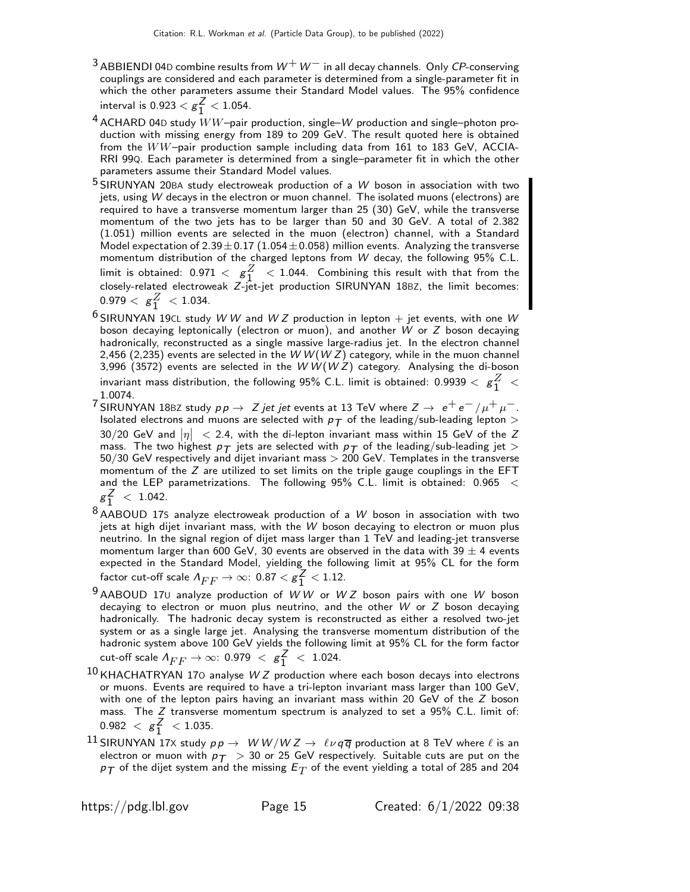- <sup>3</sup> ABBIENDI 04D combine results from  $W^+W^-$  in all decay channels. Only CP-conserving couplings are considered and each parameter is determined from a single-parameter fit in which the other parameters assume their Standard Model values. The 95% confidence interval is 0.923  $<$   $g_1^{\mathsf{Z}}$  $\frac{2}{1}$  < 1.054.
- $4$  ACHARD 04D study  $WW$ -pair production, single– $W$  production and single–photon production with missing energy from 189 to 209 GeV. The result quoted here is obtained from the WW–pair production sample including data from 161 to 183 GeV, ACCIA-RRI 99Q. Each parameter is determined from a single–parameter fit in which the other parameters assume their Standard Model values.
- $5$  SIRUNYAN 20BA study electroweak production of a  $\frac{W}{2}$  boson in association with two jets, using W decays in the electron or muon channel. The isolated muons (electrons) are required to have a transverse momentum larger than 25 (30) GeV, while the transverse momentum of the two jets has to be larger than 50 and 30 GeV. A total of 2.382 (1.051) million events are selected in the muon (electron) channel, with a Standard Model expectation of 2.39  $\pm$  0.17 (1.054  $\pm$  0.058) million events. Analyzing the transverse momentum distribution of the charged leptons from W decay, the following 95% C.L. limit is obtained:  $0.971 < g_1^Z < 1.044$ . Combining this result with that from the closely-related electroweak Z-jet-jet production SIRUNYAN 18BZ, the limit becomes:  $0.979 < g_1^Z < 1.034$ .
- $6$  SIRUNYAN 19CL study W W and W Z production in lepton  $+$  jet events, with one W boson decaying leptonically (electron or muon), and another W or Z boson decaying hadronically, reconstructed as a single massive large-radius jet. In the electron channel 2,456 (2,235) events are selected in the W W (W Z) category, while in the muon channel 3,996 (3572) events are selected in the  $W W (W Z)$  category. Analysing the di-boson invariant mass distribution, the following 95% C.L. limit is obtained:  $0.9939 <{\rm g}^Z_1 < 1.0871$ 1.0074.
- 7 SIRUNYAN 18BZ study  $p p \to Z$  jet jet events at 13 TeV where  $Z \to e^+ e^- / \mu^+ \mu^-$ . Isolated electrons and muons are selected with  $p_T$  of the leading/sub-leading lepton  $>$ 30/20 GeV and  $|\eta| \ <$  2.4, with the di-lepton invariant mass within 15 GeV of the Z mass. The two highest  $p_T$  jets are selected with  $p_T$  of the leading/sub-leading jet  $>$  $50/30$  GeV respectively and dijet invariant mass  $> 200$  GeV. Templates in the transverse momentum of the Z are utilized to set limits on the triple gauge couplings in the EFT and the LEP parametrizations. The following 95% C.L. limit is obtained: 0.965 <  $g_1^Z$  $\frac{2}{1}$  < 1.042.
- $8$  AABOUD 17S analyze electroweak production of a W boson in association with two jets at high dijet invariant mass, with the  $W$  boson decaying to electron or muon plus neutrino. In the signal region of dijet mass larger than 1 TeV and leading-jet transverse momentum larger than 600 GeV, 30 events are observed in the data with 39  $\pm$  4 events expected in the Standard Model, yielding the following limit at 95% CL for the form factor cut-off scale  $\varLambda_{FF}\to\infty$ :  $0.87<{\rm g}^{\textstyle \overline{\textstyle \mathcal{Z}}}_{1}$  $\frac{2}{1}$  < 1.12.
- $9$  AABOUD 170 analyze production of WW or WZ boson pairs with one W boson decaying to electron or muon plus neutrino, and the other  $W$  or  $Z$  boson decaying hadronically. The hadronic decay system is reconstructed as either a resolved two-jet system or as a single large jet. Analysing the transverse momentum distribution of the hadronic system above 100 GeV yields the following limit at 95% CL for the form factor cut-off scale  $\varLambda_{FF}\rightarrow\infty$ : 0.979  $\ < \ g^{Z}_{1}$  $\frac{2}{1}$  < 1.024.
- $10$  KHACHATRYAN 170 analyse W Z production where each boson decays into electrons or muons. Events are required to have a tri-lepton invariant mass larger than 100 GeV, with one of the lepton pairs having an invariant mass within 20 GeV of the Z boson mass. The Z transverse momentum spectrum is analyzed to set a 95% C.L. limit of:  $0.982 < g_1^Z$  $\frac{2}{1}$  < 1.035.
- $^{11}$  SIRUNYAN 17x study  $pp \rightarrow W W/W Z \rightarrow \ell \nu q \overline{q}$  production at 8 TeV where  $\ell$  is an electron or muon with  $p_T > 30$  or 25 GeV respectively. Suitable cuts are put on the  $\rho_{\mathcal{T}}$  of the dijet system and the missing  $E_T$  of the event yielding a total of 285 and 204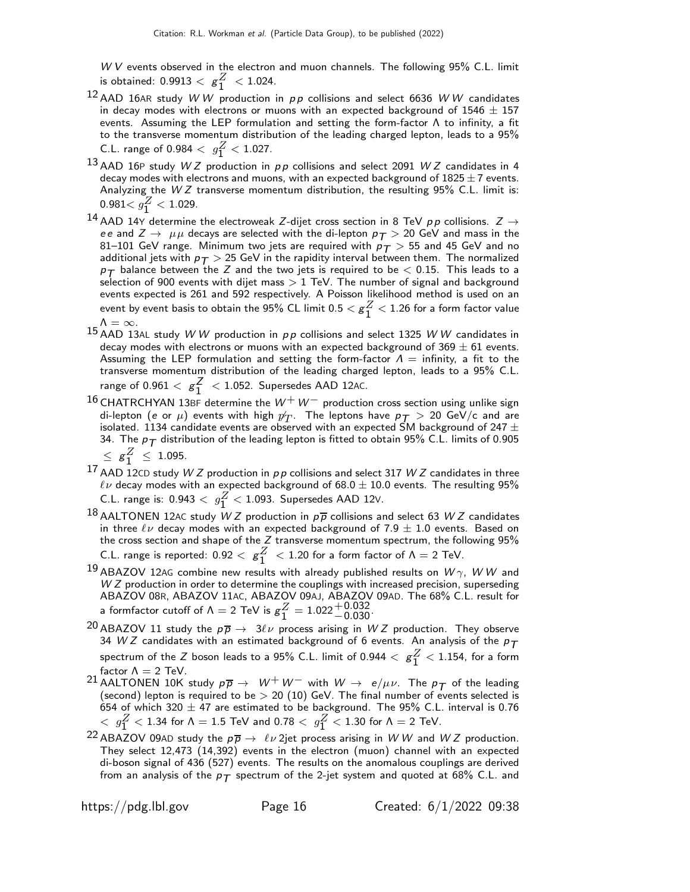$W V$  events observed in the electron and muon channels. The following  $95\%$  C.L. limit is obtained: 0.9913  $<$   ${\bf g}_1^Z$  $\frac{2}{1}$  < 1.024.

- $12$  AAD 16AR study W W production in  $pp$  collisions and select 6636 W W candidates in decay modes with electrons or muons with an expected background of  $1546 \pm 157$ events. Assuming the LEP formulation and setting the form-factor Λ to infinity, a fit to the transverse momentum distribution of the leading charged lepton, leads to a 95% C.L. range of 0.984  $\langle g_1^Z \times 1.027 \rangle$ .
- $13$  AAD 16P study W Z production in pp collisions and select 2091 W Z candidates in 4 decay modes with electrons and muons, with an expected background of  $1825 \pm 7$  events. Analyzing the  $WZ$  transverse momentum distribution, the resulting 95% C.L. limit is:  $0.981 < g_1^Z < 1.029$ .
- <sup>14</sup> AAD 14Y determine the electroweak Z-dijet cross section in 8 TeV pp collisions.  $Z \rightarrow$ ee and  $Z \rightarrow \mu\mu$  decays are selected with the di-lepton  $p_T > 20$  GeV and mass in the 81–101 GeV range. Minimum two jets are required with  $p_T > 55$  and 45 GeV and no additional jets with  $p_T > 25$  GeV in the rapidity interval between them. The normalized  $p_{\mathcal{T}}$  balance between the Z and the two jets is required to be  $<$  0.15. This leads to a selection of 900 events with dijet mass  $> 1$  TeV. The number of signal and background events expected is 261 and 592 respectively. A Poisson likelihood method is used on an event by event basis to obtain the 95% CL limit 0.5  $<$   $\rm g_1^Z$  $\frac{2}{1}$   $<$  1.26 for a form factor value  $Λ = ∞$ .
- 15 AAD 13AL study W W production in  $pp$  collisions and select 1325 W W candidates in decay modes with electrons or muons with an expected background of  $369 \pm 61$  events. Assuming the LEP formulation and setting the form-factor  $\Lambda =$  infinity, a fit to the transverse momentum distribution of the leading charged lepton, leads to a 95% C.L. range of 0.961  $<$   $g_1^Z$  $\frac{2}{1}$  < 1.052. Supersedes AAD 12AC.
- $16$  CHATRCHYAN 13BF determine the  $W^+W^-$  production cross section using unlike sign di-lepton (e or  $\mu$ ) events with high  $p_T$ . The leptons have  $p_T > 20$  GeV/c and are isolated. 1134 candidate events are observed with an expected SM background of 247  $\pm$ 34. The  $p_T$  distribution of the leading lepton is fitted to obtain 95% C.L. limits of 0.905  $\leq g_1^Z \leq 1.095.$
- 17 AAD 12CD study W Z production in  $p p$  collisions and select 317 W Z candidates in three  $\ell\nu$  decay modes with an expected background of 68.0  $\pm$  10.0 events. The resulting 95% C.L. range is:  $0.943 < g_1^Z < 1.093$ . Supersedes AAD 12V.
- 18 AALTONEN 12AC study W Z production in  $p\overline{p}$  collisions and select 63 W Z candidates in three  $\ell\nu$  decay modes with an expected background of 7.9  $\pm$  1.0 events. Based on the cross section and shape of the  $Z$  transverse momentum spectrum, the following  $95\%$ C.L. range is reported:  $0.92 < g_1^Z < 1.20$  for a form factor of  $\Lambda = 2$  TeV.
- $^{19}$  ABAZOV 12AG combine new results with already published results on  $W\gamma$ , W W and W Z production in order to determine the couplings with increased precision, superseding ABAZOV 08R, ABAZOV 11AC, ABAZOV 09AJ, ABAZOV 09AD. The 68% C.L. result for a formfactor cutoff of Λ = 2 TeV is  $g_1^Z = 1.022_{-0.030}^{+0.032}$ .
- <sup>20</sup> ABAZOV 11 study the  $p\overline{p} \rightarrow 3\ell \nu$  process arising in WZ production. They observe 34 W Z candidates with an estimated background of 6 events. An analysis of the  $p_T$ spectrum of the  $Z$  boson leads to a 95% C.L. limit of 0.944  $<~{\rm g}^Z_1<$  1.154, for a form factor  $\Lambda = 2$  TeV.
- 21 AALTONEN 10K study  $p\overline{p} \rightarrow W^+W^-$  with  $W \rightarrow e/\mu\nu$ . The  $p\overline{T}$  of the leading (second) lepton is required to be  $> 20$  (10) GeV. The final number of events selected is 654 of which 320  $\pm$  47 are estimated to be background. The 95% C.L. interval is 0.76  $\langle \;\; g_1^Z < 1.34 \;\mbox{for} \;\Lambda = 1.5\;\mbox{TeV}$  and  $0.78 < \;\; g_1^Z < 1.30 \;\mbox{for} \;\Lambda = 2\;\mbox{TeV}.$
- <sup>22</sup> ABAZOV 09AD study the  $p\overline{p} \to \ell \nu$  2jet process arising in WW and WZ production. They select 12,473 (14,392) events in the electron (muon) channel with an expected di-boson signal of 436 (527) events. The results on the anomalous couplings are derived from an analysis of the  $p_T$  spectrum of the 2-jet system and quoted at 68% C.L. and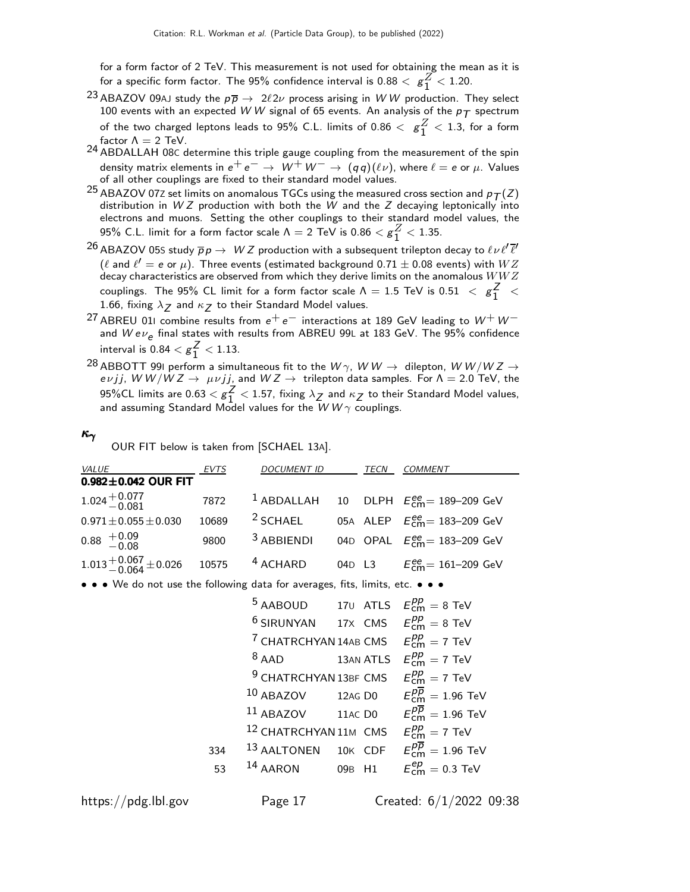for a form factor of 2 TeV. This measurement is not used for obtaining the mean as it is for a specific form factor. The 95% confidence interval is 0.88  $<~\rm g_1^Z$  $\frac{2}{1}$  < 1.20.

- <sup>23</sup> ABAZOV 09AJ study the  $p\overline{p} \to 2\ell 2\nu$  process arising in WW production. They select 100 events with an expected W W signal of 65 events. An analysis of the  $p_T$  spectrum of the two charged leptons leads to 95% C.L. limits of  $0.86 < g<sup>Z</sup><sub>1</sub> < 1.3$ , for a form factor  $\Lambda = 2$  TeV.
- 24 ABDALLAH 08C determine this triple gauge coupling from the measurement of the spin density matrix elements in  $e^+e^- \rightarrow W^+W^- \rightarrow (qq)(\ell \nu)$ , where  $\ell = e$  or  $\mu$ . Values of all other couplings are fixed to their standard model values.
- <sup>25</sup> ABAZOV 072 set limits on anomalous TGCs using the measured cross section and  $p_T(Z)$ distribution in  $WZ$  production with both the  $W$  and the  $Z$  decaying leptonically into electrons and muons. Setting the other couplings to their standard model values, the 95% C.L. limit for a form factor scale  $\Lambda = 2$  TeV is  $0.86 < g_1^Z < 1.35$ .
- $^{26}$  ABAZOV 05S study  $\overline{p}p\to~$   $WZ$  production with a subsequent trilepton decay to  $\ell\nu\ell'\overline{\ell'}$  $(\ell$  and  $\ell'=$   $e$  or  $\mu)$ . Three events (estimated background 0.71  $\pm$  0.08 events) with  $WZ$ decay characteristics are observed from which they derive limits on the anomalous  $WWZ$ couplings. The 95% CL limit for a form factor scale  $\Lambda = 1.5$  TeV is 0.51  $\ \, <\ \, g_{1}^{Z}$  $\frac{2}{1}$  < 1.66, fixing  $\lambda_Z$  and  $\kappa_Z$  to their Standard Model values.
- <sup>27</sup> ABREU 011 combine results from  $e^+e^-$  interactions at 189 GeV leading to  $W^+W^$ and  $W e \nu_e$  final states with results from ABREU 99L at 183 GeV. The 95% confidence interval is 0.84  $<$   $g_1^{\mathsf{Z}}$  $\frac{2}{1}$  < 1.13.
- $^{28}$ ABBOTT 991 perform a simultaneous fit to the  $W\gamma$ ,  $W\,W \rightarrow \,$  dilepton,  $W\,W/W\,Z \rightarrow \,$ evjj, W W/W Z  $\rightarrow \mu\nu$ jj, and W Z  $\rightarrow$  trilepton data samples. For  $\Lambda = 2.0$  TeV, the 95%CL limits are 0.63  $<$   ${\rm g}_{1}^{Z}$  $\frac{2}{1}$  < 1.57, fixing  $\lambda_Z$  and  $\kappa_Z$  to their Standard Model values, and assuming Standard Model values for the  $WW\gamma$  couplings.

#### κγ

OUR FIT below is taken from [SCHAEL 13A].

| <i>VALUE</i>                                                                  | EVTS  | <b>DOCUMENT ID</b>                                                 | TECN | <b>COMMENT</b>                                             |
|-------------------------------------------------------------------------------|-------|--------------------------------------------------------------------|------|------------------------------------------------------------|
| $0.982 \pm 0.042$ OUR FIT                                                     |       |                                                                    |      |                                                            |
| $1.024 + 0.077$<br>$-0.081$                                                   | 7872  | $1$ ABDALLAH                                                       |      | 10 DLPH $E_{\text{cm}}^{ee}$ = 189-209 GeV                 |
| $0.971 \pm 0.055 \pm 0.030$                                                   | 10689 | $2$ SCHAEL                                                         |      | 05A ALEP $E_{cm}^{ee}$ = 183-209 GeV                       |
| $0.88 + 0.09$<br>$-0.08$                                                      | 9800  | <sup>3</sup> ABBIENDI                                              |      | 04D OPAL $E_{\text{cm}}^{\text{ee}} = 183-209 \text{ GeV}$ |
| $1.013 + 0.067 + 0.026$                                                       | 10575 | <sup>4</sup> ACHARD                                                |      | 04D L3 $E_{cm}^{ee} = 161-209$ GeV                         |
| • • • We do not use the following data for averages, fits, limits, etc. • • • |       |                                                                    |      |                                                            |
|                                                                               |       | <sup>5</sup> AABOUD 170 ATLS $E_{cm}^{pp} = 8$ TeV                 |      |                                                            |
|                                                                               |       | <sup>6</sup> SIRUNYAN 17X CMS $E_{cm}^{pp} = 8$ TeV                |      |                                                            |
|                                                                               |       | <sup>7</sup> CHATRCHYAN 14AB CMS $E_{cm}^{pp} = 7$ TeV             |      |                                                            |
|                                                                               |       | $8$ AAD 13AN ATLS $E_{cm}^{pp} = 7$ TeV                            |      |                                                            |
|                                                                               |       | <sup>9</sup> CHATRCHYAN 13BF CMS $E_{cm}^{pp} = 7$ TeV             |      |                                                            |
|                                                                               |       | $10$ ABAZOV                                                        |      | 12AG D0 $E_{cm}^{p\overline{p}}=1.96$ TeV                  |
|                                                                               |       | $11$ ABAZOV                                                        |      | 11AC D0 $E_{cm}^{\overline{p}} = 1.96 \text{ TeV}$         |
|                                                                               |       | <sup>12</sup> CHATRCHYAN 11M CMS $E_{cm}^{pp} = 7$ TeV             |      |                                                            |
|                                                                               | 334   | <sup>13</sup> AALTONEN 10K CDF $E_{cm}^{\overline{pp}} = 1.96$ TeV |      |                                                            |
|                                                                               | 53    | 14 AARON                                                           |      | 09B H1 $E_{cm}^{ep} = 0.3 \text{ TeV}$                     |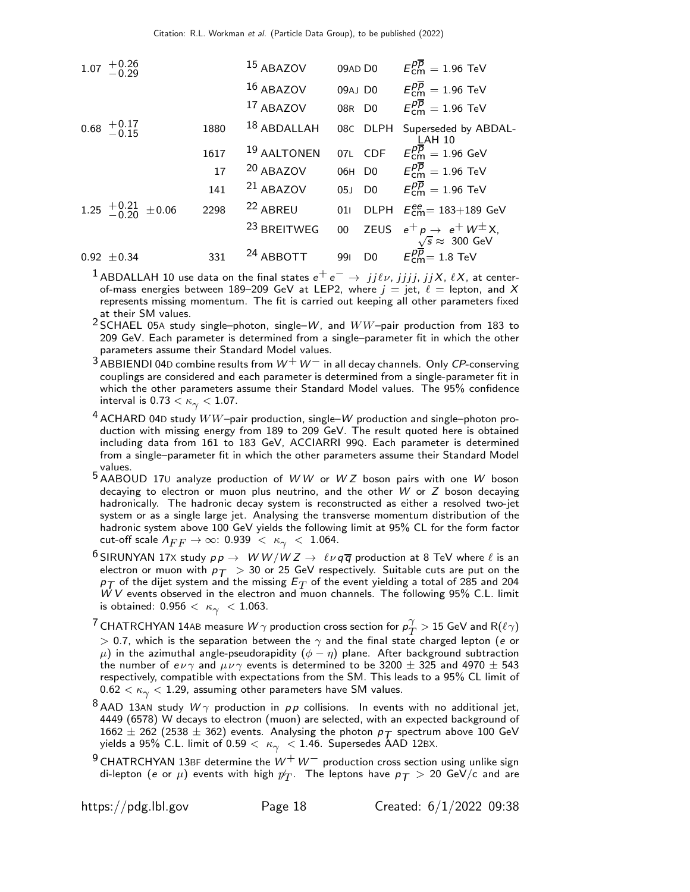| 1.07 | $+0.26$<br>-0.29                                   |      | 15 ABAZOV              | 09AD D0               | $E_{\text{cm}}^{p\overline{p}}=1.96$ TeV                                         |
|------|----------------------------------------------------|------|------------------------|-----------------------|----------------------------------------------------------------------------------|
|      |                                                    |      | 16 ABAZOV              | 09AJ DO               | $E_{\text{cm}}^{p\overline{p}}=1.96$ TeV                                         |
|      |                                                    |      | 17 ABAZOV              | 08R D0                | $E_{cm}^{p\overline{p}}=1.96$ TeV                                                |
|      | $0.68 \begin{array}{l} +0.17 \\ -0.15 \end{array}$ | 1880 | 18 ABDALLAH            | 08C DLPH              | Superseded by ABDAL-<br>$LAH$ 10                                                 |
|      |                                                    | 1617 | 19 AALTONEN            | 07L CDF               | $E_{\text{cm}}^{p\overline{p}}=1.96 \text{ GeV}$                                 |
|      |                                                    | 17   | <sup>20</sup> ABAZOV   |                       | 06H D0 $E_{\text{cm}}^{p\overline{p}} = 1.96 \text{ TeV}$                        |
|      |                                                    | 141  | $21$ ABAZOV            |                       | 05J D0 $E_{cm}^{p\overline{p}} = 1.96$ TeV                                       |
|      | 1.25 $^{+0.21}_{-0.20}$ ±0.06                      | 2298 | <sup>22</sup> ABREU    | 011                   | DLPH $E_{\text{cm}}^{ee}$ = 183+189 GeV                                          |
|      |                                                    |      | <sup>23</sup> BREITWEG | 00                    | ZEUS $e^+ p \rightarrow e^+ W^{\pm} X$ ,                                         |
|      | $0.92 \pm 0.34$                                    | 331  | <sup>24</sup> ABBOTT   | D <sub>0</sub><br>991 | $\sqrt{5} \approx 300 \text{ GeV}$<br>$E_{cm}^{p\overline{p}} = 1.8 \text{ TeV}$ |

<sup>1</sup> ABDALLAH 10 use data on the final states  $e^+e^- \rightarrow jj\ell\nu$ , jjjj, jjX,  $\ell X$ , at centerof-mass energies between 189–209 GeV at LEP2, where  $j = jet$ ,  $\ell =$  lepton, and X represents missing momentum. The fit is carried out keeping all other parameters fixed

at their SM values.<br><sup>2</sup> SCHAEL 05A study single–photon, single–*W*, and  $WW$ –pair production from 183 to 209 GeV. Each parameter is determined from a single–parameter fit in which the other parameters assume their Standard Model values.

 $3$  ABBIENDI 04D combine results from  $W^+W^-$  in all decay channels. Only CP-conserving couplings are considered and each parameter is determined from a single-parameter fit in which the other parameters assume their Standard Model values. The 95% confidence interval is  $0.73 < \kappa_{\gamma} < 1.07$ .

 $4$  ACHARD 04D study  $WW$ -pair production, single– $W$  production and single–photon production with missing energy from 189 to 209 GeV. The result quoted here is obtained including data from 161 to 183 GeV, ACCIARRI 99Q. Each parameter is determined from a single–parameter fit in which the other parameters assume their Standard Model values.

 $5$  AABOUD 170 analyze production of  $WW$  or  $WZ$  boson pairs with one  $W$  boson decaying to electron or muon plus neutrino, and the other  $W$  or  $Z$  boson decaying hadronically. The hadronic decay system is reconstructed as either a resolved two-jet system or as a single large jet. Analysing the transverse momentum distribution of the hadronic system above 100 GeV yields the following limit at 95% CL for the form factor cut-off scale  $\Lambda_{FF} \to \infty$ : 0.939  $\lt \kappa_{\gamma} \lt 1.064$ .

<sup>6</sup> SIRUNYAN 17X study  $pp \rightarrow WW/WZ \rightarrow \ell \nu q \overline{q}$  production at 8 TeV where  $\ell$  is an electron or muon with  $p_T > 30$  or 25 GeV respectively. Suitable cuts are put on the  $p_{\mathcal{T}}$  of the dijet system and the missing  $E_T$  of the event yielding a total of 285 and 204  $W V$  events observed in the electron and muon channels. The following 95% C.L. limit is obtained:  $0.956 < \kappa_{\gamma} < 1.063$ .

 $^7$  CHATRCHYAN 14AB measure  $W\gamma$  production cross section for  $\rho_{T}^\gamma$  $T^{f} > 15$  GeV and R $(\ell \gamma)$  $>$  0.7, which is the separation between the  $\gamma$  and the final state charged lepton (e or  $\mu$ ) in the azimuthal angle-pseudorapidity  $(\phi - \eta)$  plane. After background subtraction the number of  $e \nu \gamma$  and  $\mu \nu \gamma$  events is determined to be 3200  $\pm$  325 and 4970  $\pm$  543 respectively, compatible with expectations from the SM. This leads to a 95% CL limit of  $0.62 < \kappa_{\gamma} < 1.29$ , assuming other parameters have SM values.

8 AAD 13AN study  $W\gamma$  production in  $pp$  collisions. In events with no additional jet, 4449 (6578) W decays to electron (muon) are selected, with an expected background of  $1662 \pm 262$  (2538  $\pm$  362) events. Analysing the photon  $p_T$  spectrum above 100 GeV yields a 95% C.L. limit of 0.59  $< \kappa_{\gamma} < 1.46$ . Supersedes AAD 12BX.

<sup>9</sup> CHATRCHYAN 13BF determine the  $W^+W^-$  production cross section using unlike sign di-lepton (e or  $\mu$ ) events with high  $p_T^{\prime}$ . The leptons have  $\mathsf{p}_{\bm{\mathcal{T}}} > 20$  GeV/c and are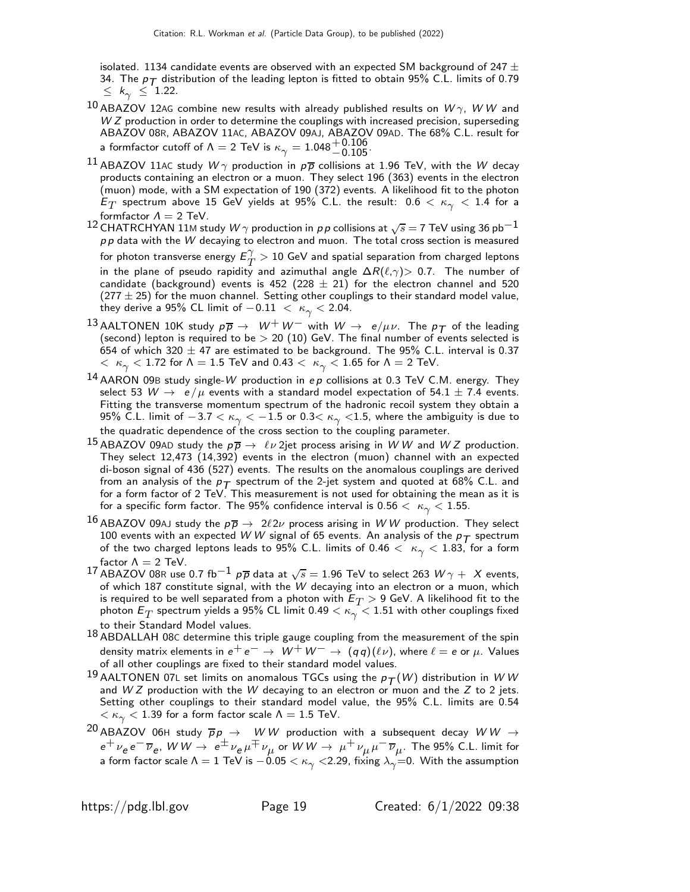isolated. 1134 candidate events are observed with an expected SM background of 247  $\pm$ 34. The  $p_T$  distribution of the leading lepton is fitted to obtain 95% C.L. limits of 0.79  $\leq k_{\gamma} \leq 1.22$ .

- $^{10}$  ABAZOV 12AG combine new results with already published results on  $W\gamma$ , W W and  $WZ$  production in order to determine the couplings with increased precision, superseding ABAZOV 08R, ABAZOV 11AC, ABAZOV 09AJ, ABAZOV 09AD. The 68% C.L. result for a formfactor cutoff of  $\Lambda = 2$  TeV is  $\kappa_{\gamma} = 1.048_{-0.105}^{+0.106}$ .
- $^{11}$  ABAZOV 11AC study  $W\gamma$  production in  $\rho\overline{\rho}$  collisions at 1.96 TeV, with the W decay products containing an electron or a muon. They select 196 (363) events in the electron (muon) mode, with a SM expectation of 190 (372) events. A likelihood fit to the photon  $\mathsf{E}_T$  spectrum above 15 GeV yields at 95% C.L. the result:  $0.6 < \kappa_\gamma < 1.4$  for a formfactor  $\Lambda = 2$  TeV.
- <sup>12</sup> CHATRCHYAN 11M study  $W\gamma$  production in pp collisions at  $\sqrt{s} = 7$  TeV using 36 pb<sup>-1</sup>  $p p$  data with the W decaying to electron and muon. The total cross section is measured for photon transverse energy  $E_T^{\gamma}$  $T\overline{T}>10$  GeV and spatial separation from charged leptons in the plane of pseudo rapidity and azimuthal angle  $\Delta R(\ell,\gamma) > 0.7$ . The number of candidate (background) events is 452 (228  $\pm$  21) for the electron channel and 520  $(277 \pm 25)$  for the muon channel. Setting other couplings to their standard model value, they derive a 95% CL limit of  $-0.11 < \kappa_{\gamma} < 2.04$ .
- 13 AALTONEN 10K study  $p \overline{p} \rightarrow W^+ W^-$  with  $W \rightarrow e/\mu \nu$ . The  $p_{\overline{T}}$  of the leading (second) lepton is required to be  $> 20$  (10) GeV. The final number of events selected is 654 of which 320  $\pm$  47 are estimated to be background. The 95% C.L. interval is 0.37  $<~\kappa_{\gamma} < 1.72$  for  $\Lambda = 1.5$  TeV and 0.43  $<~\kappa_{\gamma} < 1.65$  for  $\Lambda = 2$  TeV.
- $14$  AARON 09B study single-W production in ep collisions at 0.3 TeV C.M. energy. They select 53  $W \rightarrow e/\mu$  events with a standard model expectation of 54.1  $\pm$  7.4 events. Fitting the transverse momentum spectrum of the hadronic recoil system they obtain a 95% C.L. limit of  $-3.7 < \kappa_{\gamma} < -1.5$  or 0.3 $< \kappa_{\gamma} < 1.5$ , where the ambiguity is due to the quadratic dependence of the cross section to the coupling parameter.
- $^{15}$  ABAZOV 09AD study the  $p\overline{p} \rightarrow \ell \nu$  2jet process arising in WW and WZ production. They select 12,473 (14,392) events in the electron (muon) channel with an expected di-boson signal of 436 (527) events. The results on the anomalous couplings are derived from an analysis of the  $p_{\mathcal{T}}$  spectrum of the 2-jet system and quoted at 68% C.L. and<br>for a form factor of 2 TeV. This measurement is not used for obtaining the mean as it is for a specific form factor. The 95% confidence interval is  $0.56 < \kappa_{\gamma} < 1.55$ .
- <sup>16</sup> ABAZOV 09AJ study the  $p\bar{p} \to 2\ell 2\nu$  process arising in WW production. They select 100 events with an expected W W signal of 65 events. An analysis of the  $p_T$  spectrum of the two charged leptons leads to 95% C.L. limits of 0.46  $<$   $\kappa_{\gamma}$   $<$  1.83, for a form factor  $\Lambda = 2$  TeV.
- 17 ABAZOV 08R use 0.7 fb<sup>-1</sup>  $p\overline{p}$  data at  $\sqrt{s} = 1.96$  TeV to select 263  $W\gamma + X$  events, of which 187 constitute signal, with the W decaying into an electron or a muon, which is required to be well separated from a photon with  $E_T > 9$  GeV. A likelihood fit to the photon  $E_T$  spectrum yields a 95% CL limit 0.49  $<\kappa_{\gamma}^{-}$   $<$  1.51 with other couplings fixed to their Standard Model values.
- 18 ABDALLAH 08C determine this triple gauge coupling from the measurement of the spin density matrix elements in  $e^+e^-\rightarrow~W^+W^-\rightarrow~(q\,q)(\ell\nu)$ , where  $\ell=e$  or  $\mu$ . Values of all other couplings are fixed to their standard model values.
- 19 AALTONEN 07L set limits on anomalous TGCs using the  $p_T(W)$  distribution in W W and  $WZ$  production with the W decaying to an electron or muon and the  $Z$  to 2 jets. Setting other couplings to their standard model value, the 95% C.L. limits are 0.54  $< \kappa_{\gamma} < 1.39$  for a form factor scale  $\Lambda = 1.5$  TeV.
- $^{20}$  ABAZOV 06H study  $\overline{p}p \rightarrow WW$  production with a subsequent decay  $WW \rightarrow$  $e^+\,\nu_e\,e^-\,\overline{\nu}_e$ ,  $W\,W\to\ e^\pm\,\nu_e\,\mu^\mp\,\nu_\mu$  or  $W\,W\to\ \mu^+\,\nu_\mu\,\mu^-\,\overline{\nu}_\mu$ . The 95% C.L. limit for a form factor scale  $\Lambda = 1$  TeV is  $-0.05 < \kappa_{\gamma} <$  2.29, fixing  $\lambda_{\gamma} = 0$ . With the assumption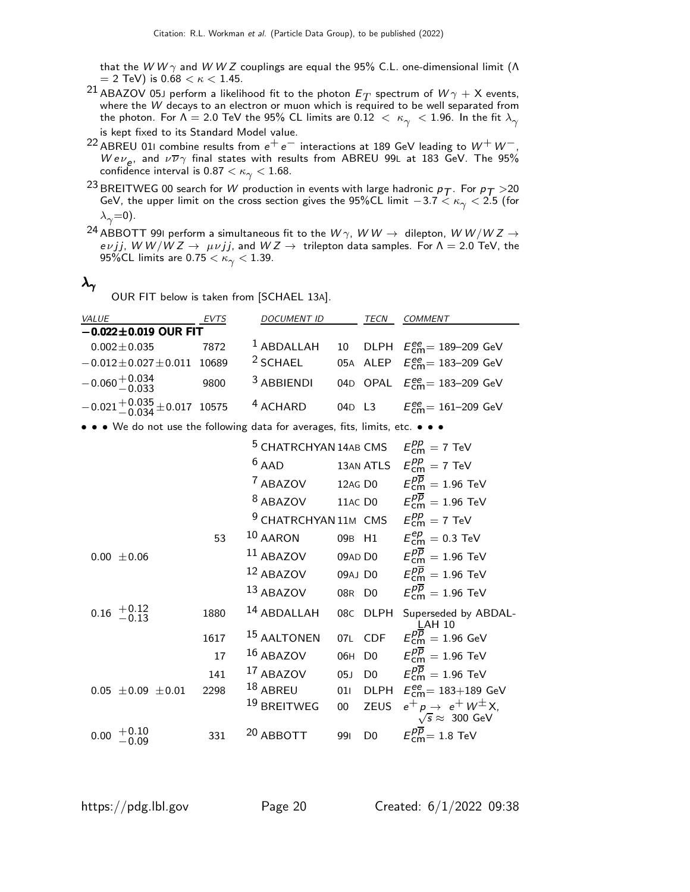that the W W  $\gamma$  and W W Z couplings are equal the 95% C.L. one-dimensional limit ( $\Lambda$  $= 2$  TeV) is  $0.68 < \kappa < 1.45$ .

- $^{21}$  ABAZOV 05J perform a likelihood fit to the photon  $E_T$  spectrum of  $W\gamma+\mathsf{X}$  events, where the W decays to an electron or muon which is required to be well separated from the photon. For  $\Lambda = 2.0$  TeV the 95% CL limits are 0.12  $\langle \kappa_{\gamma} \rangle$  < 1.96. In the fit  $\lambda_{\gamma}$ is kept fixed to its Standard Model value.
- $^{22}$  ABREU 011 combine results from  $\mathrm{e^{+}e^{-}}$  interactions at 189 GeV leading to  $\mathrm{W^{+}W^{-}}$ , Wev<sub>e</sub>, and  $\nu \overline{\nu} \gamma$  final states with results from ABREU 99L at 183 GeV. The 95% confidence interval is  $0.87 < \kappa_{\gamma} < 1.68$ .
- $^{23}$ BREITWEG 00 search for  $W$  production in events with large hadronic  $p_{\mathcal{T}}$  . For  $p_{\mathcal{T}} >$ 20 GeV, the upper limit on the cross section gives the 95%CL limit  $-3.7 < \kappa_{\gamma} < 2.5$  (for  $\lambda_{\gamma}=0$ ).
- <sup>24</sup> ABBOTT 99I perform a simultaneous fit to the  $W\gamma$ ,  $W\,W\rightarrow\;$  dilepton,  $W\,W/W\,Z\rightarrow\;$ eνjj, W W/W Z → μνjj, and W Z → trilepton data samples. For Λ = 2.0 TeV, the 95%CL limits are  $0.75 < \kappa_{\gamma} < 1.39$ .

# $\lambda_\gamma$

OUR FIT below is taken from [SCHAEL 13A].

| VALUE                                                                         | EVTS  | <b>DOCUMENT ID</b>                                           |         | TECN           | COMMENT                                                                 |
|-------------------------------------------------------------------------------|-------|--------------------------------------------------------------|---------|----------------|-------------------------------------------------------------------------|
| $-0.022 \pm 0.019$ OUR FIT                                                    |       |                                                              |         |                |                                                                         |
| $0.002 \pm 0.035$                                                             | 7872  | $1$ ABDALLAH                                                 | 10      |                | DLPH $E_{\text{cm}}^{ee}$ = 189-209 GeV                                 |
| $-0.012 \pm 0.027 \pm 0.011$                                                  | 10689 | <sup>2</sup> SCHAEL                                          |         |                | 05A ALEP $E_{cm}^{ee} = 183 - 209$ GeV                                  |
| $-0.060 + 0.034$                                                              | 9800  | <sup>3</sup> ABBIENDI                                        |         |                | 04D OPAL $E_{cm}^{ee} = 183 - 209$ GeV                                  |
| $-0.021 + 0.035 + 0.017$ 10575                                                |       | <sup>4</sup> ACHARD                                          | 04D L3  |                | $E_{cm}^{ee}$ = 161–209 GeV                                             |
| • • • We do not use the following data for averages, fits, limits, etc. • • • |       |                                                              |         |                |                                                                         |
|                                                                               |       | <sup>5</sup> CHATRCHYAN 14AB CMS                             |         |                | $E_{cm}^{pp} = 7$ TeV                                                   |
|                                                                               |       | $6$ AAD                                                      |         |                | 13AN ATLS $E_{\text{cm}}^{pp} = 7 \text{ TeV}$                          |
|                                                                               |       | <sup>7</sup> ABAZOV                                          | 12AG D0 |                | $E^{pp}_{\rm cm} = 1.96$ TeV                                            |
|                                                                               |       | <sup>8</sup> ABAZOV                                          |         |                | 11AC D0 $E_{\text{cm}}^{pp} = 1.96 \text{ TeV}$                         |
|                                                                               |       | <sup>9</sup> CHATRCHYAN 11M CMS $E_{\text{cm}}^{pp} = 7$ TeV |         |                |                                                                         |
|                                                                               | 53    | $10$ AARON                                                   | 09B H1  |                | $E^{ep}_{\rm cm} =$ 0.3 TeV                                             |
| $0.00 \pm 0.06$                                                               |       | $11$ ABAZOV                                                  |         | 09AD D0        | $E_{\text{cm}}^{pp} = 1.96 \text{ TeV}$                                 |
|                                                                               |       | 12 ABAZOV                                                    |         | 09AJ D0        | $E_{\text{cm}}^{pp} = 1.96 \text{ TeV}$                                 |
|                                                                               |       | 13 ABAZOV                                                    | 08R D0  |                | $E_{cm}^{pp} = 1.96$ TeV                                                |
| $0.16 \begin{array}{c} +0.12 \\ -0.13 \end{array}$                            | 1880  | 14 ABDALLAH                                                  |         | 08C DLPH       | Superseded by ABDAL-<br><u>L</u> AH 10                                  |
|                                                                               | 1617  | <sup>15</sup> AALTONEN                                       | 07L     | <b>CDF</b>     | $E_{cm}^{pp} = 1.96$ GeV                                                |
|                                                                               | 17    | $16$ ABAZOV                                                  | 06H     | D <sub>0</sub> | $E_{cm}^{p\overline{p}}=1.96$ TeV                                       |
|                                                                               | 141   | 17 ABAZOV                                                    | 05J     | D <sub>0</sub> | $E_{cm}^{pp} = 1.96$ TeV                                                |
| $0.05 \pm 0.09 \pm 0.01$                                                      | 2298  | 18 ABREU                                                     | 011     |                | DLPH $E_{\text{cm}}^{\text{ee}} = 183 + 189 \text{ GeV}$                |
|                                                                               |       | <sup>19</sup> BREITWEG                                       | $00\,$  | <b>ZEUS</b>    | $e^+ p \rightarrow e^+ W^{\pm} X$<br>$\sqrt{s} \approx 300 \text{ GeV}$ |
| 0.00                                                                          | 331   | <sup>20</sup> ABBOTT                                         | 991     | D <sub>0</sub> | $E_{\text{cm}}^{pp}$ = 1.8 TeV                                          |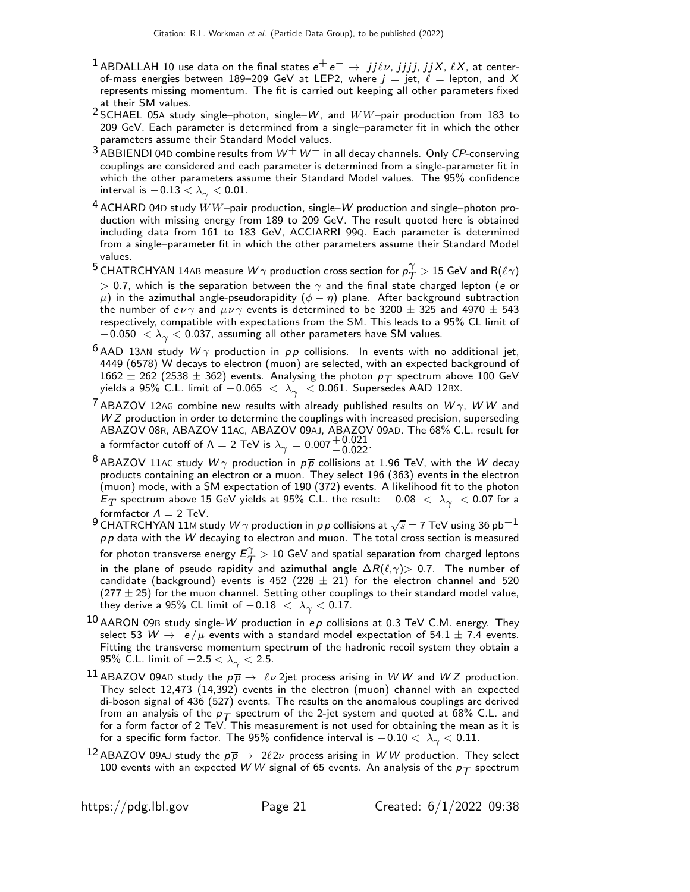- $^1$  ABDALLAH 10 use data on the final states  $e^+e^-\rightarrow\,j j\ell\nu$ ,  $jjjj$ ,  $jjX$ ,  $\ell X$ , at centerof-mass energies between 189–209 GeV at LEP2, where  $j = jet$ ,  $\ell =$  lepton, and X represents missing momentum. The fit is carried out keeping all other parameters fixed at their SM values.
- <sup>2</sup> SCHAEL 05A study single-photon, single-W, and  $WW$ -pair production from 183 to 209 GeV. Each parameter is determined from a single–parameter fit in which the other parameters assume their Standard Model values.
- $3$  ABBIENDI 04D combine results from  $W^+W^-$  in all decay channels. Only CP-conserving couplings are considered and each parameter is determined from a single-parameter fit in which the other parameters assume their Standard Model values. The 95% confidence interval is  $-0.13 < \lambda_{\gamma} < 0.01$ .
- $4$  ACHARD 04D study  $WW$ -pair production, single– $W$  production and single–photon production with missing energy from 189 to 209 GeV. The result quoted here is obtained including data from 161 to 183 GeV, ACCIARRI 99Q. Each parameter is determined from a single–parameter fit in which the other parameters assume their Standard Model values.
- $^5$  CHATRCHYAN 14AB measure  $W\gamma$  production cross section for  $\rho_{T}^{\gamma}$  $T^{'} > 15$  GeV and R $(\ell \gamma)$  $> 0.7$ , which is the separation between the  $\gamma$  and the final state charged lepton (e or  $\mu$ ) in the azimuthal angle-pseudorapidity  $(\phi - \eta)$  plane. After background subtraction the number of  $e \nu \gamma$  and  $\mu \nu \gamma$  events is determined to be 3200  $\pm$  325 and 4970  $\pm$  543 respectively, compatible with expectations from the SM. This leads to a 95% CL limit of  $-0.050~<\lambda_\gamma < 0.037$ , assuming all other parameters have <code>SM</code> values.
- <sup>6</sup> AAD 13AN study  $W\gamma$  production in  $pp$  collisions. In events with no additional jet, 4449 (6578) W decays to electron (muon) are selected, with an expected background of  $1662 \pm 262$  (2538  $\pm$  362) events. Analysing the photon  $p_T$  spectrum above 100 GeV yields a 95% C.L. limit of  $-0.065 < \lambda_{\gamma} < 0.061$ . Supersedes AAD 12BX.
- $^7$  ABAZOV 12AG combine new results with already published results on  $W\gamma$ ,  $W\,W$  and W Z production in order to determine the couplings with increased precision, superseding ABAZOV 08R, ABAZOV 11AC, ABAZOV 09AJ, ABAZOV 09AD. The 68% C.L. result for a formfactor cutoff of  $\Lambda = 2$  TeV is  $\lambda_{\gamma} = 0.007 \frac{+0.021}{-0.022}$ .
- <sup>8</sup> ABAZOV 11AC study  $W\gamma$  production in  $p\overline{p}$  collisions at 1.96 TeV, with the W decay products containing an electron or a muon. They select 196 (363) events in the electron (muon) mode, with a SM expectation of 190 (372) events. A likelihood fit to the photon  $\textstyle E_T$  spectrum above 15 GeV yields at 95% C.L. the result:  $-0.08\,<\,\lambda_\gamma\,< 0.07$  for a formfactor  $\Lambda = 2$  TeV.
- 9 CHATRCHYAN 11M study  $W\gamma$  production in pp collisions at  $\sqrt{s} = 7$  TeV using 36 pb<sup>-1</sup>  $p p$  data with the W decaying to electron and muon. The total cross section is measured for photon transverse energy  $E_T^{\gamma}$  $T\overline{T}>10$  GeV and spatial separation from charged leptons in the plane of pseudo rapidity and azimuthal angle  $\Delta R(\ell,\gamma) > 0.7$ . The number of candidate (background) events is 452 (228  $\pm$  21) for the electron channel and 520  $(277 \pm 25)$  for the muon channel. Setting other couplings to their standard model value, they derive a 95% CL limit of  $-0.18 < \lambda_{\gamma} < 0.17$ .
- 10 AARON 09B study single-W production in  $ep$  collisions at 0.3 TeV C.M. energy. They select 53  $W \rightarrow e/\mu$  events with a standard model expectation of 54.1  $\pm$  7.4 events. Fitting the transverse momentum spectrum of the hadronic recoil system they obtain a 95% C.L. limit of  $-2.5 < \lambda_{\gamma} < 2.5$ .
- <sup>11</sup> ABAZOV 09AD study the  $p\overline{p} \to \ell \nu$  2jet process arising in WW and WZ production. They select 12,473 (14,392) events in the electron (muon) channel with an expected di-boson signal of 436 (527) events. The results on the anomalous couplings are derived from an analysis of the  $p_{\mathcal{T}}$  spectrum of the 2-jet system and quoted at 68% C.L. and<br>for a form factor of 2 TeV. This measurement is not used for obtaining the mean as it is for a specific form factor. The 95% confidence interval is  $-0.10 < \lambda_{\gamma} < 0.11$ .
- $^{12}$  ABAZOV 09AJ study the  $p\overline{p} \rightarrow 2\ell 2\nu$  process arising in WW production. They select 100 events with an expected W W signal of 65 events. An analysis of the  $p_T$  spectrum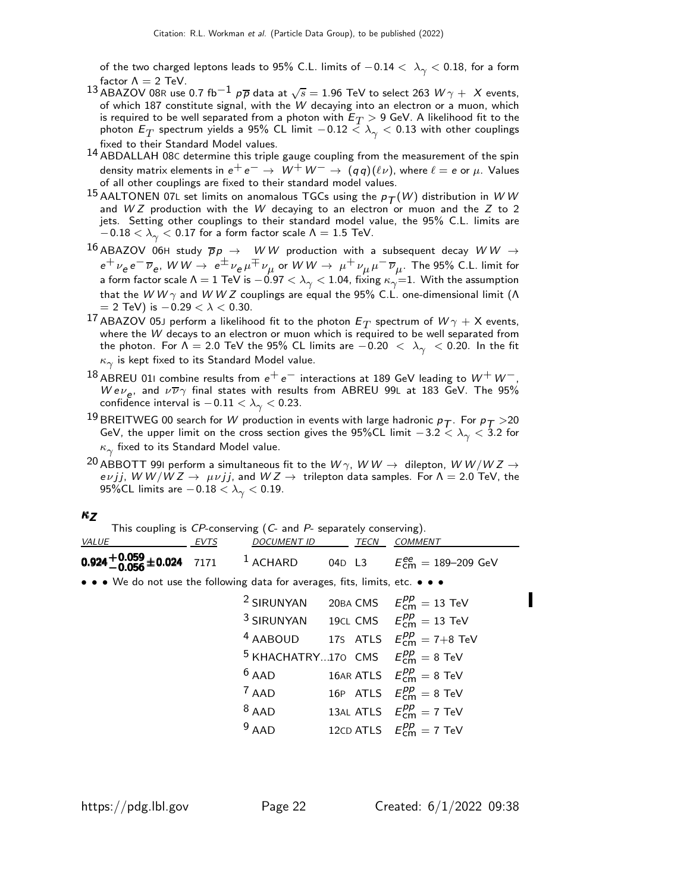of the two charged leptons leads to 95% C.L. limits of  $-0.14 < \lambda_{\gamma} < 0.18$ , for a form factor  $\Lambda = 2$  TeV.

- 13 ABAZOV 08R use 0.7 fb<sup>-1</sup>  $p\overline{p}$  data at  $\sqrt{s} = 1.96$  TeV to select 263  $W\gamma + X$  events, of which 187 constitute signal, with the W decaying into an electron or a muon, which is required to be well separated from a photon with  $E_T >$  9 GeV. A likelihood fit to the photon  $E_T$  spectrum yields a 95% CL limit  $-0.12 < \lambda_{\gamma} < 0.13$  with other couplings fixed to their Standard Model values.
- 14 ABDALLAH 08C determine this triple gauge coupling from the measurement of the spin density matrix elements in  $e^+e^- \rightarrow W^+W^- \rightarrow (qq)(\ell \nu)$ , where  $\ell = e$  or  $\mu$ . Values of all other couplings are fixed to their standard model values.
- <sup>15</sup> AALTONEN 07L set limits on anomalous TGCs using the  $p_T(W)$  distribution in WW and  $WZ$  production with the  $W$  decaying to an electron or muon and the  $Z$  to 2 jets. Setting other couplings to their standard model value, the 95% C.L. limits are  $-0.18 < \lambda_{\gamma} < 0.17$  for a form factor scale  $\Lambda = 1.5$  TeV.
- $^{16}$  ABAZOV 06H study  $\overline{p}p \rightarrow WW$  production with a subsequent decay  $WW \rightarrow$  $e^+\,\nu_e\,e^-\,\overline{\nu}_e$ ,  $W\,W\to\ e^\pm\,\nu_e\,\mu^\mp\,\nu_\mu$  or  $W\,W\to\ \mu^+\,\nu_\mu\,\mu^-\,\overline{\nu}_\mu$ . The 95% C.L. limit for a form factor scale  $\Lambda=1$  TeV is  $-0.97<\lambda_\gamma< 1.04$ , fixing  $\kappa_\gamma{=}1.$  With the assumption that the W W  $\gamma$  and W W Z couplings are equal the 95% C.L. one-dimensional limit (Λ  $=$  2 TeV) is  $-0.29 < \lambda < 0.30.$
- $^{17}$  ABAZOV 05J perform a likelihood fit to the photon  $E_T$  spectrum of  $W\gamma+\mathsf{X}$  events, where the W decays to an electron or muon which is required to be well separated from the photon. For  $\Lambda = 2.0$  TeV the 95% CL limits are  $-0.20 < \lambda_{\gamma} < 0.20$ . In the fit  $\kappa_\gamma$  is kept fixed to its Standard Model value.
- $^{18}$  ABREU 011 combine results from  $e^+e^-$  interactions at 189 GeV leading to  $W^+W^-$ , Wev<sub>e</sub>, and  $\nu \overline{\nu} \gamma$  final states with results from ABREU 99L at 183 GeV. The 95% confidence interval is  $-0.11 < \lambda_{\gamma} < 0.23$ .
- $^{19}$ BREITWEG 00 search for  $W$  production in events with large hadronic  $p_{\mathcal{T}}$  . For  $p_{\mathcal{T}} >$  20 GeV, the upper limit on the cross section gives the 95%CL limit  $-3.2 < \lambda_{\gamma} < 3.2$  for  $\kappa_\gamma$  fixed to its Standard Model value.
- $^{20}$  ABBOTT 99I perform a simultaneous fit to the  $W\gamma$ ,  $WW\rightarrow$  dilepton,  $WW/WZ\rightarrow$  $e\nu jj$ , W W/W Z  $\rightarrow \;\mu\nu jj$ , and W Z  $\rightarrow \;$  trilepton data samples. For  $\Lambda =$  2.0 TeV, the 95%CL limits are  $-0.18 < \lambda_{\gamma} < 0.19$ .

#### $\kappa$ z

| This coupling is $CP$ -conserving $(C$ - and $P$ - separately conserving). |      |                                              |  |        |                                                     |  |  |
|----------------------------------------------------------------------------|------|----------------------------------------------|--|--------|-----------------------------------------------------|--|--|
| <b>VALUE</b>                                                               | EVTS | DOCUMENT ID TECN COMMENT                     |  |        |                                                     |  |  |
| 0.924 <sup>+0.059</sup> ±0.024 7171 <sup>1</sup> ACHARD                    |      |                                              |  | 04D L3 | $E_{\text{cm}}^{\text{ee}} = 189 - 209 \text{ GeV}$ |  |  |
|                                                                            |      | $\mathbf{M}$ is the contract of $\mathbf{M}$ |  |        |                                                     |  |  |

• • We do not use the following data for averages, fits, limits, etc. • • •

| <sup>2</sup> SIRUNYAN         | 20BA CMS | $E_{cm}^{pp} = 13$ TeV                         |
|-------------------------------|----------|------------------------------------------------|
| <sup>3</sup> SIRUNYAN         |          | 19CL CMS $E_{cm}^{pp} = 13$ TeV                |
| <sup>4</sup> AABOUD           |          | 175 ATLS $E_{\text{cm}}^{pp} = 7+8$ TeV        |
| <sup>5</sup> KHACHATRY170 CMS |          | $E_{\rm cm}^{pp} = 8$ TeV                      |
| $6$ AAD                       |          | 16AR ATLS $E_{\text{cm}}^{pp} = 8 \text{ TeV}$ |
| $7$ AAD                       |          | 16P ATLS $E_{cm}^{pp} = 8$ TeV                 |
| $8$ AAD                       |          | 13AL ATLS $E_{\text{cm}}^{pp} = 7 \text{ TeV}$ |
| $9$ AAD                       |          | 12CD ATLS $E_{\text{cm}}^{pp} = 7 \text{ TeV}$ |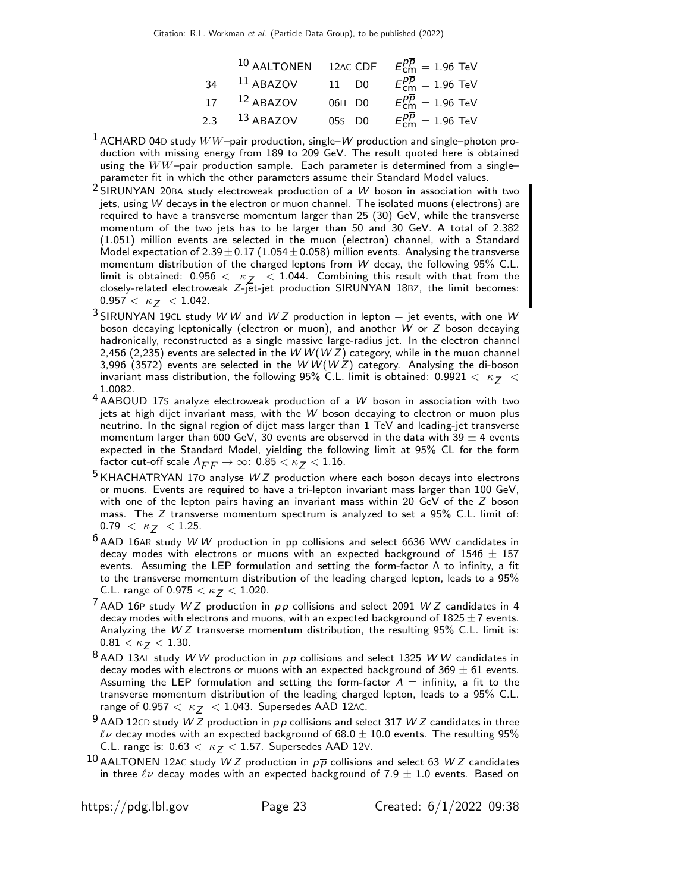|     | 10 AALTONEN | 12AC CDF          | $E_{cm}^{pp} = 1.96$ TeV |
|-----|-------------|-------------------|--------------------------|
| 34  | $11$ ABAZOV | 11 D <sub>0</sub> | $E_{cm}^{pp} = 1.96$ TeV |
| 17  | $12$ ABAZOV | 06H D0            | $E_{cm}^{pp} = 1.96$ TeV |
| 2.3 | $13$ ABAZOV | 05s D0            | $E_{cm}^{pp} = 1.96$ TeV |

- $1$  ACHARD 04D study  $WW$ -pair production, single– $W$  production and single–photon production with missing energy from 189 to 209 GeV. The result quoted here is obtained using the  $WW$ -pair production sample. Each parameter is determined from a singleparameter fit in which the other parameters assume their Standard Model values.
- 2 SIRUNYAN 20BA study electroweak production of a W boson in association with two jets, using W decays in the electron or muon channel. The isolated muons (electrons) are required to have a transverse momentum larger than 25 (30) GeV, while the transverse momentum of the two jets has to be larger than 50 and 30 GeV. A total of 2.382 (1.051) million events are selected in the muon (electron) channel, with a Standard Model expectation of  $2.39 \pm 0.17$  (1.054 $\pm$ 0.058) million events. Analysing the transverse momentum distribution of the charged leptons from W decay, the following 95% C.L. limit is obtained:  $0.956 < \kappa_Z < 1.044$ . Combining this result with that from the closely-related electroweak Z-jet-jet production SIRUNYAN 18BZ, the limit becomes:  $0.957 < \kappa$ <sub>7</sub>  $< 1.042$ .
- $3$  SIRUNYAN 19CL study W W and W Z production in lepton  $+$  jet events, with one W boson decaying leptonically (electron or muon), and another W or Z boson decaying hadronically, reconstructed as a single massive large-radius jet. In the electron channel 2,456 (2,235) events are selected in the W W (W Z) category, while in the muon channel 3,996 (3572) events are selected in the W  $W(WZ)$  category. Analysing the di-boson invariant mass distribution, the following 95% C.L. limit is obtained: 0.9921  $< \kappa_Z <$ 1.0082.
- $4$  AABOUD 17S analyze electroweak production of a W boson in association with two jets at high dijet invariant mass, with the W boson decaying to electron or muon plus neutrino. In the signal region of dijet mass larger than 1 TeV and leading-jet transverse momentum larger than 600 GeV, 30 events are observed in the data with 39  $\pm$  4 events expected in the Standard Model, yielding the following limit at 95% CL for the form factor cut-off scale  $\Lambda_{FF} \to \infty$ : 0.85  $< \kappa$   $< 1.16$ .
- $5$  KHACHATRYAN 170 analyse WZ production where each boson decays into electrons or muons. Events are required to have a tri-lepton invariant mass larger than 100 GeV, with one of the lepton pairs having an invariant mass within 20 GeV of the Z boson mass. The Z transverse momentum spectrum is analyzed to set a 95% C.L. limit of:  $0.79 < \kappa$   $< 1.25$ .
- $6$  AAD 16AR study W W production in pp collisions and select 6636 WW candidates in decay modes with electrons or muons with an expected background of  $1546 \pm 157$ events. Assuming the LEP formulation and setting the form-factor  $\Lambda$  to infinity, a fit to the transverse momentum distribution of the leading charged lepton, leads to a 95% C.L. range of 0.975  $< \kappa$   $<$  1.020.
- $7$  AAD 16P study W Z production in  $pp$  collisions and select 2091 W Z candidates in 4 decay modes with electrons and muons, with an expected background of  $1825 \pm 7$  events. Analyzing the  $WZ$  transverse momentum distribution, the resulting 95% C.L. limit is:  $0.81 < \kappa$   $< 1.30$ .
- $8$  AAD 13AL study WW production in pp collisions and select 1325 WW candidates in decay modes with electrons or muons with an expected background of 369  $\pm$  61 events. Assuming the LEP formulation and setting the form-factor  $\Lambda =$  infinity, a fit to the transverse momentum distribution of the leading charged lepton, leads to a 95% C.L. range of 0.957  $<\kappa$   $<$  1.043. Supersedes AAD 12AC.
- $9$  AAD 12CD study W Z production in  $p p$  collisions and select 317 W Z candidates in three  $\ell\nu$  decay modes with an expected background of 68.0  $\pm$  10.0 events. The resulting 95% C.L. range is:  $0.63 < \kappa$   $<$  1.57. Supersedes AAD 12V.
- 10 AALTONEN 12AC study W Z production in  $p\overline{p}$  collisions and select 63 W Z candidates in three  $\ell\nu$  decay modes with an expected background of 7.9  $\pm$  1.0 events. Based on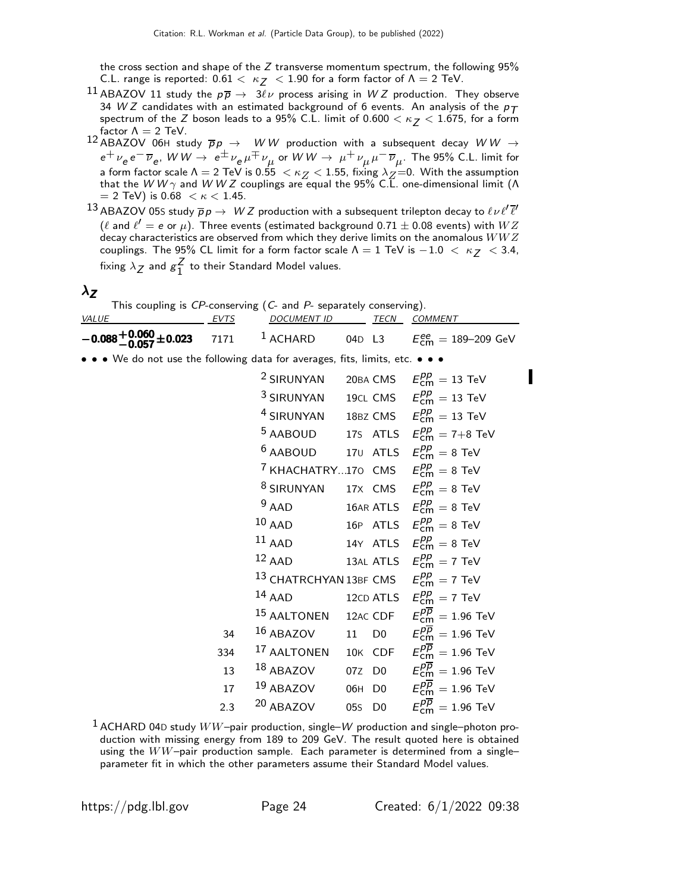the cross section and shape of the  $Z$  transverse momentum spectrum, the following 95% C.L. range is reported:  $0.61 < \kappa$   $<$  1.90 for a form factor of  $\Lambda = 2$  TeV.

- $^{11}$  ABAZOV 11 study the  $p\overline{p} \rightarrow$  3 $\ell\nu$  process arising in WZ production. They observe 34 W Z candidates with an estimated background of 6 events. An analysis of the  $p_T$ spectrum of the Z boson leads to a 95% C.L. limit of  $0.600 < \kappa$   $<$  1.675, for a form factor  $\Lambda = 2$  TeV.
- 12 ABAZOV 06H study  $\overline{p}p \rightarrow WW$  production with a subsequent decay  $WW \rightarrow$  $e^+\,\nu_e\,e^-\,\overline{\nu}_e$ ,  $W\,W\to\ e^\pm\,\nu_e\,\mu^\mp\,\nu_\mu$  or  $W\,W\to\ \mu^+\,\nu_\mu\,\mu^-\,\overline{\nu}_\mu.$  The 95% C.L. limit for a form factor scale  $\Lambda=2$  TeV is 0.55  $\,<\kappa_{Z}^{}<1.55$ , fixing  $\lambda_{Z}^{}\!=\!0.$  With the assumption<br>that the W W  $\gamma$  and W W Z couplings are equal the 95% C.L. one-dimensional limit ( $\Lambda$  $= 2$  TeV) is 0.68  $< \kappa < 1.45$ .
- $^{13}$  ABAZOV 05s study  $\overline{p} \, p \to \; W Z$  production with a subsequent trilepton decay to  $\ell \nu \ell' \overline{\ell'}$  $(\ell$  and  $\ell'=$   $e$  or  $\mu)$ . Three events (estimated background 0.71  $\pm$  0.08 events) with  $WZ$ decay characteristics are observed from which they derive limits on the anomalous  $WWZ$ couplings. The 95% CL limit for a form factor scale  $\Lambda = 1$  TeV is  $-1.0 < \kappa_Z < 3.4$ , fixing  $\lambda_Z$  and  $g_1^Z$  $\frac{2}{1}$  to their Standard Model values.

#### $\lambda$ z

| This coupling is $CP$ -conserving $(C$ - and $P$ - separately conserving).    |      |                    |  |      |                                    |  |  |
|-------------------------------------------------------------------------------|------|--------------------|--|------|------------------------------------|--|--|
| <i>VALUE</i>                                                                  | EVTS | <i>DOCUMENT ID</i> |  | TECN | <i>COMMENT</i>                     |  |  |
| $-0.088 + 0.060 + 0.023$ 7171 <sup>1</sup> ACHARD                             |      |                    |  |      | 04D L3 $E_{cm}^{ee} = 189-209$ GeV |  |  |
| • • • We do not use the following data for averages, fits, limits, etc. • • • |      |                    |  |      |                                    |  |  |

|     | <sup>2</sup> SIRUNYAN 20BA CMS $E_{\text{cm}}^{pp} = 13 \text{ TeV}$               |        |                                                      |
|-----|------------------------------------------------------------------------------------|--------|------------------------------------------------------|
|     | <sup>3</sup> SIRUNYAN 19CL CMS $E_{\text{cm}}^{pp} = 13 \text{ TeV}$               |        |                                                      |
|     | <sup>4</sup> SIRUNYAN 18BZ CMS $E_{cm}^{pp} = 13$ TeV                              |        |                                                      |
|     |                                                                                    |        | <sup>5</sup> AABOUD 17S ATLS $E_{cm}^{pp} = 7+8$ TeV |
|     | <sup>6</sup> AABOUD 170 ATLS $E_{cm}^{pp} = 8$ TeV                                 |        |                                                      |
|     | <sup>7</sup> KHACHATRY170 CMS $E_{cm}^{pp} = 8$ TeV                                |        |                                                      |
|     | <sup>8</sup> SIRUNYAN 17X CMS $E_{\text{cm}}^{pp} = 8$ TeV                         |        |                                                      |
|     | $9$ AAD                                                                            |        | 16AR ATLS $E_{\text{cm}}^{pp} = 8 \text{ TeV}$       |
|     | $10$ AAD                                                                           |        | 16P ATLS $E_{cm}^{pp} = 8$ TeV                       |
|     | $11$ AAD                                                                           |        | 14Y ATLS $E_{cm}^{pp} = 8$ TeV                       |
|     | $12$ AAD                                                                           |        | 13AL ATLS $E_{\text{cm}}^{pp} = 7 \text{ TeV}$       |
|     | <sup>13</sup> CHATRCHYAN 13BF CMS $E_{cm}^{pp} = 7$ TeV                            |        |                                                      |
|     | 14 AAD 12CD ATLS $E_{\text{cm}}^{pp} = 7 \text{ TeV}$                              |        |                                                      |
|     | <sup>15</sup> AALTONEN 12AC CDF $E_{\text{cm}}^{p\overline{p}} = 1.96 \text{ TeV}$ |        |                                                      |
| 34  | 16 ABAZOV 11 D0 $E_{cm}^{p\overline{p}} = 1.96$ TeV                                |        |                                                      |
|     | 334 <sup>17</sup> AALTONEN 10K CDF $E_{cm}^{\overline{p}} = 1.96$ TeV              |        |                                                      |
| 13  | <sup>18</sup> ABAZOV 07Z D0 $E_{cm}^{p\overline{p}} = 1.96$ TeV                    |        |                                                      |
| 17  | <sup>19</sup> ABAZOV 06H D0 $E_{cm}^{p\overline{p}} = 1.96$ TeV                    |        |                                                      |
| 2.3 | <sup>20</sup> ABAZOV                                                               | 05s D0 | $E_{\text{cm}}^{p\overline{p}}=1.96$ TeV             |
|     |                                                                                    |        |                                                      |

 $1$  ACHARD 04D study  $WW$ -pair production, single– $W$  production and single–photon production with missing energy from 189 to 209 GeV. The result quoted here is obtained using the  $WW$ -pair production sample. Each parameter is determined from a singleparameter fit in which the other parameters assume their Standard Model values.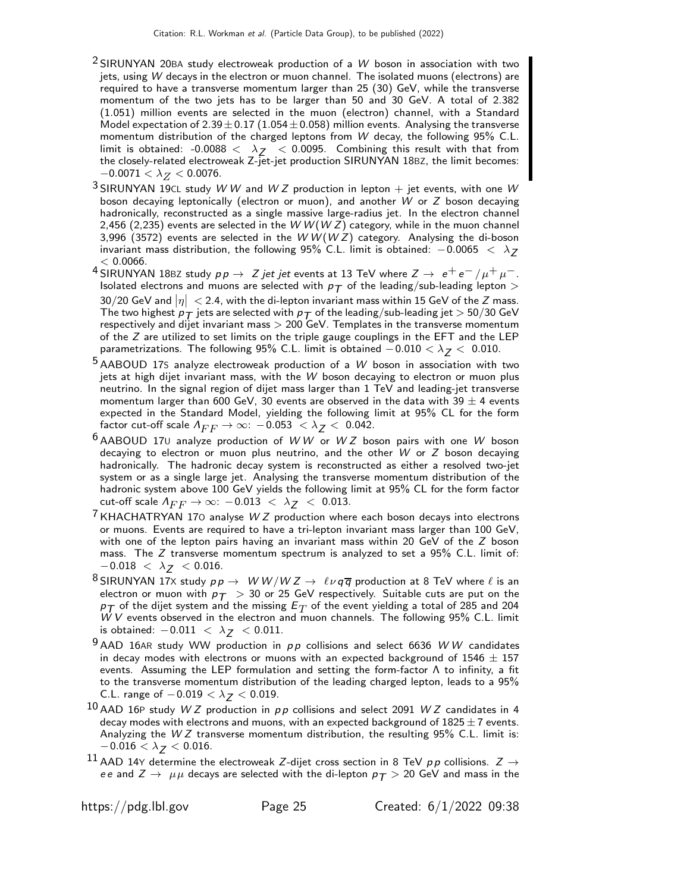- $2$  SIRUNYAN 20BA study electroweak production of a W boson in association with two jets, using W decays in the electron or muon channel. The isolated muons (electrons) are required to have a transverse momentum larger than 25 (30) GeV, while the transverse momentum of the two jets has to be larger than 50 and 30 GeV. A total of 2.382 (1.051) million events are selected in the muon (electron) channel, with a Standard Model expectation of  $2.39 \pm 0.17$  (1.054 $\pm$ 0.058) million events. Analysing the transverse momentum distribution of the charged leptons from W decay, the following 95% C.L. limit is obtained: -0.0088  $\langle \lambda_{7} \rangle$   $\langle$  0.0095. Combining this result with that from the closely-related electroweak Z-jet-jet production SIRUNYAN 18BZ, the limit becomes:  $-0.0071 < \lambda_Z < 0.0076$ .
- <sup>3</sup> SIRUNYAN 19CL study W W and W Z production in lepton  $+$  jet events, with one W boson decaying leptonically (electron or muon), and another W or Z boson decaying hadronically, reconstructed as a single massive large-radius jet. In the electron channel 2,456 (2,235) events are selected in the WW(WZ) category, while in the muon channel 3,996 (3572) events are selected in the  $W W (W Z)$  category. Analysing the di-boson invariant mass distribution, the following 95% C.L. limit is obtained:  $-0.0065 < \lambda_Z$  $< 0.0066$ .
- 4 SIRUNYAN 18BZ study  $p p \to Z$  jet jet events at 13 TeV where  $Z \to e^+ e^- / \mu^+ \mu^-$ . Isolated electrons and muons are selected with  $p<sub>T</sub>$  of the leading/sub-leading lepton >  $30/20$  GeV and  $|\eta| <$  2.4, with the di-lepton invariant mass within 15 GeV of the Z mass. The two highest  $p_T$  jets are selected with  $p_T$  of the leading/sub-leading jet  $>$  50/30 GeV respectively and dijet invariant mass  $> 200$  GeV. Templates in the transverse momentum of the  $Z$  are utilized to set limits on the triple gauge couplings in the EFT and the LEP parametrizations. The following 95% C.L. limit is obtained  $-0.010 < \lambda_Z < 0.010$ .
- $5$  AABOUD 17S analyze electroweak production of a W boson in association with two jets at high dijet invariant mass, with the W boson decaying to electron or muon plus neutrino. In the signal region of dijet mass larger than 1 TeV and leading-jet transverse momentum larger than 600 GeV, 30 events are observed in the data with 39  $\pm$  4 events expected in the Standard Model, yielding the following limit at 95% CL for the form factor cut-off scale  $\Lambda_{FF} \to \infty$ :  $-0.053 < \lambda_Z < 0.042$ .
- $6$  AABOUD 170 analyze production of WW or WZ boson pairs with one W boson decaying to electron or muon plus neutrino, and the other  $W$  or  $Z$  boson decaying hadronically. The hadronic decay system is reconstructed as either a resolved two-jet system or as a single large jet. Analysing the transverse momentum distribution of the hadronic system above 100 GeV yields the following limit at 95% CL for the form factor cut-off scale  $\Lambda_{FF} \to \infty$ : -0.013 <  $\lambda_Z$  < 0.013.
- $7$  KHACHATRYAN 170 analyse W Z production where each boson decays into electrons or muons. Events are required to have a tri-lepton invariant mass larger than 100 GeV, with one of the lepton pairs having an invariant mass within 20 GeV of the Z boson mass. The Z transverse momentum spectrum is analyzed to set a 95% C.L. limit of:  $-0.018 < \lambda_Z < 0.016$ .
- <sup>8</sup> SIRUNYAN 17X study  $pp \to W W/W Z \to \ell \nu q \overline{q}$  production at 8 TeV where  $\ell$  is an electron or muon with  $p_T > 30$  or 25 GeV respectively. Suitable cuts are put on the  $p_{\mathcal{T}}$  of the dijet system and the missing  $E_T$  of the event yielding a total of 285 and 204 W V events observed in the electron and muon channels. The following 95% C.L. limit is obtained:  $-0.011 < \lambda_Z < 0.011$ .
- $9$  AAD 16AR study WW production in  $pp$  collisions and select 6636 WW candidates in decay modes with electrons or muons with an expected background of 1546  $\pm$  157 events. Assuming the LEP formulation and setting the form-factor  $\Lambda$  to infinity, a fit to the transverse momentum distribution of the leading charged lepton, leads to a 95% C.L. range of  $-0.019 < \lambda_Z < 0.019$ .
- $10$  AAD 16P study W Z production in pp collisions and select 2091 W Z candidates in 4 decay modes with electrons and muons, with an expected background of  $1825 \pm 7$  events. Analyzing the  $WZ$  transverse momentum distribution, the resulting 95% C.L. limit is:  $-0.016<\lambda_{\boldsymbol{\mathcal{J}}}<0.016.$
- <sup>11</sup> AAD 14Y determine the electroweak Z-dijet cross section in 8 TeV pp collisions.  $Z \rightarrow$ ee and  $Z \rightarrow \mu\mu$  decays are selected with the di-lepton  $p_T > 20$  GeV and mass in the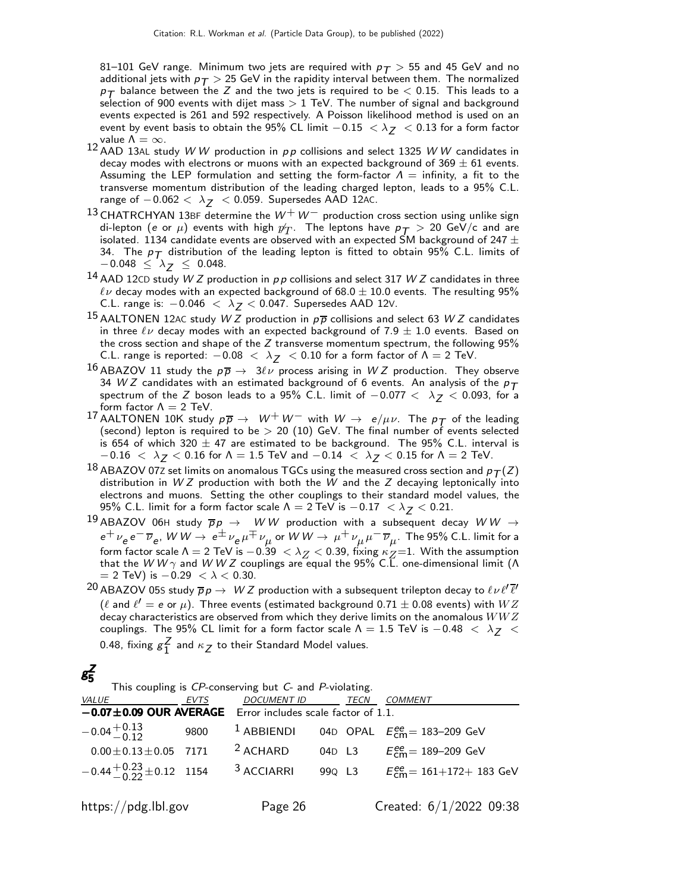81–101 GeV range. Minimum two jets are required with  $p_T > 55$  and 45 GeV and no additional jets with  $p_T > 25$  GeV in the rapidity interval between them. The normalized  $p_{\mathcal{T}}$  balance between the Z and the two jets is required to be  $<$  0.15. This leads to a selection of 900 events with dijet mass  $> 1$  TeV. The number of signal and background events expected is 261 and 592 respectively. A Poisson likelihood method is used on an event by event basis to obtain the 95% CL limit  $-0.15 < \lambda_Z < 0.13$  for a form factor value  $\Lambda=\infty.$ 

- 12 AAD 13AL study W W production in  $pp$  collisions and select 1325 W W candidates in decay modes with electrons or muons with an expected background of  $369 \pm 61$  events. Assuming the LEP formulation and setting the form-factor  $\Lambda =$  infinity, a fit to the transverse momentum distribution of the leading charged lepton, leads to a 95% C.L. range of  $-0.062 < \lambda_Z < 0.059$ . Supersedes AAD 12AC.
- 13 CHATRCHYAN 13BF determine the  $W^+W^-$  production cross section using unlike sign di-lepton (e or  $\mu$ ) events with high  $p_T$ . The leptons have  $p_T > 20$  GeV/c and are isolated. 1134 candidate events are observed with an expected SM background of 247  $\pm$ 34. The  $p_T$  distribution of the leading lepton is fitted to obtain 95% C.L. limits of  $-$ 0.048  $\leq~\lambda_{\boldsymbol{Z}}~\leq~$  0.048.
- 14 AAD 12CD study W Z production in  $p p$  collisions and select 317 W Z candidates in three  $\ell\nu$  decay modes with an expected background of 68.0  $\pm$  10.0 events. The resulting 95% C.L. range is:  $-0.046 < \lambda$  z < 0.047. Supersedes AAD 12∨.
- 15 AALTONEN 12AC study W Z production in  $p\overline{p}$  collisions and select 63 W Z candidates in three  $\ell\nu$  decay modes with an expected background of 7.9  $\pm$  1.0 events. Based on the cross section and shape of the  $Z$  transverse momentum spectrum, the following 95% C.L. range is reported:  $-0.08 < \lambda_Z < 0.10$  for a form factor of  $\Lambda = 2$  TeV.
- 16 ABAZOV 11 study the  $p\overline{p} \rightarrow 3\ell\nu$  process arising in WZ production. They observe 34 W Z candidates with an estimated background of 6 events. An analysis of the  $p_T$ spectrum of the Z boson leads to a 95% C.L. limit of  $-0.077 < \lambda_Z < 0.093$ , for a form factor  $\Lambda = 2$  TeV.
- 17 AALTONEN 10K study  $p\overline{p} \rightarrow W^+W^-$  with  $W \rightarrow e/\mu\nu$ . The  $p\overline{p}$  of the leading (second) lepton is required to be  $> 20$  (10) GeV. The final number of events selected is 654 of which 320  $\pm$  47 are estimated to be background. The 95% C.L. interval is  $-0.16~<~\lambda_{\text{\sf Z}} < 0.16$  for  $\Lambda = 1.5$  TeV and  $-0.14~<~\lambda_{\text{\sf Z}} < 0.15$  for  $\Lambda = 2$  TeV.
- $^{18}$  ABAZOV 072 set limits on anomalous TGCs using the measured cross section and  $p_T(Z)$ distribution in  $WZ$  production with both the  $W$  and the  $Z$  decaying leptonically into electrons and muons. Setting the other couplings to their standard model values, the 95% C.L. limit for a form factor scale  $\Lambda = 2$  TeV is  $-0.17 < \lambda_Z < 0.21$ .
- $^{19}$  ABAZOV 06H study  $\overline{p}p\rightarrow -W\,W$  production with a subsequent decay  $WW\rightarrow$  $e^+\,\nu_e\,e^-\,\overline{\nu}_e$ ,  $\,W\,W\to\,e^\pm\,\nu_e\,\mu^\mp\,\nu_\mu$  or  $\,W\,W\to\,\mu^+\,\nu_\mu\,\mu^-\,\overline{\nu}_\mu$ . The 95% C.L. limit for a form factor scale  $\Lambda = 2$  TeV is  $-0.39 < \lambda_Z < 0.39$ , fixing  $\kappa_Z = 1$ . With the assumption that the W W  $\gamma$  and W W Z couplings are equal the 95% C.L. one-dimensional limit (Λ  $=$  2 TeV) is  $-0.29 < \lambda < 0.30$ .
- $^{20}$  ABAZOV 05S study  $\overline{p}p\to~$   $WZ$  production with a subsequent trilepton decay to  $\ell\nu\ell'\overline{\ell}'$  $(\ell$  and  $\ell'=$   $e$  or  $\mu)$ . Three events (estimated background 0.71  $\pm$  0.08 events) with  $WZ$ decay characteristics are observed from which they derive limits on the anomalous  $WWZ$ couplings. The 95% CL limit for a form factor scale  $\Lambda = 1.5$  TeV is  $-0.48 < \lambda_Z <$ 0.48, fixing  $g_1^Z$  $\frac{2}{1}$  and  $\kappa$   $\frac{2}{5}$  to their Standard Model values.

#### g Z 5

|  |  |  |  |  |  |  |  |  | This coupling is CP-conserving but C- and P-violating. |  |
|--|--|--|--|--|--|--|--|--|--------------------------------------------------------|--|
|--|--|--|--|--|--|--|--|--|--------------------------------------------------------|--|

| <i>VALUE</i>                               | EVTS | DOCUMENT ID TECN COMMENT            |  |                                                            |
|--------------------------------------------|------|-------------------------------------|--|------------------------------------------------------------|
| $-0.07 \pm 0.09$ OUR AVERAGE               |      | Error includes scale factor of 1.1. |  |                                                            |
| $-0.04 + 0.13$                             | 9800 | $1$ ABBIENDI                        |  | 04D OPAL $E_{\text{cm}}^{\text{ee}} = 183-209 \text{ GeV}$ |
| $0.00 \pm 0.13 \pm 0.05$ 7171              |      | $2$ ACHARD                          |  | 04D L3 $E_{cm}^{ee} = 189-209$ GeV                         |
| $-0.44 + {}^{+0.23}_{-0.22} \pm 0.12$ 1154 |      | $3$ ACCIARRI                        |  | 99Q L3 $E_{cm}^{ee} = 161 + 172 + 183$ GeV                 |
| https://pdg.lbl.gov                        |      | Page 26                             |  | Created: $6/1/2022$ 09:38                                  |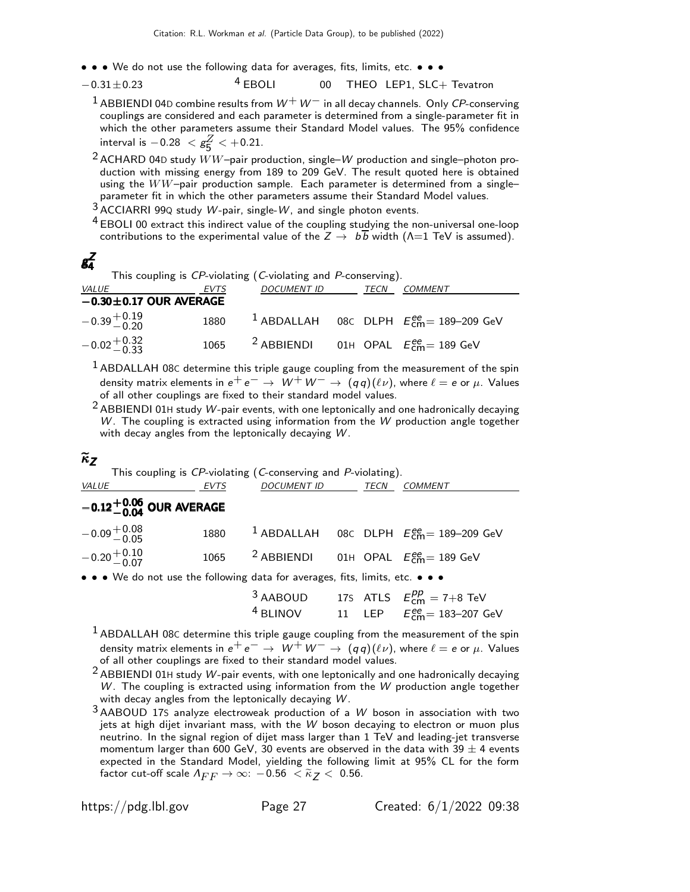- • We do not use the following data for averages, fits, limits, etc. • •
- $-0.31 \pm 0.23$   $4$  EBOLI 00 THEO LEP1, SLC+ Tevatron
	- <sup>1</sup> ABBIENDI 04D combine results from  $W^+W^-$  in all decay channels. Only CP-conserving couplings are considered and each parameter is determined from a single-parameter fit in which the other parameters assume their Standard Model values. The 95% confidence interval is  $-0.28~<{\rm g}^Z_5$  $\frac{2}{5}$  < +0.21.
	- <sup>2</sup> ACHARD 04D study  $WW$ -pair production, single-W production and single-photon production with missing energy from 189 to 209 GeV. The result quoted here is obtained using the  $WW$ -pair production sample. Each parameter is determined from a singleparameter fit in which the other parameters assume their Standard Model values.
	- $3$  ACCIARRI 99Q study W-pair, single-W, and single photon events.
	- <sup>4</sup> EBOLI 00 extract this indirect value of the coupling studying the non-universal one-loop contributions to the experimental value of the  $Z \rightarrow b\overline{b}$  width ( $\Lambda$ =1 TeV is assumed).

#### g Z 4

This coupling is CP-violating (C-violating and P-conserving).

| <i>VALUE</i>                 | <b>EVTS</b> | <i>DOCUMENT ID</i>                                          | TECN | <i>COMMENT</i>                                                   |
|------------------------------|-------------|-------------------------------------------------------------|------|------------------------------------------------------------------|
| $-0.30 \pm 0.17$ OUR AVERAGE |             |                                                             |      |                                                                  |
| $-0.39 + 0.19$               |             |                                                             |      | 1880 $\frac{1}{2}$ ABDALLAH 08C DLPH $E_{cm}^{ee}$ = 189-209 GeV |
| $-0.02 + 0.32$               |             | 1065 <sup>2</sup> ABBIENDI 01H OPAL $E_{cm}^{ee}$ = 189 GeV |      |                                                                  |

 $<sup>1</sup>$  ABDALLAH 08C determine this triple gauge coupling from the measurement of the spin</sup> density matrix elements in  $e^+e^- \rightarrow \tilde{W}^+W^- \rightarrow (qq)(\ell \nu)$ , where  $\ell = e$  or  $\mu$ . Values of all other couplings are fixed to their standard model values.

2 ABBIENDI 01<sup>H</sup> study W-pair events, with one leptonically and one hadronically decaying  $W$ . The coupling is extracted using information from the  $W$  production angle together with decay angles from the leptonically decaying W.

## $\widetilde{\kappa}_Z$

| This coupling is CP-violating (C-conserving and P-violating).                 |      |                                                             |  |      |                                                                   |  |
|-------------------------------------------------------------------------------|------|-------------------------------------------------------------|--|------|-------------------------------------------------------------------|--|
| <i>VALUE</i>                                                                  | EVTS | <i>DOCUMENT ID</i>                                          |  | TECN | <b>COMMENT</b>                                                    |  |
| $-0.12^{+0.06}_{-0.04}$ OUR AVERAGE                                           |      |                                                             |  |      |                                                                   |  |
| $-0.09 + 0.08$                                                                | 1880 |                                                             |  |      | <sup>1</sup> ABDALLAH 08C DLPH $E_{\text{cm}}^{ee}$ = 189-209 GeV |  |
| $-0.20 + 0.10$                                                                |      | 1065 <sup>2</sup> ABBIENDI 01H OPAL $E_{cm}^{ee}$ = 189 GeV |  |      |                                                                   |  |
| • • • We do not use the following data for averages, fits, limits, etc. • • • |      |                                                             |  |      |                                                                   |  |

| $^3$ AABOUD |  | 175 ATLS $E_{cm}^{pp} = 7+8$ TeV                           |
|-------------|--|------------------------------------------------------------|
| $^4$ BLINOV |  | 11 LEP $E_{\text{cm}}^{\text{ee}} = 183 - 207 \text{ GeV}$ |

- $1$  ABDALLAH 08C determine this triple gauge coupling from the measurement of the spin density matrix elements in  $e^+e^- \rightarrow W^+W^- \rightarrow (qq)(\ell \nu)$ , where  $\ell = e$  or  $\mu$ . Values of all other couplings are fixed to their standard model values.
- $2$  ABBIENDI 01H study W-pair events, with one leptonically and one hadronically decaying  $W$ . The coupling is extracted using information from the  $W$  production angle together with decay angles from the leptonically decaying W.
- $3$  AABOUD 17S analyze electroweak production of a W boson in association with two jets at high dijet invariant mass, with the W boson decaying to electron or muon plus neutrino. In the signal region of dijet mass larger than 1 TeV and leading-jet transverse momentum larger than 600 GeV, 30 events are observed in the data with 39  $\pm$  4 events expected in the Standard Model, yielding the following limit at 95% CL for the form factor cut-off scale  $\Lambda_{FF} \to \infty$ :  $-0.56 < \tilde{\kappa}_Z < 0.56$ .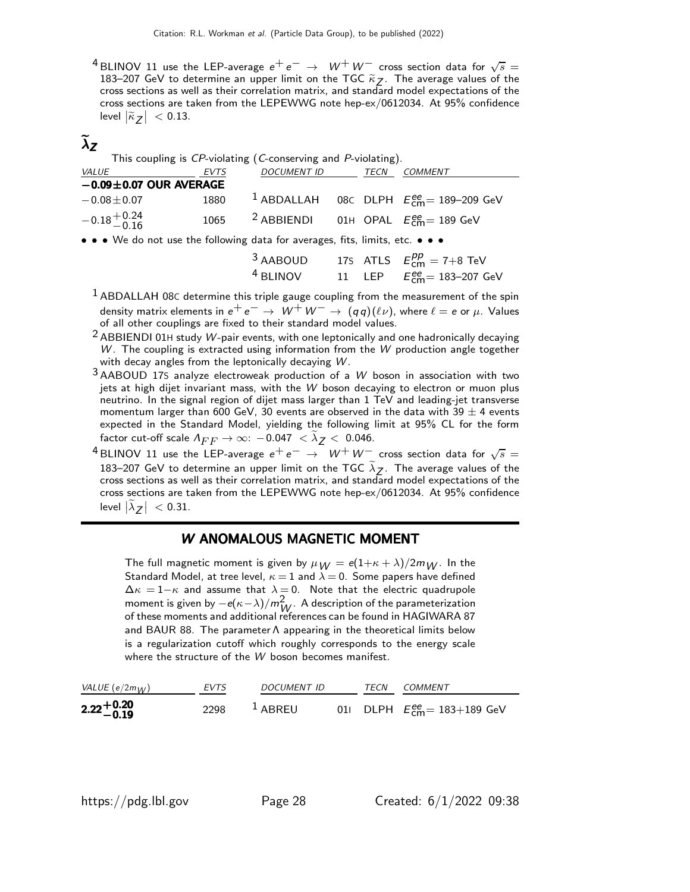<sup>4</sup> BLINOV 11 use the LEP-average  $e^+e^-$  →  $W^+W^-$  cross section data for  $\sqrt{s}$  = 183–207 GeV to determine an upper limit on the TGC  $\widetilde{k}_Z$ . The average values of the cross sections as well as their correlation matrix, and standard model expectations of the cross sections are taken from the LEPEWWG note hep-ex/0612034. At 95% confidence level  $|\tilde{\kappa}_Z| < 0.13$ .

# $\lambda$ z

| This coupling is CP-violating (C-conserving and P-violating).                 |             |                                                               |  |  |                                                                   |  |
|-------------------------------------------------------------------------------|-------------|---------------------------------------------------------------|--|--|-------------------------------------------------------------------|--|
| VALUE                                                                         | <b>EVTS</b> | DOCUMENT ID TECN                                              |  |  | <b>COMMENT</b>                                                    |  |
| $-0.09 \pm 0.07$ OUR AVERAGE                                                  |             |                                                               |  |  |                                                                   |  |
| $-0.08 \pm 0.07$                                                              | 1880        |                                                               |  |  | <sup>1</sup> ABDALLAH 08C DLPH $E_{\text{cm}}^{ee}$ = 189-209 GeV |  |
| $-0.18 + 0.24$<br>0.16                                                        | 1065        | <sup>2</sup> ABBIENDI 01H OPAL $E_{\text{cm}}^{ee}$ = 189 GeV |  |  |                                                                   |  |
| • • • We do not use the following data for averages, fits, limits, etc. • • • |             |                                                               |  |  |                                                                   |  |
|                                                                               |             |                                                               |  |  | <sup>3</sup> AABOUD 17S ATLS $E_{cm}^{pp} = 7+8$ TeV              |  |

 $1$  ABDALLAH 08C determine this triple gauge coupling from the measurement of the spin density matrix elements in  $e^+e^-\rightarrow\;W^+\,W^-\rightarrow\; (q\,q)(\ell\nu)$ , where  $\ell=e$  or  $\mu$ . Values of all other couplings are fixed to their standard model values.

 $4$  BLINOV  $11$  LEP

- $2$  ABBIENDI 01H study W-pair events, with one leptonically and one hadronically decaying  $W$ . The coupling is extracted using information from the  $W$  production angle together with decay angles from the leptonically decaying W.
- 3 AABOUD 17<sup>S</sup> analyze electroweak production of a W boson in association with two jets at high dijet invariant mass, with the W boson decaying to electron or muon plus neutrino. In the signal region of dijet mass larger than 1 TeV and leading-jet transverse momentum larger than 600 GeV, 30 events are observed in the data with 39  $\pm$  4 events expected in the Standard Model, yielding the following limit at 95% CL for the form factor cut-off scale  $\Lambda_{FF} \to \infty: \, -0.047 \, < \lambda_{\text{\sf Z}} < \, 0.046.$
- $^4$ BLINOV 11 use the LEP-average  $e^+ \, e^- \, \rightarrow \, \, W^+ \, W^-_-$  cross section data for  $\sqrt{s} =$ 183–207 GeV to determine an upper limit on the TGC  $\lambda_Z$ . The average values of the cross sections as well as their correlation matrix, and standard model expectations of the cross sections are taken from the LEPEWWG note hep-ex/0612034. At 95% confidence level  $|\widetilde{\lambda}_Z| < 0.31$ .

### W ANOMALOUS MAGNETIC MOMENT

The full magnetic moment is given by  $\mu_W = e(1+\kappa+\lambda)/2m_W$ . In the Standard Model, at tree level,  $\kappa = 1$  and  $\lambda = 0$ . Some papers have defined  $\Delta \kappa = 1-\kappa$  and assume that  $\lambda = 0$ . Note that the electric quadrupole moment is given by  $-e(\kappa-\lambda)/m\frac{2}{W}$ . A description of the parameterization of these moments and additional references can be found in HAGIWARA 87 and BAUR 88. The parameter Λ appearing in the theoretical limits below is a regularization cutoff which roughly corresponds to the energy scale where the structure of the W boson becomes manifest.

| VALUE (e/2m $_{\mathcal{W}}$ ) | EVTS           | DOCUMENT ID | TFCN | <i>COMMENT</i>                        |
|--------------------------------|----------------|-------------|------|---------------------------------------|
| $2.22 + 0.20$<br>-0.19         | 2298 $1$ ABREU |             |      | 01 DLPH $E_{cm}^{ee} = 183 + 189$ GeV |

ee<br>cm= 183–207 GeV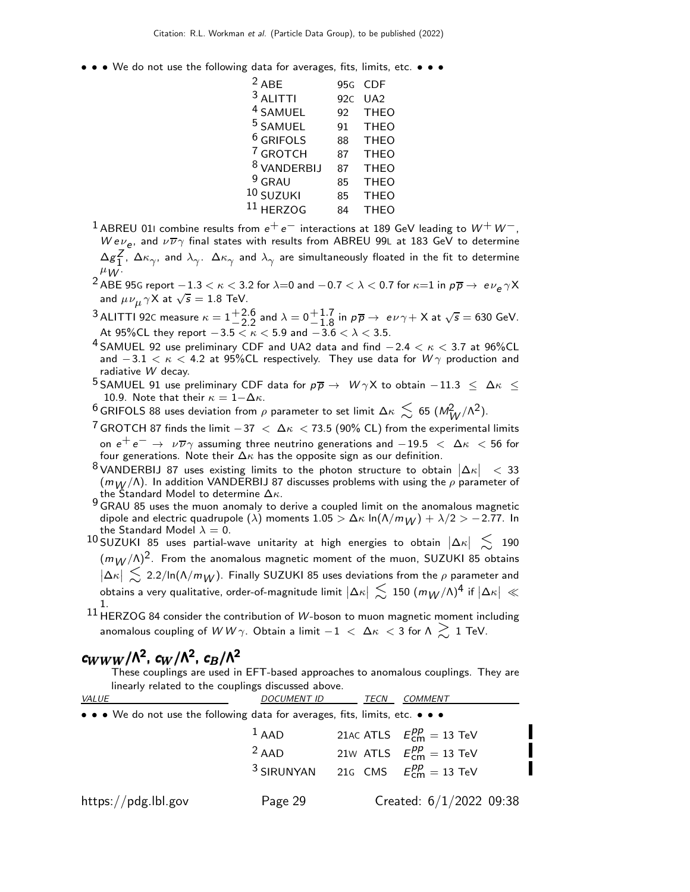• • • We do not use the following data for averages, fits, limits, etc. • • •

| $2$ ABE                | 95 <sub>G</sub> | CDE             |
|------------------------|-----------------|-----------------|
| $3$ ALITTI             | 92C             | UA <sub>2</sub> |
| <sup>4</sup> SAMUEL    | 92              | <b>THEO</b>     |
| <sup>5</sup> SAMUEL    | 91              | <b>THEO</b>     |
| <sup>6</sup> GRIFOLS   | 88              | <b>THEO</b>     |
| <sup>7</sup> GROTCH    | 87              | <b>THEO</b>     |
| <sup>8</sup> VANDERBIJ | 87              | <b>THEO</b>     |
| $9$ GRAU               | 85              | <b>THEO</b>     |
| 10 SUZUKI              | 85              | <b>THEO</b>     |
| $^{11}$ HERZOG         | R4              | <b>THEO</b>     |
|                        |                 |                 |

- $^1$ ABREU 011 combine results from  $e^+ \, e^-$  interactions at 189 GeV leading to  $W^+ \, W^-$ , We $\nu_e$ , and  $\nu \overline{\nu} \gamma$  final states with results from ABREU 99L at 183 GeV to determine  $\Delta g_1^Z$  $\frac{\mathsf{Z}}{1}$ ,  $\Delta \kappa_{\gamma}$ , and  $\lambda_{\gamma}$ .  $\Delta \kappa_{\gamma}$  and  $\lambda_{\gamma}$  are simultaneously floated in the fit to determine  $\mu_W$ .
- $^2$  ABE 95G report  $-1.3 < \kappa < 3.2$  for  $\lambda{=}0$  and  $-0.7 < \lambda < 0.7$  for  $\kappa{=}1$  in  $\rho\overline{\rho} \rightarrow\ e{\nu}_e\gamma$ X and  $\mu\nu_{\mu}\gamma\dot{\mathsf{X}}$  at  $\sqrt{s}=1.8$  TeV.
- $3$  ALITTI 92C measure  $\kappa = 1 + \frac{2.6}{-2.2}$  and  $\lambda = 0 + \frac{1.7}{-1.8}$  in  $p\overline{p} \rightarrow e\nu\gamma + X$  at  $\sqrt{s} = 630$  GeV. At  $95\%$ CL they report  $-3.5 < \kappa < 5.9$  and  $-3.6 < \lambda < 3.5$ .
- 4 SAMUEL 92 use preliminary CDF and UA2 data and find  $-2.4 < \kappa < 3.7$  at 96%CL and  $-3.1 < \kappa < 4.2$  at 95%CL respectively. They use data for  $W\gamma$  production and radiative W decay.
- 5 SAMUEL 91 use preliminary CDF data for  $p\overline{p} \to W\gamma X$  to obtain  $-11.3 \leq \Delta \kappa \leq$ 10.9. Note that their  $\kappa = 1-\Delta\kappa$ .
- <sup>6</sup> GRIFOLS 88 uses deviation from  $\rho$  parameter to set limit Δκ  $\lesssim$  65 (M $^2_{W}/$ Λ $^2$ ).
- $7$  GROTCH 87 finds the limit  $-37 < \Delta \kappa < 73.5$  (90% CL) from the experimental limits on  $e^+e^- \rightarrow \nu \overline{\nu} \gamma$  assuming three neutrino generations and  $-19.5 < \Delta \kappa < 56$  for four generations. Note their  $\Delta \kappa$  has the opposite sign as our definition.
- $8$  VANDERBIJ 87 uses existing limits to the photon structure to obtain  $|\Delta \kappa|$  < 33  $(m_W/\Lambda)$ . In addition VANDERBIJ 87 discusses problems with using the  $\rho$  parameter of the Standard Model to determine  $\Delta \kappa$ .
- g the standard model to determine  $\frac{1}{2}$ . dipole and electric quadrupole  $(\lambda)$  moments  $1.05 > \Delta\kappa$  ln $(\Lambda/m_W) + \lambda/2 > -2.77$ . In the Standard Model  $\lambda = 0$ .
- $10$  SUZUKI 85 uses partial-wave unitarity at high energies to obtain  $|\Delta \kappa| \approx 190$  $(m_W/\Lambda)^2$ . From the anomalous magnetic moment of the muon, SUZUKI 85 obtains  $|\Delta\kappa| \lesssim 2.2/\text{ln}(\Lambda/m_W)$ . Finally SUZUKI 85 uses deviations from the  $\rho$  parameter and obtains a very qualitative, order-of-magnitude limit  $\left|\Delta\kappa\right|\,\lesssim\,150\;\text{(}m_{W}/\text{\AA})^{4}$  if  $\left|\Delta\kappa\right|\,\ll\,$
- $^{\rm 11}$  HERZOG 84 consider the contribution of *W-*boson to muon magnetic moment including anomalous coupling of  $WW\gamma$ . Obtain a limit  $-1$  <  $\Delta \kappa$  < 3 for  $\Lambda \gtrsim 1$  TeV.

# c<sub>WWW</sub>/Λ<sup>2</sup>, c<sub>W</sub>/Λ<sup>2</sup>, c<sub>B</sub>/Λ<sup>2</sup>

These couplings are used in EFT-based approaches to anomalous couplings. They are linearly related to the couplings discussed above.

| VALUE                                                                                                                 | <b>DOCUMENT ID</b>    | TECN | <b>COMMENT</b>                   |
|-----------------------------------------------------------------------------------------------------------------------|-----------------------|------|----------------------------------|
| $\bullet \bullet \bullet$ We do not use the following data for averages, fits, limits, etc. $\bullet \bullet \bullet$ |                       |      |                                  |
|                                                                                                                       | $1$ AAD               |      | 21AC ATLS $E_{cm}^{pp} = 13$ TeV |
|                                                                                                                       | $2$ AAD               |      | 21w ATLS $E_{cm}^{pp} = 13$ TeV  |
|                                                                                                                       | <sup>3</sup> SIRUNYAN |      | 21G CMS $E_{cm}^{pp} = 13$ TeV   |
| https://pdg.lbl.gov                                                                                                   | Page 29               |      | Created: $6/1/2022$ 09:38        |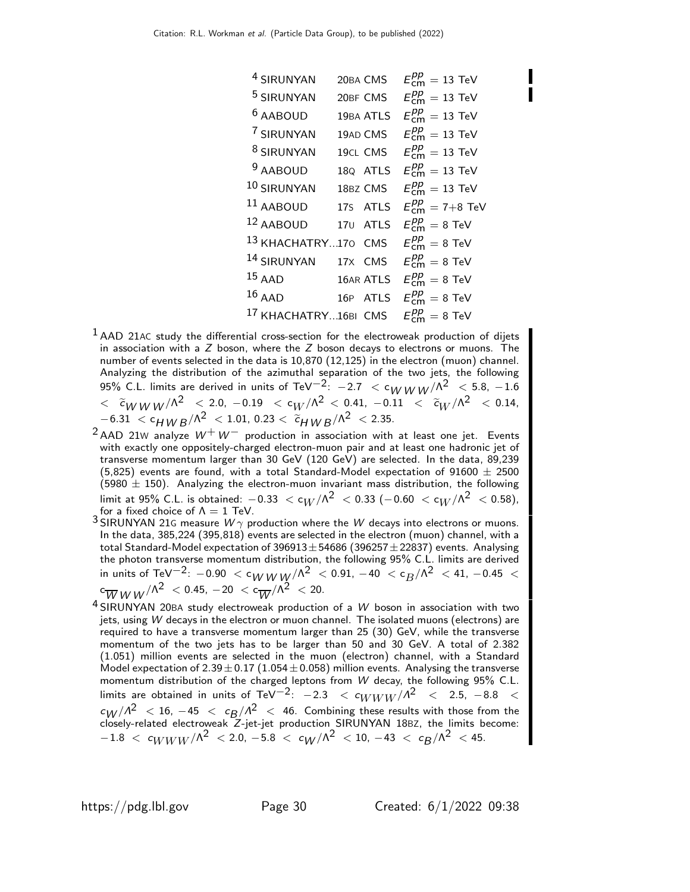| <sup>4</sup> SIRUNYAN           |         | 20BA CMS  | $E_{cm}^{pp} = 13$ TeV               |
|---------------------------------|---------|-----------|--------------------------------------|
| <sup>5</sup> SIRUNYAN           |         | 20BF CMS  | $E_{cm}^{pp} = 13$ TeV               |
| <sup>6</sup> AABOUD             |         | 19BA ATLS | $E_{\text{cm}}^{pp} = 13$ TeV        |
| 7 SIRUNYAN                      |         | 19AD CMS  | $E_{\text{cm}}^{pp} = 13$ TeV        |
| <sup>8</sup> SIRUNYAN           |         | 19CL CMS  | $E_{cm}^{pp} = 13$ TeV               |
| <sup>9</sup> AABOUD             |         | 18Q ATLS  | $E_{\text{cm}}^{pp} = 13$ TeV        |
| 10 SIRUNYAN                     |         | 18BZ CMS  | $E_{cm}^{pp} = 13$ TeV               |
| 11 AABOUD                       |         | 17S ATLS  | $E_{cm}^{pp} = 7 + 8$ TeV            |
| 12 AABOUD                       |         | 170 ATLS  | $E_{cm}^{pp} = 8$ TeV                |
| 13 KHACHATRY170 CMS             |         |           | $E_{cm}^{pp} = 8$ TeV                |
| <sup>14</sup> SIRUNYAN          | 17X CMS |           | $E_{cm}^{pp} = 8$ TeV                |
| $15$ AAD                        |         | 16AR ATLS | $E_{cm}^{pp} = 8$ TeV                |
| $16$ AAD                        |         | 16P ATLS  | $E_{\text{cm}}^{pp} = 8 \text{ TeV}$ |
| <sup>17</sup> KHACHATRY16BI CMS |         |           | $E_{cm}^{pp} = 8$ TeV                |

- $<sup>1</sup>$ AAD 21AC study the differential cross-section for the electroweak production of dijets</sup> in association with a  $Z$  boson, where the  $Z$  boson decays to electrons or muons. The number of events selected in the data is 10,870 (12,125) in the electron (muon) channel. Analyzing the distribution of the azimuthal separation of the two jets, the following 95% C.L. limits are derived in units of TeV $^{-2}$ :  $-2.7 < c_{WWW}/\Lambda^2 < 5.8$ ,  $-1.6$  $<\;\; {\widetilde c}_W \, {}_W w\, /\Lambda^2 \;\; < \; 2.0 , \; -0.19 \;\; < \; c_W/\Lambda^2 \; < \; 0.41 , \; -0.11 \;\; < \;\; {\widetilde c}_W/\Lambda^2 \;\; < \; 0.14 ,$  $-6.31 < c_{HWB}/\Lambda^2 < 1.01$ , 0.23  $< \widetilde{c}_{HWB}/\Lambda^2 < 2.35$ .
- $2$ AAD 21W analyze  $W^+W^-$  production in association with at least one jet. Events with exactly one oppositely-charged electron-muon pair and at least one hadronic jet of transverse momentum larger than 30 GeV (120 GeV) are selected. In the data, 89,239 (5,825) events are found, with a total Standard-Model expectation of  $91600 \pm 2500$  $(5980 \pm 150)$ . Analyzing the electron-muon invariant mass distribution, the following limit at 95% C.L. is obtained:  $-0.33 < c_W/\Lambda^2 < 0.33 (-0.60 < c_W/\Lambda^2 < 0.58)$ , for a fixed choice of  $\Lambda = 1$  TeV.
- $3$  SIRUNYAN 21G measure  $W\gamma$  production where the  $W$  decays into electrons or muons. In the data, 385,224 (395,818) events are selected in the electron (muon) channel, with a total Standard-Model expectation of  $396913 \pm 54686$  (396257 $\pm$ 22837) events. Analysing the photon transverse momentum distribution, the following 95% C.L. limits are derived in units of TeV $^{-2}$ :  $-0.90$   $<$  c $_{W}$   $_{W}$  / $\Lambda ^2$   $<$  0.91,  $-40$   $<$  c $_{B}$ / $\Lambda ^2$   $<$  41,  $-0.45$   $<$  $\mathrm{c}_{\overline{W}WW}/\mathsf{\Lambda}^{2} \ <$  0.45,  $-20\ < \mathrm{c}_{\overline{W}}/\mathsf{\Lambda}^{2} \ <$  20.
- $4$  SIRUNYAN 20BA study electroweak production of a  $W$  boson in association with two jets, using W decays in the electron or muon channel. The isolated muons (electrons) are required to have a transverse momentum larger than 25 (30) GeV, while the transverse momentum of the two jets has to be larger than 50 and 30 GeV. A total of 2.382 (1.051) million events are selected in the muon (electron) channel, with a Standard Model expectation of  $2.39 \pm 0.17$  (1.054 $\pm$ 0.058) million events. Analysing the transverse momentum distribution of the charged leptons from W decay, the following 95% C.L. limits are obtained in units of TeV<sup>-2</sup>:  $-2.3 < c_{WWW}/\Lambda^2 < 2.5$ ,  $-8.8 <$  $c_W / A^2$  < 16, -45 <  $c_B / A^2$  < 46. Combining these results with those from the closely-related electroweak Z-jet-jet production SIRUNYAN 18BZ, the limits become:  $-1.8$  <  $c_{WWW}/\Lambda^2$  < 2.0,  $-5.8$  <  $c_{W}/\Lambda^2$  < 10,  $-43$  <  $c_{B}/\Lambda^2$  < 45.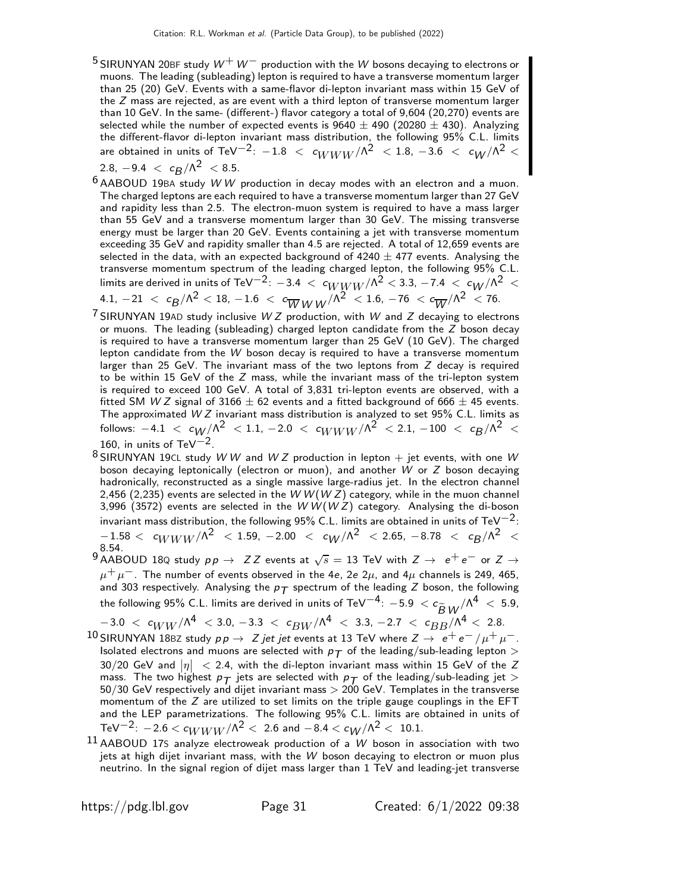<sup>5</sup> SIRUNYAN 20BF study  $W^+W^-$  production with the W bosons decaying to electrons or muons. The leading (subleading) lepton is required to have a transverse momentum larger than 25 (20) GeV. Events with a same-flavor di-lepton invariant mass within 15 GeV of the  $Z$  mass are rejected, as are event with a third lepton of transverse momentum larger than 10 GeV. In the same- (different-) flavor category a total of 9,604 (20,270) events are selected while the number of expected events is  $9640 \pm 490$  (20280  $\pm$  430). Analyzing the different-flavor di-lepton invariant mass distribution, the following 95% C.L. limits are obtained in units of TeV $^{-2}$ :  $-1.8$   $\, < \, c_{WWW}/\Lambda^2 \, < 1.8$ ,  $-3.6$   $\, < \, c_{W}/\Lambda^2 \, < \,$ 

$$
2.8, -9.4 < c_B/\Lambda^2 < 8.5.
$$

- $6$  AABOUD 19BA study WW production in decay modes with an electron and a muon. The charged leptons are each required to have a transverse momentum larger than 27 GeV and rapidity less than 2.5. The electron-muon system is required to have a mass larger than 55 GeV and a transverse momentum larger than 30 GeV. The missing transverse energy must be larger than 20 GeV. Events containing a jet with transverse momentum exceeding 35 GeV and rapidity smaller than 4.5 are rejected. A total of 12,659 events are selected in the data, with an expected background of  $4240 \pm 477$  events. Analysing the transverse momentum spectrum of the leading charged lepton, the following 95% C.L. limits are derived in units of TeV $^{-2}$ :  $-3.4~<~c_{WWW}/\Lambda^2 <$  3.3,  $-7.4~<~c_{W}/\Lambda^2~<$  $4.1, \, -21 \,\, < \,\, c_{\cal B}/\Lambda^2 \,\, < \, 18, \, -1.6 \,\, < \,\, c_{\overline{W}} \, {W\, W}^{/\Lambda^2} \,\, < \, 1.6, \, -76 \,\, < \, c_{\overline{W}}/\Lambda^2 \,\, < \, 76.$
- $7$  SIRUNYAN 19AD study inclusive W Z production, with W and Z decaying to electrons or muons. The leading (subleading) charged lepton candidate from the  $Z$  boson decay is required to have a transverse momentum larger than 25 GeV (10 GeV). The charged lepton candidate from the  $W$  boson decay is required to have a transverse momentum larger than 25 GeV. The invariant mass of the two leptons from  $Z$  decay is required to be within 15 GeV of the  $Z$  mass, while the invariant mass of the tri-lepton system is required to exceed 100 GeV. A total of 3,831 tri-lepton events are observed, with a fitted SM W Z signal of 3166  $\pm$  62 events and a fitted background of 666  $\pm$  45 events. fitted SM *W Z* signal of 3166  $\pm$  62 events and a fitted background of 666  $\pm$  45 events.<br>The approximated *W Z* invariant mass distribution is analyzed to set 95% C.L. limits as follows:  $-4.1$   $<$   $c_{W}/\Lambda^2$   $<$   $1.1$ ,  $-2.0$   $<$   $c_{WWW}/\Lambda^2$   $<$   $2.1$ ,  $-100$   $<$   $c_{B}/\Lambda^2$   $<$ 160, in units of TeV $^{-2}$ .
- $8$  SIRUNYAN 19CL study W W and W Z production in lepton  $+$  jet events, with one W boson decaying leptonically (electron or muon), and another W or Z boson decaying hadronically, reconstructed as a single massive large-radius jet. In the electron channel 2,456 (2,235) events are selected in the  $W$  W(W Z) category, while in the muon channel 3,996 (3572) events are selected in the WW(WZ) category. Analysing the di-boson invariant mass distribution, the following 95% C.L. limits are obtained in units of TeV<sup>-2</sup>:  $-1.58 < c_{WWW} / \Lambda^2$  < 1.59, -2.00 <  $c_W / \Lambda^2$  < 2.65, -8.78 <  $c_R / \Lambda^2$  < 8.54.
- $9$  AABOUD 18Q study  $pp \to ZZ$  events at  $\sqrt{s} = 13$  TeV with  $Z \to e^+e^-$  or  $Z \to \ell^+e^ \mu^+ \mu^-$ . The number of events observed in the 4e, 2e 2 $\mu$ , and 4 $\mu$  channels is 249, 465, and 303 respectively. Analysing the  $p_T$  spectrum of the leading Z boson, the following the following 95% C.L. limits are derived in units of TeV $^{-4}$ :  $-5.9$   $<$   $c_{\widetilde{B}~W}/\Lambda^4$   $<$   $5.9$ ,

 $-3.0 < c_{WW}/\Lambda^4 < 3.0, -3.3 < c_{BW}/\Lambda^4 < 3.3, -2.7 < c_{BB}/\Lambda^4 < 2.8.$ 

- $^{10}$ SIRUNYAN 18BZ study  $p \, p \to \ Z$  jet jet events at 13 TeV where  $Z \to \ e^+ \, e^- \, / \mu^+ \, \mu^-$ . Isolated electrons and muons are selected with  $p<sub>T</sub>$  of the leading/sub-leading lepton  $>$ 30/20 GeV and  $|\eta| \ <$  2.4, with the di-lepton invariant mass within 15 GeV of the Z mass. The two highest  $p_T$  jets are selected with  $p_T$  of the leading/sub-leading jet  $>$  $50/30$  GeV respectively and dijet invariant mass  $> 200$  GeV. Templates in the transverse momentum of the  $Z$  are utilized to set limits on the triple gauge couplings in the EFT and the LEP parametrizations. The following 95% C.L. limits are obtained in units of TeV<sup>-2</sup>:  $-2.6 < c_{WWW}/\Lambda^2 < 2.6$  and  $-8.4 < c_W/\Lambda^2 < 10.1$ .
- $11$  AABOUD 17S analyze electroweak production of a W boson in association with two jets at high dijet invariant mass, with the W boson decaying to electron or muon plus neutrino. In the signal region of dijet mass larger than 1 TeV and leading-jet transverse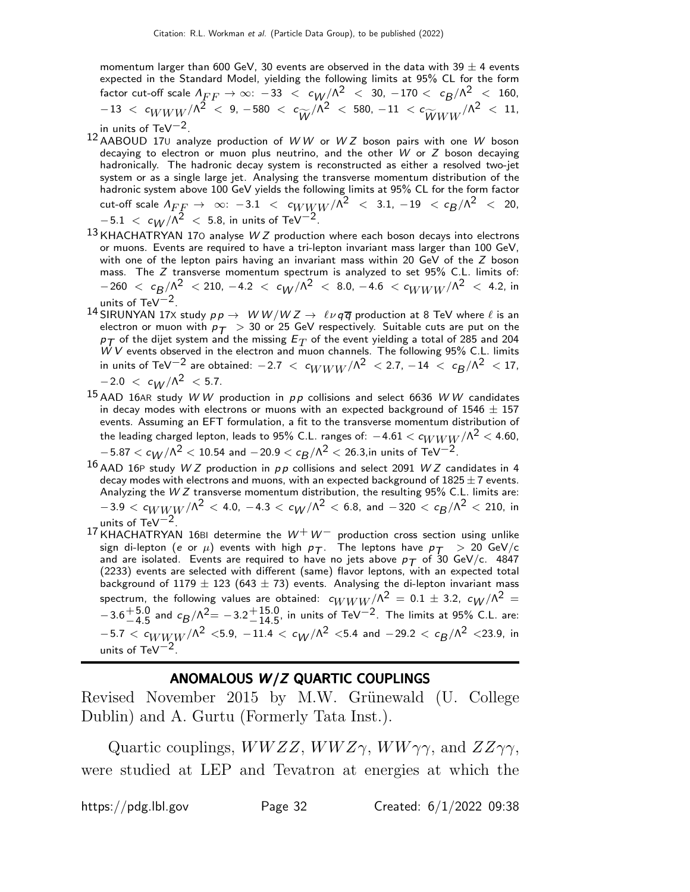momentum larger than 600 GeV, 30 events are observed in the data with 39  $\pm$  4 events expected in the Standard Model, yielding the following limits at 95% CL for the form factor cut-off scale  $\Lambda_{FF} \to \infty$ :  $-33$   $<$   $c_{W}/\Lambda^2$   $<$   $30$ ,  $-170$   $<$   $c_{B}/\Lambda^2$   $<$   $160$ ,  $-13$  <  $c_{WWW}/\Lambda^2$  < 9,  $-580$  <  $c_{\widetilde{W}}/\Lambda^2$  <  $580$ ,  $-11$  <  $c_{\widetilde{W}WW}/\Lambda^2$  <  $11$ , in units of TeV−2.

- 12 AABOUD 17<sup>U</sup> analyze production of W W or W Z boson pairs with one W boson decaying to electron or muon plus neutrino, and the other  $W$  or  $Z$  boson decaying hadronically. The hadronic decay system is reconstructed as either a resolved two-jet system or as a single large jet. Analysing the transverse momentum distribution of the hadronic system above 100 GeV yields the following limits at 95% CL for the form factor  ${\sf cut\text{-}off\,\, scale}\,\, \Lambda_{FF} \, \to \, \, \infty \! : \, \, -3.1 \,\, < \,\, c_{WWW}/\Lambda^2 \,\, < \, \, 3.1, \, -19 \,\, < \, c_{B}/\Lambda^2 \,\, < \, \, 20,$  $-5.1$   $\,<\,$   $c_{W}/\Lambda^2$   $\,<\,$  5.8, in units of TeV $^{-2}.$
- $13$  KHACHATRYAN 170 analyse W Z production where each boson decays into electrons or muons. Events are required to have a tri-lepton invariant mass larger than 100 GeV, with one of the lepton pairs having an invariant mass within 20 GeV of the Z boson mass. The Z transverse momentum spectrum is analyzed to set 95% C.L. limits of:  $-260 \, < \, c_B/\Lambda^2 \, < 210, \, -4.2 \, < \, c_W/\Lambda^2 \, < \, 8.0, \, -4.6 \, < c_{WWW}/\Lambda^2 \, < \, 4.2, \, \text{in}$ units of TeV $-2$ .
- 14 SIRUNYAN 17X study  $pp \to W W/W Z \to \ell \nu q \overline{q}$  production at 8 TeV where  $\ell$  is an electron or muon with  $p_T > 30$  or 25 GeV respectively. Suitable cuts are put on the  $p_T$  of the dijet system and the missing  $E_T$  of the event yielding a total of 285 and 204  $W V$  events observed in the electron and muon channels. The following 95% C.L. limits in units of TeV $^{-2}$  are obtained:  $-2.7~<~c_{WWW}/\Lambda^2~<$  2.7,  $-14~<~c_{B}/\Lambda^2~<$  17,  $-2.0 < c_{1}/\Lambda^2 < 5.7$ .
- $15$  AAD 16AR study W W production in  $pp$  collisions and select 6636 W W candidates in decay modes with electrons or muons with an expected background of  $1546 \pm 157$ events. Assuming an EFT formulation, a fit to the transverse momentum distribution of the leading charged lepton, leads to 95% C.L. ranges of:  $-4.61 < c_{WWW}/\Lambda^2 < 4.60$ ,  $-5.87 < c_W/\Lambda^2 < 10.54$  and  $-20.9 < c_R/\Lambda^2 < 26.3$ , in units of TeV<sup>-2</sup>
- $16$  AAD 16P study W Z production in  $pp$  collisions and select 2091 W Z candidates in 4 decay modes with electrons and muons, with an expected background of  $1825 \pm 7$  events. Analyzing the W Z transverse momentum distribution, the resulting 95% C.L. limits are:  $-3.9 < c_{WWW} / {\Lambda}^2 <$  4.0,  $-4.3 < c_W / {\Lambda}^2 <$  6.8, and  $-320 < c_B / {\Lambda}^2 <$  210, in units of TeV $-2$ .
- $^{17}$ KHACHATRYAN 16BI determine the  $W^+ \, W^-$  production cross section using unlike sign di-lepton (e or  $\mu$ ) events with high  $\rho_T$ . The leptons have  $\rho_T >> 20$  GeV/c and are isolated. Events are required to have no jets above  $p_T$  of 30 GeV/c. 4847 (2233) events are selected with different (same) flavor leptons, with an expected total background of 1179  $\pm$  123 (643  $\pm$  73) events. Analysing the di-lepton invariant mass spectrum, the following values are obtained:  $c_{WWW}/\Lambda^2 = 0.1 \pm 3.2, \; c_W/\Lambda^2 = 0.1$  $-3.6 + 5.0 - 4.5$  $^{+5.0}_{-4.5}$  and  $c_B/\Lambda^2 = -3.2^{+15.0}_{-14.5}$  $^{+15.0}_{-14.5}$ , in units of TeV<sup>-2</sup>. The limits at 95% C.L. are:  $-5.7 < c_{WWW}/\Lambda^2 < 5.9$ ,  $-11.4 < c_W/\Lambda^2 < 5.4$  and  $-29.2 < c_B/\Lambda^2 < 23.9$ , in units of TeV $-2$

### ANOMALOUS W/Z QUARTIC COUPLINGS

Revised November 2015 by M.W. Grünewald (U. College Dublin) and A. Gurtu (Formerly Tata Inst.).

Quartic couplings,  $WWZZ$ ,  $WWZ\gamma$ ,  $WW\gamma\gamma$ , and  $ZZ\gamma\gamma$ , were studied at LEP and Tevatron at energies at which the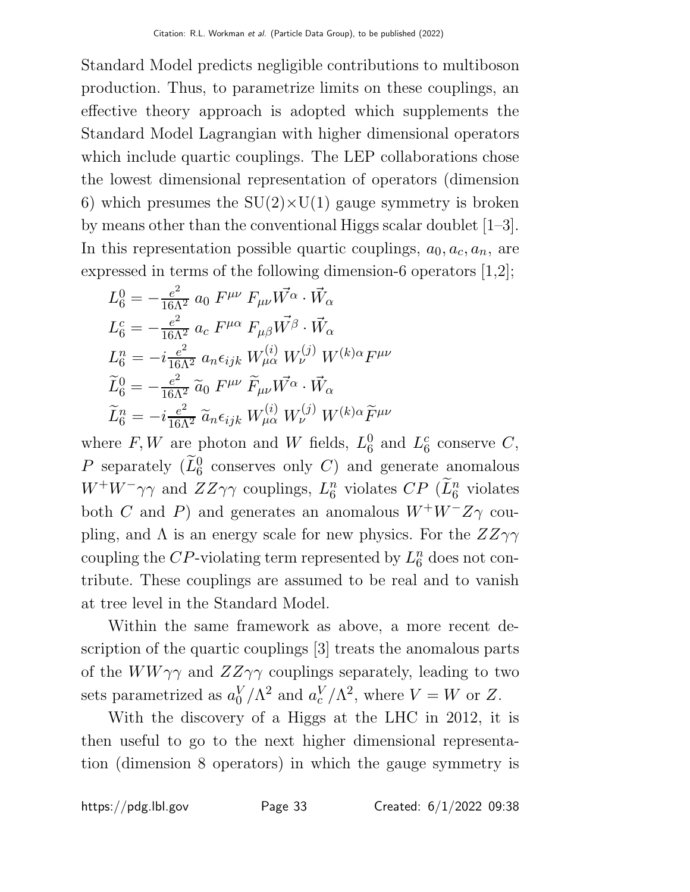Standard Model predicts negligible contributions to multiboson production. Thus, to parametrize limits on these couplings, an effective theory approach is adopted which supplements the Standard Model Lagrangian with higher dimensional operators which include quartic couplings. The LEP collaborations chose the lowest dimensional representation of operators (dimension 6) which presumes the  $SU(2)\times U(1)$  gauge symmetry is broken by means other than the conventional Higgs scalar doublet [1–3]. In this representation possible quartic couplings,  $a_0, a_c, a_n$ , are expressed in terms of the following dimension-6 operators [1,2];

$$
L_6^0 = -\frac{e^2}{16\Lambda^2} a_0 F^{\mu\nu} F_{\mu\nu} \vec{W^{\alpha}} \cdot \vec{W_{\alpha}}
$$
  
\n
$$
L_6^c = -\frac{e^2}{16\Lambda^2} a_c F^{\mu\alpha} F_{\mu\beta} \vec{W^{\beta}} \cdot \vec{W_{\alpha}}
$$
  
\n
$$
L_6^n = -i \frac{e^2}{16\Lambda^2} a_n \epsilon_{ijk} W_{\mu\alpha}^{(i)} W_{\nu}^{(j)} W^{(k)\alpha} F^{\mu\nu}
$$
  
\n
$$
\widetilde{L}_6^0 = -\frac{e^2}{16\Lambda^2} \widetilde{a}_0 F^{\mu\nu} \widetilde{F}_{\mu\nu} \vec{W^{\alpha}} \cdot \vec{W_{\alpha}}
$$
  
\n
$$
\widetilde{L}_6^n = -i \frac{e^2}{16\Lambda^2} \widetilde{a}_n \epsilon_{ijk} W_{\mu\alpha}^{(i)} W_{\nu}^{(j)} W^{(k)\alpha} \widetilde{F}^{\mu\nu}
$$

where  $F, W$  are photon and W fields,  $L_6^0$  $_6^0$  and  $L_6^c$  $_6^c$  conserve  $C,$ P separately  $(\widetilde{L}_6^0$  conserves only C) and generate anomalous  $W^+W^-\gamma\gamma$  and  $ZZ\gamma\gamma$  couplings,  $L_6^n$  $\binom{n}{6}$  violates  $CP$  ( $\widetilde{L}_6^n$  violates both C and P) and generates an anomalous  $W^+W^-Z\gamma$  coupling, and  $\Lambda$  is an energy scale for new physics. For the  $ZZ\gamma\gamma$ coupling the CP-violating term represented by  $L_6^n$  $\frac{n}{6}$  does not contribute. These couplings are assumed to be real and to vanish at tree level in the Standard Model.

Within the same framework as above, a more recent description of the quartic couplings [3] treats the anomalous parts of the  $WW\gamma\gamma$  and  $ZZ\gamma\gamma$  couplings separately, leading to two sets parametrized as  $a_0^V$  $_0^V/\Lambda^2$  and  $a_c^V$  $\binom{V}{c}/\Lambda^2$ , where  $V = W$  or Z.

With the discovery of a Higgs at the LHC in 2012, it is then useful to go to the next higher dimensional representation (dimension 8 operators) in which the gauge symmetry is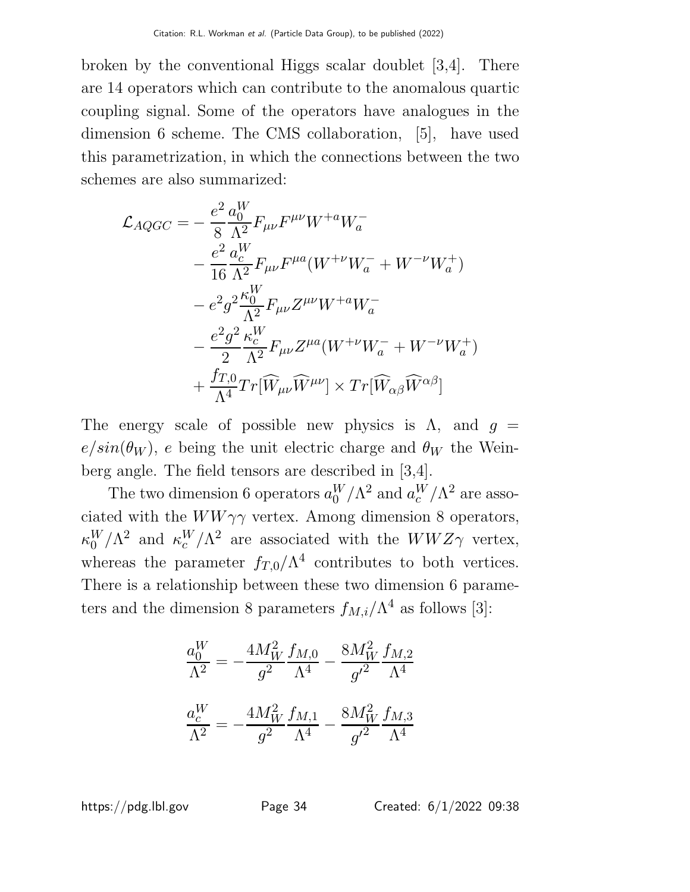broken by the conventional Higgs scalar doublet [3,4]. There are 14 operators which can contribute to the anomalous quartic coupling signal. Some of the operators have analogues in the dimension 6 scheme. The CMS collaboration, [5], have used this parametrization, in which the connections between the two schemes are also summarized:

$$
\mathcal{L}_{AQGC} = -\frac{e^2}{8} \frac{a_0^W}{\Lambda^2} F_{\mu\nu} F^{\mu\nu} W^{+a} W^-_a
$$
  
\n
$$
- \frac{e^2}{16} \frac{a_c^W}{\Lambda^2} F_{\mu\nu} F^{\mu a} (W^{+\nu} W^-_a + W^{-\nu} W^+_a)
$$
  
\n
$$
- e^2 g^2 \frac{\kappa_0^W}{\Lambda^2} F_{\mu\nu} Z^{\mu\nu} W^{+a} W^-_a
$$
  
\n
$$
- \frac{e^2 g^2}{2} \frac{\kappa_c^W}{\Lambda^2} F_{\mu\nu} Z^{\mu a} (W^{+\nu} W^-_a + W^{-\nu} W^+_a)
$$
  
\n
$$
+ \frac{f_{T,0}}{\Lambda^4} Tr[\widehat{W}_{\mu\nu} \widehat{W}^{\mu\nu}] \times Tr[\widehat{W}_{\alpha\beta} \widehat{W}^{\alpha\beta}]
$$

The energy scale of possible new physics is  $\Lambda$ , and  $g =$  $e/sin(\theta_W)$ , e being the unit electric charge and  $\theta_W$  the Weinberg angle. The field tensors are described in [3,4].

The two dimension 6 operators  $a_0^W$  $_{0}^{W}/\Lambda^{2}$  and  $a_{c}^{W}/\Lambda^{2}$  are associated with the  $WW\gamma\gamma$  vertex. Among dimension 8 operators,  $\kappa_0^W/\Lambda^2$  and  $\kappa_c^W/\Lambda^2$  are associated with the  $WWZ\gamma$  vertex, whereas the parameter  $f_{T,0}/\Lambda^4$  contributes to both vertices. There is a relationship between these two dimension 6 parameters and the dimension 8 parameters  $f_{M,i}/\Lambda^4$  as follows [3]:

$$
\frac{a_0^W}{\Lambda^2} = -\frac{4M_W^2}{g^2} \frac{f_{M,0}}{\Lambda^4} - \frac{8M_W^2}{g'^2} \frac{f_{M,2}}{\Lambda^4}
$$

$$
\frac{a_c^W}{\Lambda^2} = -\frac{4M_W^2}{g^2} \frac{f_{M,1}}{\Lambda^4} - \frac{8M_W^2}{g'^2} \frac{f_{M,3}}{\Lambda^4}
$$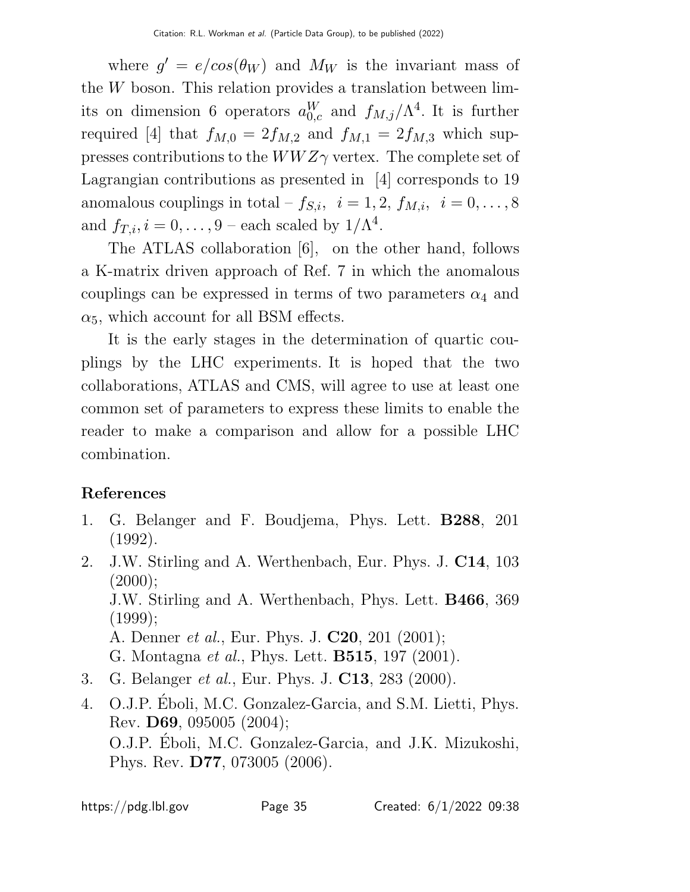where  $g' = e/cos(\theta_W)$  and  $M_W$  is the invariant mass of the W boson. This relation provides a translation between limits on dimension 6 operators  $a_{0,c}^W$  and  $f_{M,j}/\Lambda^4$ . It is further required [4] that  $f_{M,0} = 2f_{M,2}$  and  $f_{M,1} = 2f_{M,3}$  which suppresses contributions to the  $WWZ\gamma$  vertex. The complete set of Lagrangian contributions as presented in [4] corresponds to 19 anomalous couplings in total –  $f_{S,i}$ ,  $i = 1, 2, f_{M,i}$ ,  $i = 0, \ldots, 8$ and  $f_{T,i}, i = 0, \ldots, 9$  – each scaled by  $1/\Lambda^4$ .

The ATLAS collaboration [6], on the other hand, follows a K-matrix driven approach of Ref. 7 in which the anomalous couplings can be expressed in terms of two parameters  $\alpha_4$  and  $\alpha_5$ , which account for all BSM effects.

It is the early stages in the determination of quartic couplings by the LHC experiments. It is hoped that the two collaborations, ATLAS and CMS, will agree to use at least one common set of parameters to express these limits to enable the reader to make a comparison and allow for a possible LHC combination.

# References

- 1. G. Belanger and F. Boudjema, Phys. Lett. B288, 201 (1992).
- 2. J.W. Stirling and A. Werthenbach, Eur. Phys. J. C14, 103  $(2000);$ J.W. Stirling and A. Werthenbach, Phys. Lett. B466, 369 (1999); A. Denner et al., Eur. Phys. J. C20, 201 (2001); G. Montagna et al., Phys. Lett. B515, 197 (2001).
- 3. G. Belanger et al., Eur. Phys. J. C13, 283 (2000).
- 4. O.J.P. Eboli, M.C. Gonzalez-Garcia, and S.M. Lietti, Phys. ´ Rev. D69, 095005 (2004); O.J.P. Eboli, M.C. Gonzalez-Garcia, and J.K. Mizukoshi, ´ Phys. Rev. D77, 073005 (2006).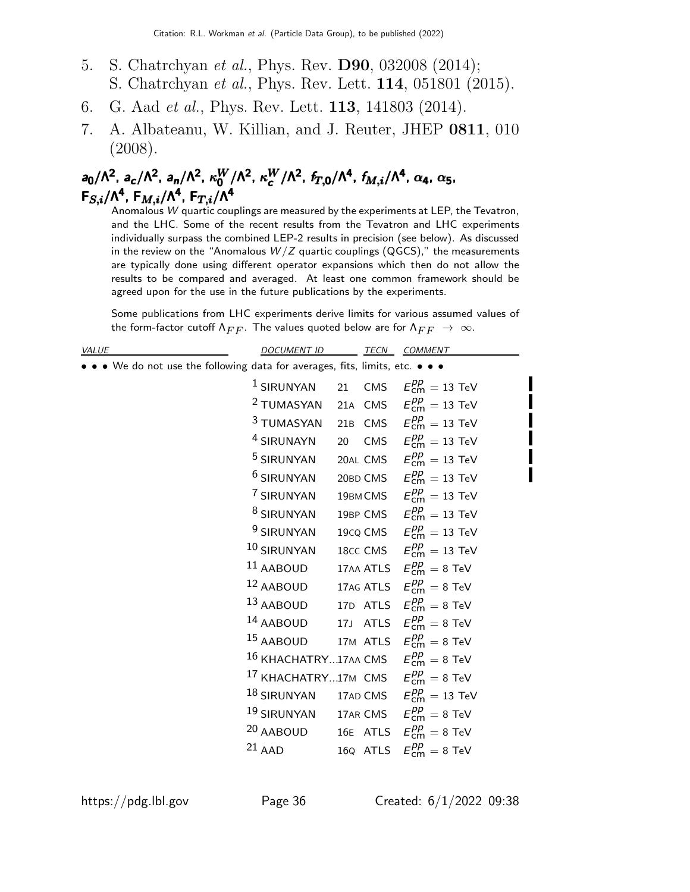- 5. S. Chatrchyan et al., Phys. Rev. D90, 032008 (2014); S. Chatrchyan et al., Phys. Rev. Lett. 114, 051801 (2015).
- 6. G. Aad et al., Phys. Rev. Lett. 113, 141803 (2014).
- 7. A. Albateanu, W. Killian, and J. Reuter, JHEP 0811, 010 (2008).

# a<sub>0</sub>/Λ<sup>2</sup>, a<sub>c</sub>/Λ<sup>2</sup>, a<sub>n</sub>/Λ<sup>2</sup>, κ<sub>0</sub><sup>W</sup>/Λ<sup>2</sup>, κ<sub>α</sub><sup>W</sup>/Λ<sup>2</sup>, f<sub>T,0</sub>/Λ<sup>4</sup>, f<sub>M,i</sub>/Λ<sup>4</sup>, α<sub>4</sub>, α<sub>5</sub>,  $\mathsf{F}_{S,i}/\mathsf{\Lambda}^{\mathsf{4}}$ ,  $\mathsf{F}_{M,i}/\mathsf{\Lambda}^{\mathsf{4}}$ ,  $\mathsf{F}_{T,i}/\mathsf{\Lambda}^{\mathsf{4}}$

Anomalous  $W$  quartic couplings are measured by the experiments at LEP, the Tevatron, and the LHC. Some of the recent results from the Tevatron and LHC experiments individually surpass the combined LEP-2 results in precision (see below). As discussed in the review on the "Anomalous  $W/Z$  quartic couplings (QGCS)," the measurements are typically done using different operator expansions which then do not allow the results to be compared and averaged. At least one common framework should be agreed upon for the use in the future publications by the experiments.

Some publications from LHC experiments derive limits for various assumed values of the form-factor cutoff  $\Lambda_{FF}$ . The values quoted below are for  $\Lambda_{FF}$   $\;\rightarrow\;\infty.$ 

| VALUE                                                                         | <i>DOCUMENT ID</i>                                                   |  | TECN COMMENT                                   |
|-------------------------------------------------------------------------------|----------------------------------------------------------------------|--|------------------------------------------------|
| • • • We do not use the following data for averages, fits, limits, etc. • • • |                                                                      |  |                                                |
|                                                                               | $^1$ SIRUNYAN                                                        |  | 21 CMS $E_{\text{cm}}^{pp} = 13 \text{ TeV}$   |
|                                                                               | <sup>2</sup> TUMASYAN                                                |  | 21A CMS $E_{\text{cm}}^{pp} = 13 \text{ TeV}$  |
|                                                                               | <sup>3</sup> TUMASYAN 21B CMS $E_{\text{cm}}^{pp} = 13$ TeV          |  |                                                |
|                                                                               | <sup>4</sup> SIRUNAYN                                                |  | 20 CMS $E_{\text{cm}}^{pp} = 13 \text{ TeV}$   |
|                                                                               | <sup>5</sup> SIRUNYAN                                                |  | 20AL CMS $E_{\text{cm}}^{pp} = 13 \text{ TeV}$ |
|                                                                               | <sup>6</sup> SIRUNYAN                                                |  | 20BD CMS $E_{cm}^{pp} = 13$ TeV                |
|                                                                               | <sup>7</sup> SIRUNYAN                                                |  | 19BMCMS $E_{\text{cm}}^{pp} = 13 \text{ TeV}$  |
|                                                                               | <sup>8</sup> SIRUNYAN                                                |  | 19BP CMS $E_{\text{cm}}^{pp} = 13 \text{ TeV}$ |
|                                                                               | <sup>9</sup> SIRUNYAN                                                |  | 19CQ CMS $E_{\text{cm}}^{pp} = 13 \text{ TeV}$ |
|                                                                               | $10$ SIRUNYAN                                                        |  | 18cc CMS $E_{\text{cm}}^{pp} = 13 \text{ TeV}$ |
|                                                                               | $^{11}$ AABOUD                                                       |  | 17AA ATLS $E_{cm}^{pp} = 8$ TeV                |
|                                                                               | <sup>12</sup> AABOUD 17AG ATLS $E_{\text{cm}}^{pp} = 8 \text{ TeV}$  |  |                                                |
|                                                                               | <sup>13</sup> AABOUD 17D ATLS $E_{cm}^{pp} = 8$ TeV                  |  |                                                |
|                                                                               | <sup>14</sup> AABOUD 17J ATLS $E_{cm}^{pp} = 8$ TeV                  |  |                                                |
|                                                                               | $15$ AABOUD                                                          |  | 17M ATLS $E_{\text{cm}}^{pp} = 8 \text{ TeV}$  |
|                                                                               | 16 KHACHATRY17AA CMS $E_{cm}^{pp} = 8$ TeV                           |  |                                                |
|                                                                               | <sup>17</sup> KHACHATRY17M CMS $E_{cm}^{pp} = 8$ TeV                 |  |                                                |
|                                                                               | $^{18}$ SIRUNYAN                                                     |  | 17AD CMS $E_{\text{cm}}^{pp} = 13 \text{ TeV}$ |
|                                                                               | <sup>19</sup> SIRUNYAN 17AR CMS $E_{\text{cm}}^{pp} = 8 \text{ TeV}$ |  |                                                |
|                                                                               | <sup>20</sup> AABOUD                                                 |  | 16E ATLS $E_{\text{cm}}^{pp} = 8 \text{ TeV}$  |
|                                                                               | $21$ AAD                                                             |  | 16Q ATLS $E_{\text{cm}}^{pp} = 8 \text{ TeV}$  |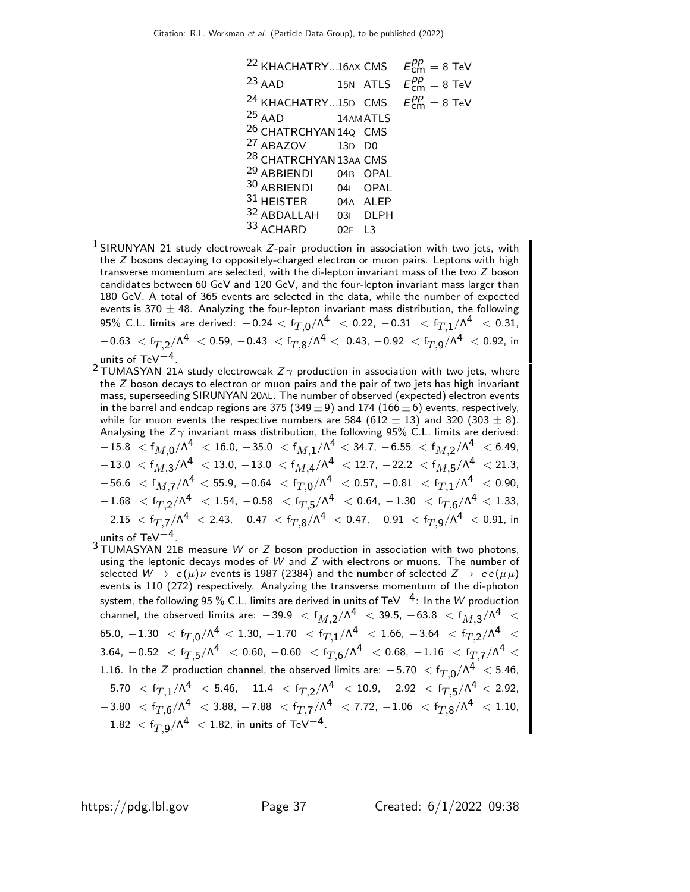| <sup>22</sup> KHACHATRY16AX CMS   |                      | $E_{cm}^{pp} = 8$ TeV        |
|-----------------------------------|----------------------|------------------------------|
| $23$ AAD<br>15N ATLS              |                      | $E_{cm}^{pp} = 8$ TeV        |
| <sup>24</sup> KHACHATRY15D CMS    |                      | $E_{\text{cm}}^{pp} = 8$ TeV |
| <sup>25</sup> AAD 14AM ATLS       |                      |                              |
| 26 CHATRCHYAN 14Q CMS             |                      |                              |
| <sup>27</sup> ABAZOV 13D D0       |                      |                              |
| <sup>28</sup> CHATRCHYAN 13AA CMS |                      |                              |
| <sup>29</sup> ABBIENDI 04B OPAL   |                      |                              |
| 30 ABBIENDI 04L OPAL              |                      |                              |
| 31 HEISTER 04A ALEP               |                      |                              |
| 32 ABDALLAH 03I DLPH              |                      |                              |
| 33 ACHARD                         | $02F$ L <sub>3</sub> |                              |

- $1$  SIRUNYAN 21 study electroweak Z-pair production in association with two jets, with the Z bosons decaying to oppositely-charged electron or muon pairs. Leptons with high transverse momentum are selected, with the di-lepton invariant mass of the two Z boson candidates between 60 GeV and 120 GeV, and the four-lepton invariant mass larger than 180 GeV. A total of 365 events are selected in the data, while the number of expected events is 370  $\pm$  48. Analyzing the four-lepton invariant mass distribution, the following 95% C.L. limits are derived:  $-0.24 < \mathrm{f}_{T,0} / \Lambda^4 \ < 0.22$ ,  $-0.31 \ < \mathrm{f}_{T,1} / \Lambda^4 \ < 0.31$ ,  $-0.63~<$  f $_{T,2}/$ ለ $^{4}~<$  0.59,  $-0.43~<$  f $_{T,8}/$ ለ $^{4}~<$  0.43,  $-0.92~<$  f $_{T,9}/$ ለ $^{4}~<$  0.92, in units of TeV−4.
- <sup>2</sup> TUMASYAN 21A study electroweak  $Z\gamma$  production in association with two jets, where the  $Z$  boson decays to electron or muon pairs and the pair of two jets has high invariant mass, superseeding SIRUNYAN 20AL. The number of observed (expected) electron events in the barrel and endcap regions are 375 (349  $\pm$  9) and 174 (166  $\pm$  6) events, respectively, while for muon events the respective numbers are 584 (612  $\pm$  13) and 320 (303  $\pm$  8). Analysing the  $Z\gamma$  invariant mass distribution, the following 95% C.L. limits are derived:  $-15.8~ < \mathsf{f}_{M, \mathsf{0}}/\mathsf{\Lambda}^{\mathsf{4}}~ < 16.0,~-35.0~ < \mathsf{f}_{M, \mathsf{1}}/\mathsf{\Lambda}^{\mathsf{4}}~ < 34.7,~-6.55~ < \mathsf{f}_{M, \mathsf{2}}/\mathsf{\Lambda}^{\mathsf{4}}~ < 6.49,$  $-13.0 \ < \mathsf{f}_{M, \mathsf{3}}/\mathsf{\Lambda}^{\mathsf{4}} \ < 13.0, \, -13.0 \ < \mathsf{f}_{M, \mathsf{4}}/\mathsf{\Lambda}^{\mathsf{4}} \ < 12.7, \, -22.2 \ < \mathsf{f}_{M, \mathsf{5}}/\mathsf{\Lambda}^{\mathsf{4}} \ < 21.3,$  $-56.6~<$   $\sf f_{M,7}/\Lambda^4~<$   $55.9,~-0.64~<$   $\sf f_{T,0}/\Lambda^4~<$   $0.57,~-0.81~<$   $\sf f_{T,1}/\Lambda^4~<$   $0.90,$  $-1.68 \,\ < \,{\mathsf{f}_{T,2}}/{\mathsf{\Lambda}}^4 \,\ < \, 1.54, \,\, -0.58 \,\ < \,{\mathsf{f}_{T,5}}/{\mathsf{\Lambda}}^4 \,\ < \, 0.64, \,\, -1.30 \,\ < \,{\mathsf{f}_{T,6}}/{\mathsf{\Lambda}}^4 \,\ < \, 1.33,$  $-2.15~<$  f $_{T,7}/\Lambda^4~<$  2.43,  $-0.47~<$  f $_{T,8}/\Lambda^4~<$  0.47,  $-0.91~<$  f $_{T,9}/\Lambda^4~<$  0.91, in units of TeV−4.
- 3 TUMASYAN 21<sup>B</sup> measure W or Z boson production in association with two photons, using the leptonic decays modes of  $W$  and  $Z$  with electrons or muons. The number of selected  $W \to e(\mu)\nu$  events is 1987 (2384) and the number of selected  $Z \to e(\mu\mu)$ events is 110 (272) respectively. Analyzing the transverse momentum of the di-photon system, the following 95 % C.L. limits are derived in units of TeV $^{-4}$ : In the  $W$  production channel, the observed limits are:  $-39.9~<$   $\mathsf{f}_{M,2}/\mathsf{\Lambda}^4~<$  39.5,  $-63.8~<$   $\mathsf{f}_{M,3}/\mathsf{\Lambda}^4~<$  $\rm 65.0,~-1.30~ < f_{T,0} / \Lambda^4~ < 1.30,~-1.70 ~< f_{T,1} / \Lambda^4 ~< 1.66,~-3.64 ~< f_{T,2} / \Lambda^4 ~< ~$  $3.64$ ,  $-0.52$   $<$   ${\rm f}_{T,5}/\Lambda^4$   $<$   $0.60$ ,  $-0.60$   $<$   ${\rm f}_{T,6}/\Lambda^4$   $<$   $0.68$ ,  $-1.16$   $<$   ${\rm f}_{T,7}/\Lambda^4$   $<$ 1.16. In the  $Z$  production channel, the observed limits are:  $-5.70\ < \mathsf{f}_{T,0}/\Lambda^4\ < 5.46,$  $-5.70$   $<$   $\rm{f}_{T,1}/\Lambda^4$   $<$   $\rm{5.46},$   $-11.4$   $<$   $\rm{f}_{T,2}/\Lambda^4$   $<$   $10.9$ ,  $-2.92$   $<$   $\rm{f}_{T,5}/\Lambda^4$   $<$   $2.92$ ,  $-3.80 \ < \mathsf{f}_{T, \mathsf{6}}/\mathsf{\Lambda}^4 \ < 3.88$ ,  $-7.88 \ < \mathsf{f}_{T, \mathsf{7}}/\mathsf{\Lambda}^4 \ < 7.72$ ,  $-1.06 \ < \mathsf{f}_{T, \mathsf{8}}/\mathsf{\Lambda}^4 \ < 1.10$ ,  $-1.82~<$  f $_{T,9}$ /N $^4~<$  1.82, in units of TeV $^{-4}$ .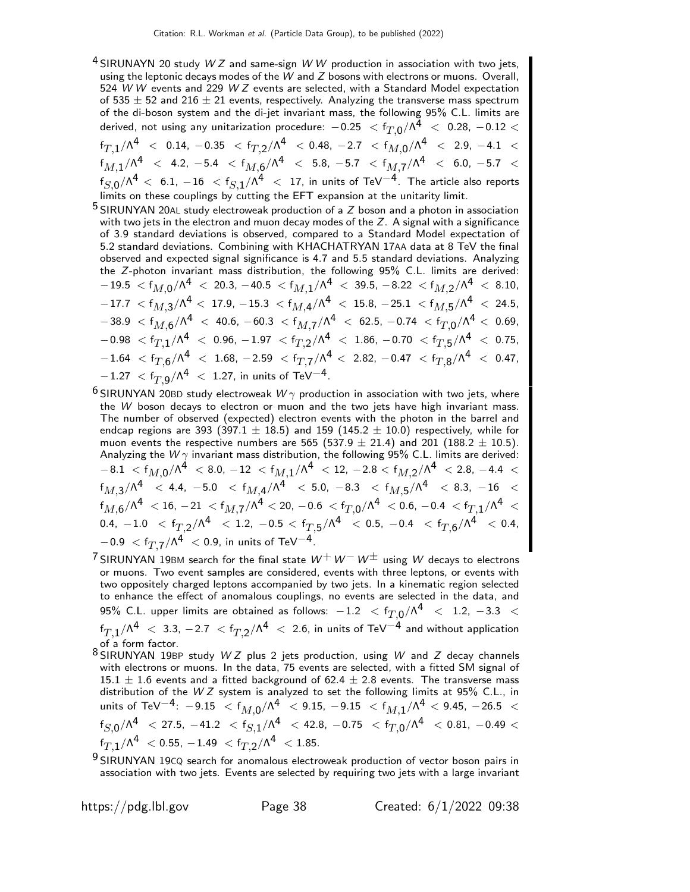- <sup>4</sup> SIRUNAYN 20 study  $WZ$  and same-sign W W production in association with two jets, using the leptonic decays modes of the  $W$  and  $Z$  bosons with electrons or muons. Overall, 524 W W events and 229 W Z events are selected, with a Standard Model expectation of 535  $\pm$  52 and 216  $\pm$  21 events, respectively. Analyzing the transverse mass spectrum of the di-boson system and the di-jet invariant mass, the following 95% C.L. limits are derived, not using any unitarization procedure:  $-0.25~<$   $\rm{f}_{T,0}/\Lambda^{\bar{4}}~<~0.28,$   $-0.12<$  $\rm{f_{T,1}/\Lambda^4\ <\ 0.14,\ -0.35\ <\ f_{T,2}/\Lambda^4\ <\ 0.48,\ -2.7\ <\ f_{M,0}/\Lambda^4\ <\ 2.9,\ -4.1\ <\ 0.11}$  $\rm{f}_{\it{M},1}/\Lambda^4$  < 4.2,  $-5.4$  <  $\rm{f}_{\it{M},6}/\Lambda^4$  < 5.8,  $-5.7$  <  $\rm{f}_{\it{M},7}/\Lambda^4$  < 6.0,  $-5.7$  <  $\mathrm{f}_{S,0}/\Lambda^4\,<\,$  6.1,  $-16$   $\,<\mathrm{f}_{S,1}/\Lambda^4\,<\,$  17, in units of TeV $^{-4}$ . The article also reports limits on these couplings by cutting the EFT expansion at the unitarity limit.
- $5$  SIRUNYAN 20AL study electroweak production of a  $Z$  boson and a photon in association with two jets in the electron and muon decay modes of the  $Z$ . A signal with a significance of 3.9 standard deviations is observed, compared to a Standard Model expectation of 5.2 standard deviations. Combining with KHACHATRYAN 17AA data at 8 TeV the final observed and expected signal significance is 4.7 and 5.5 standard deviations. Analyzing the Z-photon invariant mass distribution, the following 95% C.L. limits are derived:  $-19.5~<$  f $_{M,0}/$ ለ $^4~<~$  20.3,  $-40.5~<$  f $_{M,1}/$ ለ $^4~<~$  39.5,  $-$  8.22  $~<$  f $_{M,2}/$ ለ $^4~<~$  8.10,  $-17.7~ < \mathsf{f}_{M, \mathsf{3}}/\mathsf{\Lambda}^{\mathsf{4}} <~ 17.9, -15.3~ < \mathsf{f}_{M, \mathsf{4}}/\mathsf{\Lambda}^{\mathsf{4}} ~<~ 15.8, -25.1~ < \mathsf{f}_{M, \mathsf{5}}/\mathsf{\Lambda}^{\mathsf{4}} ~<~ 24.5,$  $-38.9~<$  f $_{M,6}/$ ለ $^4~<~$  40.6,  $-60.3~<$  f $_{M,7}/$ ለ $^4~<~$  62.5,  $-0.74~<$  f $_{T,0}/$ ለ $^4<~$  0.69,  $- \, -0.98 \; < f_{T,1} / \Lambda^4 \; < \; 0.96 , \, -1.97 \; < f_{T,2} / \Lambda^4 \; < \; 1.86 , \, -0.70 \; < f_{T,5} / \Lambda^4 \; < \; 0.75 ,$  $-1.64 \ < \mathrm{f}_{T,6}/\Lambda^4 \ < \ 1.68$ ,  $-2.59 \ < \mathrm{f}_{T,7}/\Lambda^4 \ < \ 2.82$ ,  $-0.47 \ < \mathrm{f}_{T,8}/\Lambda^4 \ < \ 0.47$ ,  $-1.27~<$  f $_{T,9}$ / $\Lambda^4~<~$  1.27, in units of TeV $^{-4}$ .
- $^6$ SIRUNYAN 20BD study electroweak  $W\gamma$  production in association with two jets, where the W boson decays to electron or muon and the two jets have high invariant mass. The number of observed (expected) electron events with the photon in the barrel and endcap regions are 393 (397.1  $\pm$  18.5) and 159 (145.2  $\pm$  10.0) respectively, while for muon events the respective numbers are 565 (537.9  $\pm$  21.4) and 201 (188.2  $\pm$  10.5). Analyzing the  $W\gamma$  invariant mass distribution, the following 95% C.L. limits are derived:  $-8.1$   $<$   $\sf f_{M,0}/\Lambda^4$   $<$   $8.0$ ,  $-12$   $<$   $\sf f_{M,1}/\Lambda^4$   $<$   $12$ ,  $-2.8$   $<$   $\sf f_{M,2}/\Lambda^4$   $<$   $2.8$ ,  $-4.4$   $<$  $\rm{f}_{\it{M},\rm{3}}/\Lambda^4$   $<$  4.4,  $-5.0$   $<$   $\rm{f}_{\it{M},\rm{4}}/\Lambda^4$   $<$  5.0,  $-8.3$   $<$   $\rm{f}_{\it{M},\rm{5}}/\Lambda^4$   $<$  8.3,  $-16$   $<$  $\rm{f}_{M,6}/\Lambda^4\ < 16$ ,  $-21$   $<$   $\rm{f}_{M,7}/\Lambda^4$   $<$   $20$ ,  $-0.6$   $<$   $\rm{f}_{T,0}/\Lambda^4$   $<$   $0.6$ ,  $-0.4$   $<$   $\rm{f}_{T,1}/\Lambda^4$   $<$  $0.4,\ -1.0\ \ <\ {\rm f}_{T,2}/\Lambda^4\ \ <\ 1.2,\ -0.5\ <\ {\rm f}_{T,5}/\Lambda^4\ \ <\ 0.5,\ -0.4\ \ <\ {\rm f}_{T,6}/\Lambda^4\ \ <\ 0.4,$  $-0.9~<$  f $_{T,7}/\Lambda^4~<$  0.9, in units of TeV $^{-4}$ .
- $7$  SIRUNYAN 19BM search for the final state  $W^+ W^- W^{\pm}$  using W decays to electrons or muons. Two event samples are considered, events with three leptons, or events with two oppositely charged leptons accompanied by two jets. In a kinematic region selected to enhance the effect of anomalous couplings, no events are selected in the data, and 95% C.L. upper limits are obtained as follows:  $-1.2~<$   ${\rm f}_{T,0} /$   $\wedge^4~<~$   $1.2,~-3.3~<$  $\mathrm{f}_{T,1}/\Lambda^4\ <\ 3.3$ ,  $-2.7\ < \mathrm{f}_{T,2}/\Lambda^4\ <\ 2.6$ , in units of TeV $^{-4}$  and without application of a form factor.
- $8$  SIRUNYAN 19BP study WZ plus 2 jets production, using W and Z decay channels with electrons or muons. In the data, 75 events are selected, with a fitted SM signal of 15.1  $\pm$  1.6 events and a fitted background of 62.4  $\pm$  2.8 events. The transverse mass distribution of the W Z system is analyzed to set the following limits at 95% C.L., in units of TeV $^{-4}$ :  $-9.15$   $<$   $f_{M,0}/\Lambda^4$   $<$   $9.15$ ,  $-9.15$   $<$   $f_{M,1}/\Lambda^4$   $<$   $9.45$ ,  $-26.5$   $<$  $\rm{f_{\it S,0}/\Lambda^4~<}$   $\rm{<}$  27.5,  $-41.2$   $\rm{<}$   $\rm{f_{\it S,1}/\Lambda^4}$   $\rm{<}$  42.8,  $-0.75$   $\rm{<}$   $\rm{f_{\it T,0}/\Lambda^4}$   $\rm{<}$  0.81,  $-0.49$   $\rm{<}$  $\mathrm{f}_{T,1}/\mathsf{\Lambda}^{4} \ < 0.55$ ,  $-1.49 \ < \mathrm{f}_{T,2}/\mathsf{\Lambda}^{4} \ < 1.85.$
- <sup>9</sup> SIRUNYAN 19CQ search for anomalous electroweak production of vector boson pairs in association with two jets. Events are selected by requiring two jets with a large invariant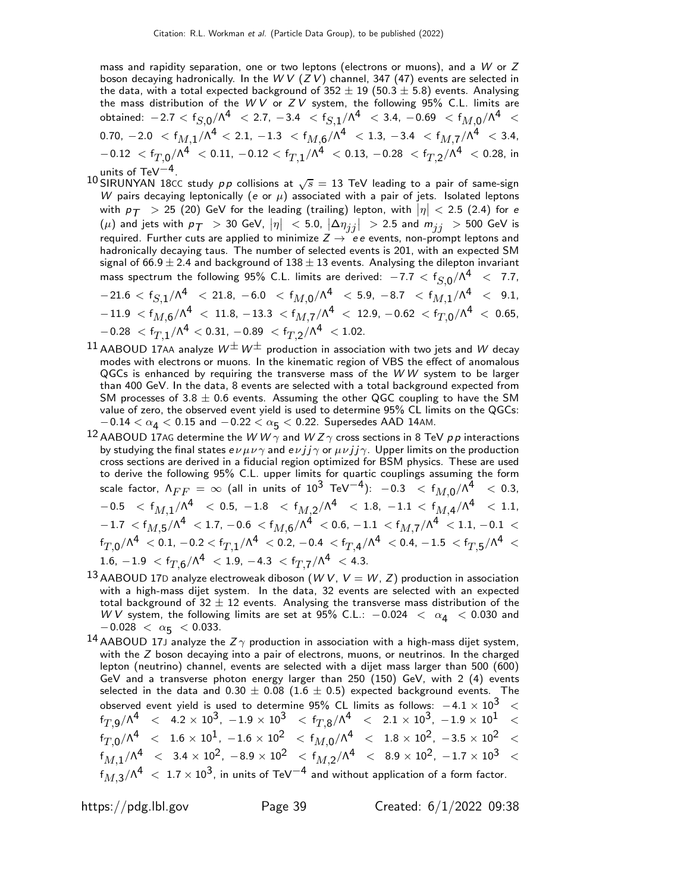mass and rapidity separation, one or two leptons (electrons or muons), and a  $W$  or  $Z$ boson decaying hadronically. In the W V  $(ZV)$  channel, 347 (47) events are selected in the data, with a total expected background of  $352 \pm 19$  (50.3  $\pm$  5.8) events. Analysing the mass distribution of the WV or  $ZV$  system, the following  $95\%$  C.L. limits are obtained:  $-2.7 < \mathsf{f}_{S, \mathsf{0}} / \mathsf{\Lambda}^{\mathsf{4}} \ < 2.7$ ,  $-3.4 < \mathsf{f}_{S, \mathsf{1}} / \mathsf{\Lambda}^{\mathsf{4}} \ < 3.4$ ,  $-0.69 < \mathsf{f}_{M, \mathsf{0}} / \mathsf{\Lambda}^{\mathsf{4}} \ <$  $0.70,~-2.0~< f_{M,1}/\Lambda^4 < 2.1,~-1.3~< f_{M,6}/\Lambda^4~< 1.3,~-3.4~< f_{M,7}/\Lambda^4~< 3.4,$  $-0.12 \ <{\rm f}_{T,0}/{\rm \Lambda}^{4} \ < 0.11$ ,  $-0.12 <{\rm f}_{T,1}/{\rm \Lambda}^{4} \ < 0.13$ ,  $-0.28 \ <{\rm f}_{T,2}/{\rm \Lambda}^{4} \ < 0.28$ , in units of TeV $^{-4}$ .

10 SIRUNYAN 18CC study pp collisions at  $\sqrt{s} = 13$  TeV leading to a pair of same-sign W pairs decaying leptonically (e or  $\mu$ ) associated with a pair of jets. Isolated leptons with  $p_T > 25$  (20) GeV for the leading (trailing) lepton, with  $|\eta| < 2.5$  (2.4) for example to  $n_T$  $\mu(\mu)$  and jets with  $p_{\cal T}^+>$  30 GeV,  $|\eta|$   $<$  5.0,  $|\Delta \eta_{jj}|$   $>$  2.5 and  $m_{jj}^+>$  500 GeV is required. Further cuts are applied to minimize  $Z \rightarrow e e$  events, non-prompt leptons and hadronically decaying taus. The number of selected events is 201, with an expected SM signal of 66.9  $\pm$  2.4 and background of 138  $\pm$  13 events. Analysing the dilepton invariant mass spectrum the following 95% C.L. limits are derived:  $-7.7 < \mathrm{f}_{S,0}/\Lambda^4~<~7.7,$  $-21.6 < \mathsf{f}_{S,1}/\mathsf{\Lambda}^4\ < 21.8$ ,  $-6.0\ < \mathsf{f}_{M,0}/\mathsf{\Lambda}^4\ < 5.9$ ,  $-8.7\ < \mathsf{f}_{M,1}/\mathsf{\Lambda}^4\ < \ 9.1$ ,  $-11.9~<$  f $_{M,6}/$ ለ $^4~<~11.8$ ,  $-13.3~<$  f $_{M,7}/$ ለ $^4~<~12.9$ ,  $-0.62~<$  f $_{T,0}/$ ለ $^4~<~0.65,$  $-0.28~<{\rm f}_{T,1}/\Lambda^4< 0.31$ ,  $-0.89~<{\rm f}_{T,2}/\Lambda^4~< 1.02$ .

- 11 AABOUD 17AA analyze  $W^{\pm}W^{\pm}$  production in association with two jets and W decay modes with electrons or muons. In the kinematic region of VBS the effect of anomalous  $QGCs$  is enhanced by requiring the transverse mass of the  $WW$  system to be larger than 400 GeV. In the data, 8 events are selected with a total background expected from SM processes of  $3.8 \pm 0.6$  events. Assuming the other QGC coupling to have the SM value of zero, the observed event yield is used to determine 95% CL limits on the QGCs:  $-0.14 < \alpha_{\textbf{4}} < 0.15$  and  $-0.22 < \alpha_{\textbf{5}} < 0.22$ . Supersedes AAD 14AM.
- $^{12}$  AABOUD 17AG determine the W W  $\gamma$  and W Z  $\gamma$  cross sections in 8 TeV pp interactions by studying the final states  $e \nu \mu \nu \gamma$  and  $e \nu j j \gamma$  or  $\mu \nu j j \gamma$ . Upper limits on the production cross sections are derived in a fiducial region optimized for BSM physics. These are used to derive the following 95% C.L. upper limits for quartic couplings assuming the form scale factor,  $\Lambda_{FF}$   $=$   $\infty$  (all in units of  $10^3$  TeV $^{-4}$ ):  $\,$   $-0.3$   $\,$   $<$   $f_{M,0}/$  $\Lambda^4$   $\,$   $<$  0.3,  $-0.5 \ < \mathsf{f}_{M,1}/\mathsf{\Lambda}^4 \ < 0.5, \ -1.8 \ < \mathsf{f}_{M,2}/\mathsf{\Lambda}^4 \ < 1.8, \ -1.1 \ < \mathsf{f}_{M,4}/\mathsf{\Lambda}^4 \ < 1.1,$  $-1.7~<$   ${\sf f}_{M,5}/\Lambda^4~<$   $1.7$ ,  $-0.6~<$   ${\sf f}_{M,6}/\Lambda^4~<$  0.6,  $-1.1~<$   ${\sf f}_{M,7}/\Lambda^4~<$   $1.1$ ,  $-0.1~<$  $\rm{f_{T,0}/\Lambda^4\ < 0.1,\, -0.2 < f_{T,1}/\Lambda^4\ < 0.2,\, -0.4\ < f_{T,4}/\Lambda^4\ < 0.4,\, -1.5\ < f_{T,5}/\Lambda^4\ < 0.4}$  $1.6, -1.9 < \mathrm{f}_{T,6}/\Lambda^4 < 1.9, -4.3 < \mathrm{f}_{T,7}/\Lambda^4 < 4.3.$
- <sup>13</sup> AABOUD 17D analyze electroweak diboson (WV,  $V = W$ , Z) production in association with a high-mass dijet system. In the data, 32 events are selected with an expected total background of 32  $\pm$  12 events. Analysing the transverse mass distribution of the W V system, the following limits are set at 95% C.L.:  $-0.024$   $\ <$   $\ \alpha_{\textbf{4}} \ < \ 0.030$  and  $-0.028 < \alpha_{\mathbf{5}} < 0.033$ .
- <sup>14</sup> AABOUD 17J analyze the Z $\gamma$  production in association with a high-mass dijet system, with the  $Z$  boson decaying into a pair of electrons, muons, or neutrinos. In the charged lepton (neutrino) channel, events are selected with a dijet mass larger than 500 (600) GeV and a transverse photon energy larger than 250 (150) GeV, with 2 (4) events selected in the data and  $0.30 \pm 0.08$  (1.6  $\pm$  0.5) expected background events. The observed event yield is used to determine 95% CL limits as follows:  $-4.1 \times 10^3$  <  ${\rm Tr}_{T,9}/{\sf A}^4\ \ \, <\ \ \, 4.2\times 10^3,\,\, -1.9\times 10^3\ \ \, <\, {\rm f}_{T,8}/{\sf A}^4\ \ \, <\ \ \, 2.1\times 10^3,\,\, -1.9\times 10^1\ \ \, <\,$  $\rm{f_{T,0}/\Lambda^4} \; < \; 1.6 \times 10^{1}, \; -1.6 \times 10^{2} \; < \; f_{M,0}/\Lambda^4 \; < \; 1.8 \times 10^{2}, \; -3.5 \times 10^{2} \; < \;$  $\rm{f}_{\it{M},1}/\Lambda^4~~<~3.4\times10^2,~-8.9\times10^2~~<~\rm{f}_{\it{M},2}/\Lambda^4~<~8.9\times10^2,~-1.7\times10^3~~<~$  $\mathrm{f}_{M,3}/\Lambda^4 \ < \ 1.7 \times 10^3$ , in units of TeV $^{-4}$  and without application of a form factor.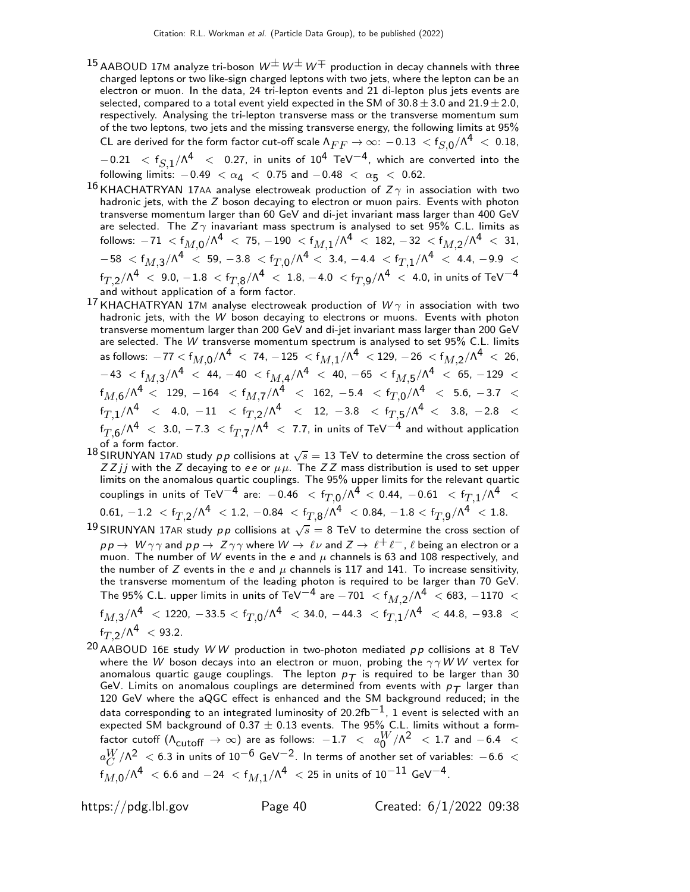$^{15}$ AABOUD 17M analyze tri-boson  $W^\pm \, W^\pm \, W^\mp$  production in decay channels with three charged leptons or two like-sign charged leptons with two jets, where the lepton can be an electron or muon. In the data, 24 tri-lepton events and 21 di-lepton plus jets events are selected, compared to a total event yield expected in the SM of  $30.8 \pm 3.0$  and  $21.9 \pm 2.0$ , respectively. Analysing the tri-lepton transverse mass or the transverse momentum sum of the two leptons, two jets and the missing transverse energy, the following limits at 95% CL are derived for the form factor cut-off scale  $\Lambda_{FF} \to \infty$ :  $-0.13\ < \mathsf{f}_{S, \mathsf{0}}/\Lambda^4\ <\ 0.18,$  $-0.21$   $\ < \ f_{S,1}/\Lambda^4 \ < \ 0.27$ , in units of  $10^4$  TeV $^{-4}$ , which are converted into the following limits:  $-0.49 < \alpha_4 < 0.75$  and  $-0.48 < \alpha_5 < 0.62$ .

 $^{16}$ KHACHATRYAN 17AA analyse electroweak production of  $Z\gamma$  in association with two hadronic jets, with the  $Z$  boson decaying to electron or muon pairs. Events with photon transverse momentum larger than 60 GeV and di-jet invariant mass larger than 400 GeV are selected. The  $Z\gamma$  inavariant mass spectrum is analysed to set 95% C.L. limits as follows:  $-71$   $<$   $\sf f_{M,0}/\Lambda^4$   $<$   $\sf 75,$   $-190$   $<$   $\sf f_{M,1}/\Lambda^4$   $<$   $\sf 182,$   $-32$   $<$   $\sf f_{M,2}/\Lambda^4$   $<$   $\sf 31,$  $-58$   $<$   $\mathsf{f}_{M,3}/\mathsf{\Lambda}^4$   $<$   $59$ ,  $-3.8$   $<$   $\mathsf{f}_{T,0}/\mathsf{\Lambda}^4$   $<$   $3.4$ ,  $-4.4$   $<$   $\mathsf{f}_{T,1}/\mathsf{\Lambda}^4$   $<$   $4.4$ ,  $-9.9$   $<$  $\rm{f}_{T,2}/\Lambda^4\ <\ 9.0$ ,  $-1.8\ < \rm{f}_{T,8}/\Lambda^4\ <\ 1.8$ ,  $-4.0\ < \rm{f}_{T,9}/\Lambda^4\ <\ 4.0$ , in units of TeV $^{-4}$ and without application of a form factor.

- $^{17}$ KHACHATRYAN 17M analyse electroweak production of  $W\gamma$  in association with two hadronic jets, with the W boson decaying to electrons or muons. Events with photon transverse momentum larger than 200 GeV and di-jet invariant mass larger than 200 GeV are selected. The W transverse momentum spectrum is analysed to set 95% C.L. limits as follows:  $-77 <$  f $_{M,0}/$ n $^4$   $<$  74,  $-125$   $<$  f $_{M,1}/$ n $^4$   $<$  129,  $-26$   $<$  f $_{M,2}/$ n $^4$   $<$  26,  $-$  43  $<$  f $_{M,3}/$ ^A $^{4}$   $<$  44,  $-$  40  $<$  f $_{M,4}/$ ^A $^{4}$   $<$  40,  $-$  65  $<$  f $_{M,5}/$ ^A $^{4}$   $<$  65,  $-$  129  $<$  $\rm{f}_{\rm{M,6}}/\Lambda^4\,<\,~129,\,-164\,$   $<\rm{f}_{\rm{M,7}}/\Lambda^4\,<\,162,\,-5.4\,$   $<\rm{f}_{\rm{T,0}}/\Lambda^4\,<\,5.6,\,-3.7\,$   $<$  $\mathrm{f}_{T,1}/\Lambda^4$  < 4.0,  $-11$  <  $\mathrm{f}_{T,2}/\Lambda^4$  < 12,  $-3.8$  <  $\mathrm{f}_{T,5}/\Lambda^4$  < 3.8,  $-2.8$  <  $\rm{f}_{T,6}/\Lambda^4\ <\ 3.0$ ,  $-7.3\ < \rm{f}_{T,7}/\Lambda^4\ <\ 7.7$ , in units of TeV $^{-4}$  and without application
- of a form factor.<br><sup>18</sup> SIRUNYAN 17AD study pp collisions at  $\sqrt{s}=13$  TeV to determine the cross section of Z Z j j with the Z decaying to ee or  $\mu\mu$ . The Z Z mass distribution is used to set upper limits on the anomalous quartic couplings. The 95% upper limits for the relevant quartic couplings in units of TeV $^{-4}$  are:  $-0.46$   $<$  f $_{T,0}$ / $\Lambda ^4$   $<$  0.44,  $-0.61$   $<$  f $_{T,1}$ / $\Lambda ^4$   $<$  $0.61,\, -1.2\,\,<\,\mathsf{f}_{T,2}/\mathsf{\Lambda}^4\,\,<\, 1.2,\,-0.84\,\,<\,\mathsf{f}_{T,8}/\mathsf{\Lambda}^4\,\,<\,0.84,\,-1.8 <\mathsf{f}_{T,9}/\mathsf{\Lambda}^4\,\,<\,1.8.$
- 19 SIRUNYAN 17AR study  $p \, p$  collisions at  $\sqrt{s} = 8$  TeV to determine the cross section of  $pp \to W \gamma \gamma$  and  $pp \to Z \gamma \gamma$  where  $W \to \ell \nu$  and  $Z \to \ell^+ \ell^-$  ,  $\ell$  being an electron or a muon. The number of W events in the e and  $\mu$  channels is 63 and 108 respectively, and the number of  $Z$  events in the e and  $\mu$  channels is 117 and 141. To increase sensitivity, the transverse momentum of the leading photon is required to be larger than 70 GeV. The 95% C.L. upper limits in units of TeV $^{-4}$  are  $-701\ <$   $\mathsf{f}_{M,2}/\mathsf{\Lambda}^{4}\ <$  683,  $-1170\ <$  $\rm{f}_{M,3}/\Lambda^4~<$  1220,  $-33.5 < \rm{f}_{T,0}/\Lambda^4~<$  34.0,  $-44.3~<$   $\rm{f}_{T,1}/\Lambda^4~<$  44.8,  $-93.8~<$  $f_{T,2}/\Lambda^4$  < 93.2.
- <sup>20</sup> AABOUD 16E study W W production in two-photon mediated  $pp$  collisions at 8 TeV where the W boson decays into an electron or muon, probing the  $\gamma \gamma W W$  vertex for anomalous quartic gauge couplings. The lepton  $p_T$  is required to be larger than 30 GeV. Limits on anomalous couplings are determined from events with  $p_T$  larger than 120 GeV where the aQGC effect is enhanced and the SM background reduced; in the data corresponding to an integrated luminosity of 20.2fb<sup>-1</sup>, 1 event is selected with an expected SM background of 0.37  $\pm$  0.13 events. The 95% C.L. limits without a formfactor cutoff  $(\Lambda_{\text{cutoff}} \to \infty)$  are as follows:  $-1.7 < a_0^W/\Lambda^2 < 1.7$  and  $-6.4 < W$  $a_C^{W}/\Lambda^2\ <$  6.3 in units of 10 $^{-6}$  GeV $^{-2}$ . In terms of another set of variables:  $-$  6.6  $\ <$  $\mathcal{C}_{0}^{(n)}$  $\mathrm{f}_{M,0}/\Lambda^4\ <$  6.6 and  $-24\ < \mathrm{f}_{M,1}/\Lambda^4\ <$  25 in units of  $10^{-11}\,$  GeV $^{-4}$ .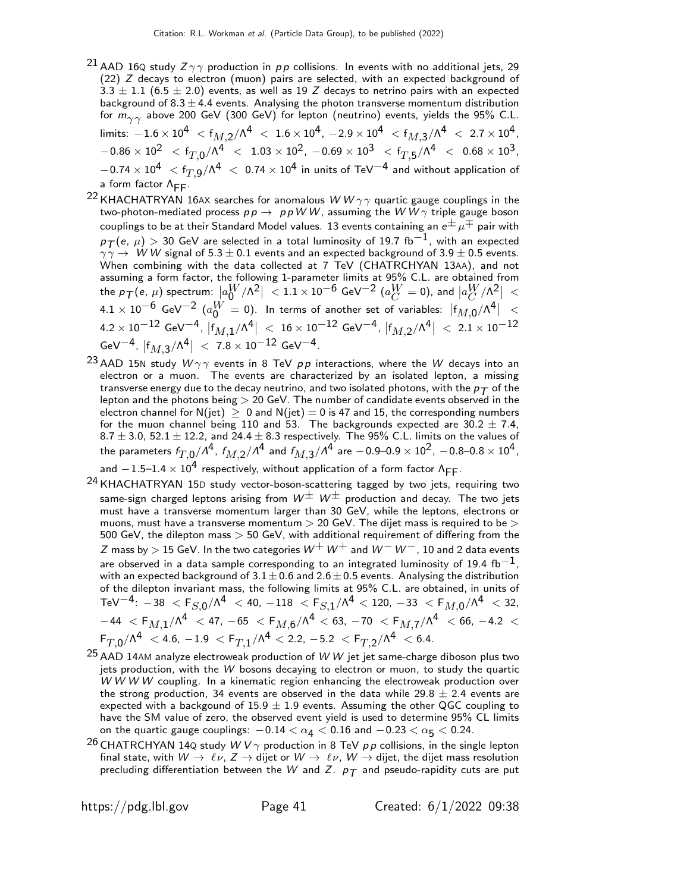- $^{21}$  AAD 16Q study  $Z\gamma\gamma$  production in  $p\,p$  collisions. In events with no additional jets, 29 (22) Z decays to electron (muon) pairs are selected, with an expected background of 3.3  $\pm$  1.1 (6.5  $\pm$  2.0) events, as well as 19 Z decays to netrino pairs with an expected background of  $8.3 \pm 4.4$  events. Analysing the photon transverse momentum distribution for  $m_{\gamma\gamma}$  above 200 GeV (300 GeV) for lepton (neutrino) events, yields the 95% C.L. limits:  $-1.6\times10^4~<$   $f_{M,2}/\Lambda^4~<~1.6\times10^4$  ,  $-2.9\times10^4~<$   $f_{M,3}/\Lambda^4~<~2.7\times10^4$  ,  $- \, - 0.86 \times 10^2 \,\,\, < f_{T,0} / {\Lambda}^4 \,\,\, < \,\, 1.03 \times 10^2 , \,\, - 0.69 \times 10^3 \,\,\, < f_{T,5} / {\Lambda}^4 \,\,\, < \,\, 0.68 \times 10^3 ,$  $-0.74\times10^4~<$   ${\rm f}_{T,9}^{}/\Lambda^4~<~0.74\times10^4$  in units of TeV $^{-4}$  and without application of a form factor Λ<sub>FF</sub>.
- <sup>22</sup> KHACHATRYAN 16AX searches for anomalous  $WW\gamma\gamma$  quartic gauge couplings in the two-photon-mediated process  $p p \rightarrow p p W W$ , assuming the  $W W \gamma$  triple gauge boson couplings to be at their Standard Model values. 13 events containing an  $e^{\pm} \mu^{\mp}$  pair with  $p_{\mathcal{T}}(e, \mu) > 30$  GeV are selected in a total luminosity of 19.7 fb $^{-1}$ , with an expected  $\gamma \gamma \rightarrow W W$  signal of 5.3  $\pm$  0.1 events and an expected background of 3.9  $\pm$  0.5 events. When combining with the data collected at 7 TeV (CHATRCHYAN 13AA), and not assuming a form factor, the following 1-parameter limits at 95% C.L. are obtained from the  $p_{\mathcal{T}}(\epsilon, \, \mu)$  spectrum:  $\big\vert a_0^W/\Lambda^2 \big\vert \ < 1.1 \times 10^{-6}$  GeV $^{-2}$   $(a_C^W=0)$ , and  $\big\vert a_C^W/\Lambda^2 \big\vert \ <$  $4.1 \times 10^{-6}$  GeV $^{-2}$   $(a_0^W = 0)$ . In terms of another set of variables:  $|f_{M,0}/\Lambda^4|$  <  $4.2\times 10^{-12}$  GeV $^{-4}$ ,  $\vert f_{M,1} /\Lambda^4 \vert~ <~ 16\times 10^{-12}$  GeV $^{-4}$ ,  $\vert f_{M,2} /\Lambda^4 \vert~ <~ 2.1\times 10^{-12}$  ${\rm GeV}^{-4}$ ,  $|f_{M,3}/{\Lambda^4}|~<~$  7.8  $\times$   $10^{-12}$   ${\rm GeV}^{-4}$ .
- <sup>23</sup> AAD 15N study  $W\gamma\gamma$  events in 8 TeV  $pp$  interactions, where the W decays into an electron or a muon. The events are characterized by an isolated lepton, a missing transverse energy due to the decay neutrino, and two isolated photons, with the  $p_T$  of the lepton and the photons being > 20 GeV. The number of candidate events observed in the electron channel for N(jet)  $\geq 0$  and N(jet)  $= 0$  is 47 and 15, the corresponding numbers for the muon channel being 110 and 53. The backgrounds expected are  $30.2 \pm 7.4$ ,  $8.7 \pm 3.0$ ,  $52.1 \pm 12.2$ , and  $24.4 \pm 8.3$  respectively. The 95% C.L. limits on the values of the parameters  $f_{T,0}/\Lambda^4$ ,  $f_{M,2}/\Lambda^4$  and  $f_{M,3}/\Lambda^4$  are  $-0.9$ –0.9  $\times$   $10^2$ ,  $-0.8$ –0.8  $\times$   $10^4$ , and  $-1.5-1.4\times10^4$  respectively, without application of a form factor  $\Lambda_{\text{FF}}$ .
- 24 KHACHATRYAN 15<sup>D</sup> study vector-boson-scattering tagged by two jets, requiring two
- same-sign charged leptons arising from  $W^{\pm}$   $W^{\pm}$  production and decay. The two jets must have a transverse momentum larger than 30 GeV, while the leptons, electrons or muons, must have a transverse momentum  $>$  20 GeV. The dijet mass is required to be  $>$ 500 GeV, the dilepton mass  $>$  50 GeV, with additional requirement of differing from the Z mass by  $>$  15 GeV. In the two categories  $W^+ \, W^+$  and  $W^- \, W^-$ , 10 and 2 data events are observed in a data sample corresponding to an integrated luminosity of 19.4 fb<sup>-1</sup>, with an expected background of  $3.1 \pm 0.6$  and  $2.6 \pm 0.5$  events. Analysing the distribution of the dilepton invariant mass, the following limits at 95% C.L. are obtained, in units of  ${\rm TeV}^{-4}\colon -38\ <{\rm F}_{S,0}/{\Lambda^4}\ < 40$ ,  $-118\ <{\rm F}_{S,1}/{\Lambda^4}\ < 120$ ,  $-33\ <{\rm F}_{M,0}/{\Lambda^4}\ < 32$ ,  $-$  44  $\,<\,$   $\sf F_{M,1}/\Lambda^4$   $\,<\,$  47,  $-$  65  $\,<\,$   $\sf F_{M,6}/\Lambda^4$   $\,<\,$  63,  $-$  70  $\,<\,$   $\sf F_{M,7}/\Lambda^4$   $\,<\,$  66,  $-$  4.2  $\,<\,$  $\mathsf{F}_{T, \mathsf{0}}/\mathsf{\Lambda}^{\mathsf{4}} \ < 4.6, \, -1.9 \ < \mathsf{F}_{T, \mathsf{1}}/\mathsf{\Lambda}^{\mathsf{4}} < 2.2, \, -5.2 \ < \mathsf{F}_{T, \mathsf{2}}/\mathsf{\Lambda}^{\mathsf{4}} \ < 6.4.$
- $25$  AAD 14AM analyze electroweak production of W W jet jet same-charge diboson plus two jets production, with the W bosons decaying to electron or muon, to study the quartic W W W W coupling. In a kinematic region enhancing the electroweak production over the strong production, 34 events are observed in the data while 29.8  $\pm$  2.4 events are expected with a backgound of  $15.9 \pm 1.9$  events. Assuming the other QGC coupling to have the SM value of zero, the observed event yield is used to determine 95% CL limits on the quartic gauge couplings:  $-0.14 < \alpha_4 < 0.16$  and  $-0.23 < \alpha_5 < 0.24$ .
- <sup>26</sup> CHATRCHYAN 14Q study  $W V \gamma$  production in 8 TeV pp collisions, in the single lepton final state, with  $W \to \ell \nu$ ,  $Z \to$  dijet or  $W \to \ell \nu$ ,  $W \to$  dijet, the dijet mass resolution precluding differentiation between the W and Z.  $p_T$  and pseudo-rapidity cuts are put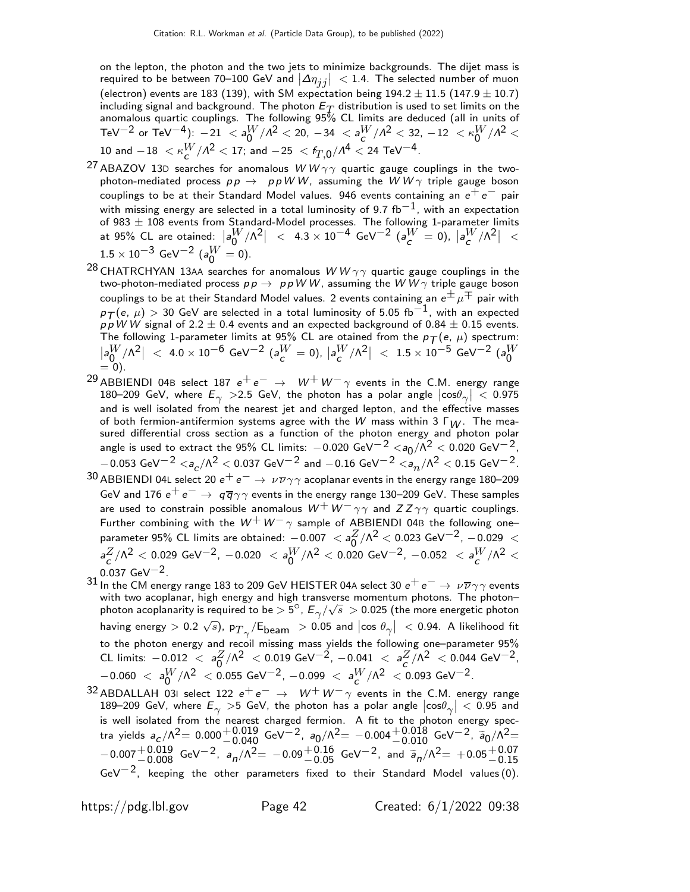on the lepton, the photon and the two jets to minimize backgrounds. The dijet mass is required to be between 70–100 GeV and  $|\Delta \eta_{jj}| < 1.4$ . The selected number of muon (electron) events are 183 (139), with SM expectation being  $194.2 \pm 11.5$  (147.9  $\pm$  10.7) including signal and background. The photon  $E_T$  distribution is used to set limits on the anomalous quartic couplings. The following 95% CL limits are deduced (all in units of TeV $^{-2}$  or TeV $^{-4}$ ):  $-21 <$   $<$  a $_0^W/\Lambda^2$   $<$  20,  $-34 <$  a $_0^W/\Lambda^2$   $<$  32,  $-12 <$   $\kappa_0^W/\Lambda^2$   $<$  $10$  and  $-18$   $< \kappa\frac{W}{c}/\Lambda^2 < 17;$  and  $-25$   $<$   $f_{T,0}^{}/\Lambda^4 < 24$  TeV $^{-4}.$ 

- <sup>27</sup> ABAZOV 13D searches for anomalous  $WW\gamma\gamma$  quartic gauge couplings in the twophoton-mediated process  $p p \rightarrow p p W W$ , assuming the  $W W \gamma$  triple gauge boson couplings to be at their Standard Model values. 946 events containing an  $e^+e^-$  pair with missing energy are selected in a total luminosity of 9.7 fb<sup>-1</sup>, with an expectation of 983  $\pm$  108 events from Standard-Model processes. The following 1-parameter limits at 95% CL are otained:  $\left|a_0^W/\Lambda^2\right|~<~$  4.3  $\times$   $10^{-4}$  GeV $^{-2}$   $\left(a_c^W=0\right),~\left|a_c^W/\Lambda^2\right|~<$  $1.5 \times 10^{-3}$  GeV<sup>-2</sup> ( $a_0^W = 0$ ).
- <sup>28</sup> CHATRCHYAN 13AA searches for anomalous  $WW\gamma\gamma$  quartic gauge couplings in the two-photon-mediated process  $pp \rightarrow ppWW$ , assuming the  $WW\gamma$  triple gauge boson couplings to be at their Standard Model values. 2 events containing an  $e^{\pm} \mu^{\mp}$  pair with  $p_{\mathcal{T}}(\mathit{e},~\mu) > 30$  GeV are selected in a total luminosity of 5.05 fb $^{-1}$ , with an expected  $p \, \dot{p} \, \dot{W} \, \dot{W}$  signal of 2.2  $\pm$  0.4 events and an expected background of 0.84  $\pm$  0.15 events. The following 1-parameter limits at 95% CL are otained from the  $p_{\mathcal{T}}(e, \, \mu)$  spectrum:  $\left|a_0^W/\Lambda^2\right|~<~$  4.0  $\times$   $10^{-6}$  GeV $^{-2}$   $(a_c^W=0)$ ,  $\left|a_c^W/\Lambda^2\right|~<~$   $1.5\times10^{-5}$  GeV $^{-2}$   $(a_0^W$  $= 0$ ).
- <sup>29</sup> ABBIENDI 04B select 187  $e^+e^- \rightarrow W^+W^-\gamma$  events in the C.M. energy range 180–209 GeV, where  $E_{\gamma} > 2.5$  GeV, the photon has a polar angle  $|\cos \theta_{\gamma}| < 0.975$ and is well isolated from the nearest jet and charged lepton, and the effective masses of both fermion-antifermion systems agree with the W mass within 3  $\Gamma_W$ . The measured differential cross section as a function of the photon energy and photon polar angle is used to extract the 95% CL limits:  $-0.020 \text{ GeV}^{-2}$   $\langle a_0/\Lambda^2 \rangle$   $\langle 0.020 \text{ GeV}^{-2} \rangle$  $-$ 0.053 GeV $^{-2}$   $<$ a $_c/\Lambda^2$   $<$  0.037 GeV $^{-2}$  and  $-$  0.16 GeV $^{-2}$   $<$ a $_n/\Lambda^2$   $<$  0.15 GeV $^{-2}$ .
- 30 ABBIENDI 04L select 20  $e^+e^-\rightarrow\nu\overline{\nu}\gamma\gamma$  acoplanar events in the energy range 180–209 GeV and 176  $e^+e^-\rightarrow\, q\overline{q}\gamma\gamma$  events in the energy range 130–209 GeV. These samples are used to constrain possible anomalous  $W^+ \, W^- \, \gamma \, \gamma$  and  $ZZ \, \gamma \, \gamma$  quartic couplings. Further combining with the  $W^+ \, W^- \gamma$  sample of ABBIENDI 04B the following one– parameter 95% CL limits are obtained:  $-0.007 < a_0^Z/\Lambda^2 < 0.023$  GeV $^{-2}$ ,  $-0.029 < a_0^Z/\Lambda^2 < 0.023$  $a_C^Z/\Lambda^2 < 0.029$  GeV $^{-2}$ ,  $-0.020$   $<$   $a_0^W/\Lambda^2 < 0.020$  GeV $^{-2}$ ,  $-0.052$   $<$   $a_C^W/\Lambda^2 <$  $0.037 \text{ GeV}^{-2}$ .
- 31 In the CM energy range 183 to 209 GeV HEISTER 04A select 30  $e^+e^- \rightarrow \nu \overline{\nu} \gamma \gamma$  events with two acoplanar, high energy and high transverse momentum photons. The photonphoton acoplanarity is required to be  $> 5^\circ$ ,  $E_\gamma/\sqrt{s} > 0.025$  (the more energetic photon having energy  $>$  0.2  $\sqrt{s}$ ), p $_{T\gamma}/$ E $_{\rm beam}$   $\;>$  0.05 and  $\left|\cos\,\theta_{\gamma}\right|\;$   $<$  0.94. A likelihood fit to the photon energy and recoil missing mass yields the following one–parameter 95% CL limits:  $-0.012 < a_0^Z/\Lambda^2 < 0.019 \text{ GeV}^{-2}$ ,  $-0.041 < a_C^Z/\Lambda^2 < 0.044 \text{ GeV}^{-2}$ ,  $-0.060 \; < \; a_0^W/\Lambda^2 \; < 0.055 \; {\rm GeV}^{-2}$ ,  $-0.099 \; < \; a_c^W/\Lambda^2 \; < 0.093 \; {\rm GeV}^{-2}$ .
- 32 ABDALLAH 03I select 122  $e^+e^- \rightarrow W^+W^-\gamma$  events in the C.M. energy range 189–209 GeV, where  $E_{\gamma} > 5$  GeV, the photon has a polar angle  $|\cos \theta_{\gamma}| < 0.95$  and is well isolated from the nearest charged fermion. A fit to the photon energy spectra yields  $a_c/\Lambda^2 = 0.000^{+0.019}_{-0.040}$  GeV $^{-2}$ ,  $a_0/\Lambda^2 = -0.004^{+0.018}_{-0.010}$  GeV $^{-2}$ ,  $a_0/\Lambda^2 =$  $-0.007 + 0.019$  GeV<sup>-2</sup>,  $a_n/\Lambda^2$  = -0.09 + 0.16 GeV<sup>-2</sup>, and  $\tilde{a}_n/\Lambda^2$  = +0.05 + 0.07<br>
−0.15  $GeV^{-2}$ , keeping the other parameters fixed to their Standard Model values (0).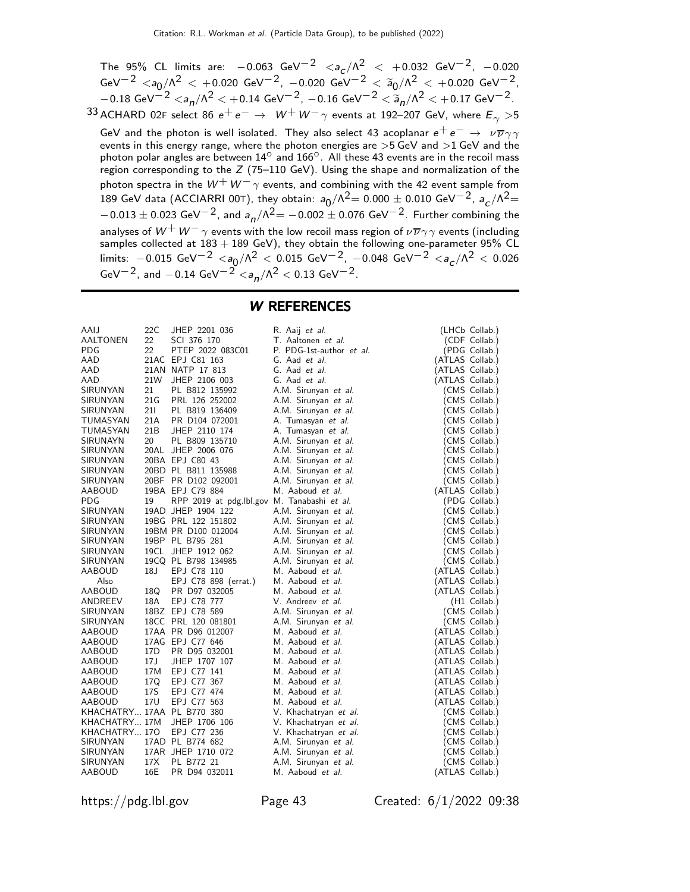The 95% CL limits are:  $-0.063 \text{ GeV}^{-2}$   $\langle a_c/\Lambda^2 \rangle < +0.032 \text{ GeV}^{-2}$ ,  $-0.020$  ${\rm GeV}^{-2}$   $<$   $a_0/\Lambda^2$   $<$   $+0.020$   ${\rm GeV}^{-2}$ ,  $-0.020$   ${\rm GeV}^{-2}$   $<$   $\widetilde a_0/\Lambda^2$   $<$   $+0.020$   ${\rm GeV}^{-2}$ ,  $-0.18 \text{ GeV}^{-2} < a_{n}/\Lambda^{2} < +0.14 \text{ GeV}^{-2}$ ,  $-0.16 \text{ GeV}^{-2} < \widetilde{a}_{n}/\Lambda^{2} < +0.17 \text{ GeV}^{-2}$ . 33 ACHARD 02F select 86  $e^+e^- \rightarrow W^+W^-\gamma$  events at 192–207 GeV, where  $E_\gamma > 5$ GeV and the photon is well isolated. They also select 43 acoplanar  $e^+ \, e^- \to \nu \overline{\nu} \gamma \gamma$  events in this energy range, where the photon energies are >5 GeV and >1 GeV and the photon polar angles are between  $14^{\circ}$  and  $166^{\circ}$ . All these 43 events are in the recoil mass region corresponding to the  $Z$  (75–110 GeV). Using the shape and normalization of the photon spectra in the  $W^+ \, W^- \gamma$  events, and combining with the 42 event sample from 189 GeV data (ACCIARRI 00T), they obtain:  $a_0/\Lambda^2 = 0.000 \pm 0.010$  GeV $^{-2}$ ,  $a_c/\Lambda^2 =$  $-0.013\pm0.023$  GeV $^{-2}$ , and  $a_{\textit{n}}/\Lambda^2{=}-0.002\pm0.076$  GeV $^{-2}$ . Further combining the analyses of  $W^+ \, W^- \gamma$  events with the low recoil mass region of  $\nu \overline{\nu} \gamma \gamma$  events (including samples collected at  $183+189$  GeV), they obtain the following one-parameter 95% CL limits:  $-0.015$  GeV $^{-2}$   $<$ a $_0/\Lambda^2$   $<$   $0.015$  GeV $^{-2}$ ,  $-0.048$  GeV $^{-2}$   $<$ a $_c/\Lambda^2$   $<$   $0.026$ GeV $^{-2}$ , and  $-0.14$  GeV $^{-2}$   $\langle a_n/\Lambda^2 \rangle 0.13$  GeV $^{-2}$ .

W REFERENCES

| AAIJ                       | 22C  | JHEP 2201 036                               | R. Aaij <i>et al.</i>    | (LHCb Collab.)  |
|----------------------------|------|---------------------------------------------|--------------------------|-----------------|
| <b>AALTONEN</b>            | 22   | SCI 376 170                                 | T. Aaltonen et al.       | (CDF Collab.)   |
| <b>PDG</b>                 | 22   | PTEP 2022 083C01                            | P. PDG-1st-author et al. | (PDG Collab.)   |
| AAD                        |      | 21AC EPJ C81 163                            | G. Aad et al.            | (ATLAS Collab.) |
| AAD                        |      | 21AN NATP 17 813                            | G. Aad et al.            | (ATLAS Collab.) |
| AAD                        | 21W  | JHEP 2106 003                               | G. Aad <i>et al.</i>     | (ATLAS Collab.) |
|                            |      |                                             |                          |                 |
| SIRUNYAN                   | 21   | PL B812 135992                              | A.M. Sirunyan et al.     | (CMS Collab.)   |
| SIRUNYAN                   | 21 G | PRL 126 252002                              | A.M. Sirunyan et al.     | (CMS Collab.)   |
| SIRUNYAN                   | 21 I | PL B819 136409                              | A.M. Sirunyan et al.     | (CMS Collab.)   |
| TUMASYAN                   | 21A  | PR D104 072001                              | A. Tumasyan et al.       | (CMS Collab.)   |
| TUMASYAN                   | 21B  | JHEP 2110 174                               | A. Tumasyan et al.       | (CMS Collab.)   |
| SIRUNAYN                   | 20   | PL B809 135710                              | A.M. Sirunyan et al.     | (CMS Collab.)   |
| SIRUNYAN                   | 20AL | JHEP 2006 076                               | A.M. Sirunyan et al.     | (CMS Collab.)   |
| SIRUNYAN                   |      | 20BA EPJ C80 43                             | A.M. Sirunyan et al.     | (CMS Collab.)   |
| SIRUNYAN                   |      | 20BD PL B811 135988                         | A.M. Sirunyan et al.     | (CMS Collab.)   |
| SIRUNYAN                   |      | 20BF PR D102 092001                         | A.M. Sirunyan et al.     | (CMS Collab.)   |
| AABOUD                     |      | 19BA EPJ C79 884                            | M. Aaboud <i>et al.</i>  | (ATLAS Collab.) |
| <b>PDG</b>                 | 19   | RPP 2019 at pdg.lbl.gov M. Tanabashi et al. |                          | (PDG Collab.)   |
| SIRUNYAN                   |      | 19AD JHEP 1904 122                          | A.M. Sirunyan et al.     | (CMS Collab.)   |
| SIRUNYAN                   |      | 19BG PRL 122 151802                         | A.M. Sirunyan et al.     | (CMS Collab.)   |
| SIRUNYAN                   |      | 19BM PR D100 012004                         | A.M. Sirunyan et al.     | (CMS Collab.)   |
| SIRUNYAN                   |      | 19BP PL B795 281                            |                          |                 |
|                            |      |                                             | A.M. Sirunyan et al.     | (CMS Collab.)   |
| SIRUNYAN                   |      | 19CL JHEP 1912 062                          | A.M. Sirunyan et al.     | (CMS Collab.)   |
| SIRUNYAN                   |      | 19CQ PL B798 134985                         | A.M. Sirunyan et al.     | (CMS Collab.)   |
| AABOUD                     | 18 J | EPJ C78 110                                 | M. Aaboud <i>et al.</i>  | (ATLAS Collab.) |
| Also                       |      | EPJ C78 898 (errat.)                        | M. Aaboud et al.         | (ATLAS Collab.) |
| AABOUD                     | 18Q  | PR D97 032005                               | M. Aaboud et al.         | (ATLAS Collab.) |
| ANDREEV                    | 18A  | EPJ C78 777                                 | V. Andreev et al.        | (H1 Collab.)    |
| SIRUNYAN                   |      | 18BZ EPJ C78 589                            | A.M. Sirunyan et al.     | (CMS Collab.)   |
| SIRUNYAN                   |      | 18CC PRL 120 081801                         | A.M. Sirunyan et al.     | (CMS Collab.)   |
| AABOUD                     |      | 17AA PR D96 012007                          | M. Aaboud <i>et al.</i>  | (ATLAS Collab.) |
| AABOUD                     |      | 17AG EPJ C77 646                            | M. Aaboud et al.         | (ATLAS Collab.) |
| AABOUD                     | 17D  | PR D95 032001                               | M. Aaboud et al.         | (ATLAS Collab.) |
| <b>AABOUD</b>              | 17 J | JHEP 1707 107                               | M. Aaboud et al.         | (ATLAS Collab.) |
| AABOUD                     | 17M  | EPJ C77 141                                 | M. Aaboud et al.         | (ATLAS Collab.) |
| AABOUD                     | 17Q  | EPJ C77 367                                 | M. Aaboud <i>et al.</i>  | (ATLAS Collab.) |
| <b>AABOUD</b>              | 17S  | EPJ C77 474                                 | M. Aaboud et al.         | (ATLAS Collab.) |
| AABOUD                     | 17U  | EPJ C77 563                                 | M. Aaboud et al.         |                 |
|                            |      |                                             |                          | (ATLAS Collab.) |
| KHACHATRY 17AA PL B770 380 |      |                                             | V. Khachatryan et al.    | (CMS Collab.)   |
| KHACHATRY 17M              |      | JHEP 1706 106                               | V. Khachatryan et al.    | (CMS Collab.)   |
| KHACHATRY 170              |      | EPJ C77 236                                 | V. Khachatryan et al.    | (CMS Collab.)   |
| SIRUNYAN                   |      | 17AD PL B774 682                            | A.M. Sirunyan et al.     | (CMS Collab.)   |
| SIRUNYAN                   |      | 17AR JHEP 1710 072                          | A.M. Sirunyan et al.     | (CMS Collab.)   |
| SIRUNYAN                   | 17X  | PL B772 21                                  | A.M. Sirunyan et al.     | (CMS Collab.)   |
| <b>AABOUD</b>              | 16E  | PR D94 032011                               | M. Aaboud <i>et al.</i>  | (ATLAS Collab.) |

https://pdg.lbl.gov Page 43 Created: 6/1/2022 09:38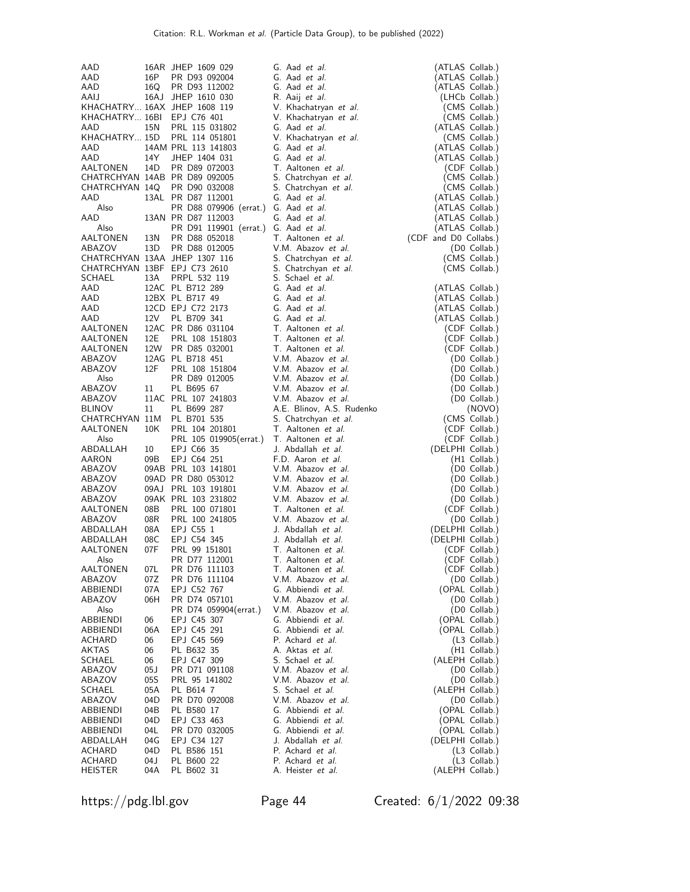|                            |      |                                                                                                                                                                                       | G. Aad et al.                                          | (ATLAS Collab.)       |
|----------------------------|------|---------------------------------------------------------------------------------------------------------------------------------------------------------------------------------------|--------------------------------------------------------|-----------------------|
| AAD                        |      | 16AR JHEP 1609 029                                                                                                                                                                    |                                                        |                       |
| AAD                        | 16P  | PR D93 092004                                                                                                                                                                         | G. Aad <i>et al.</i>                                   | (ATLAS Collab.)       |
| AAD                        |      | 16Q PR D93 112002                                                                                                                                                                     | G. Aad et al.                                          | (ATLAS Collab.)       |
| AAIJ                       |      | 16AJ JHEP 1610 030                                                                                                                                                                    | R. Aaij <i>et al.</i>                                  | (LHCb Collab.)        |
|                            |      | KHACHATRY 16AX JHEP 1608 119                                                                                                                                                          | V. Khachatryan et al.                                  | (CMS Collab.)         |
| KHACHATRY 16BI EPJ C76 401 |      |                                                                                                                                                                                       | V. Khachatryan et al.                                  | (CMS Collab.)         |
| AAD                        |      | 15N PRL 115 031802                                                                                                                                                                    | G. Aad et al.                                          | (ATLAS Collab.)       |
|                            |      | KHACHATRY 15D PRL 114 051801                                                                                                                                                          |                                                        |                       |
|                            |      |                                                                                                                                                                                       | V. Khachatryan et al.                                  | (CMS Collab.)         |
| AAD                        |      | 14AM PRL 113 141803                                                                                                                                                                   | G. Aad et al.                                          | (ATLAS Collab.)       |
| AAD                        | 14Y  | JHEP 1404 031                                                                                                                                                                         | G. Aad et al.                                          | (ATLAS Collab.)       |
| AALTONEN                   |      | 14D PR D89 072003                                                                                                                                                                     | T. Aaltonen et al.                                     | (CDF Collab.)         |
|                            |      | CHATRCHYAN 14AB PR D89 092005                                                                                                                                                         | S. Chatrchyan et al.                                   | (CMS Collab.)         |
|                            |      | CHATRCHYAN 14Q PR D90 032008                                                                                                                                                          | S. Chatrchyan et al.                                   | (CMS Collab.)         |
| AAD                        |      | 13AL PR D87 112001                                                                                                                                                                    | G. Aad et al.                                          | (ATLAS Collab.)       |
| Also                       |      |                                                                                                                                                                                       |                                                        |                       |
|                            |      | PR D88 079906 (errat.) G. Aad et al.                                                                                                                                                  |                                                        | (ATLAS Collab.)       |
| AAD                        |      | 13AN PR D87 112003                                                                                                                                                                    | G. Aad et al.                                          | (ATLAS Collab.)       |
| Also                       |      | PR D91 119901 (errat.) G. Aad et al.                                                                                                                                                  |                                                        | (ATLAS Collab.)       |
| AALTONEN                   | 13N  | PR D88 052018                                                                                                                                                                         | T. Aaltonen et al.                                     | (CDF and D0 Collabs.) |
| ABAZOV                     | 13D  | PR D88 012005                                                                                                                                                                         | V.M. Abazov et al.                                     | (D0 Collab.)          |
|                            |      | CHATRCHYAN 13AA JHEP 1307 116                                                                                                                                                         | S. Chatrchyan et al.                                   | (CMS Collab.)         |
|                            |      | CHATRCHYAN 13BF EPJ C73 2610                                                                                                                                                          | S. Chatrchyan et al.                                   | (CMS Collab.)         |
| SCHAEL                     | 13A  | PRPL 532 119                                                                                                                                                                          | S. Schael et al.                                       |                       |
|                            |      |                                                                                                                                                                                       | G. Aad et al.                                          |                       |
|                            |      |                                                                                                                                                                                       |                                                        | (ATLAS Collab.)       |
|                            |      |                                                                                                                                                                                       | G. Aad et al.                                          | (ATLAS Collab.)       |
|                            |      |                                                                                                                                                                                       | $\overline{G}$ . Aad <i>et al.</i>                     | (ATLAS Collab.)       |
|                            |      |                                                                                                                                                                                       | G. Aad et al.                                          | (ATLAS Collab.)       |
|                            |      |                                                                                                                                                                                       | T. Aaltonen et al.                                     | (CDF Collab.)         |
|                            |      |                                                                                                                                                                                       | T. Aaltonen et al.                                     | (CDF Collab.)         |
|                            |      |                                                                                                                                                                                       | T. Aaltonen et al.                                     | (CDF Collab.)         |
|                            |      | AAD 12BX PL B717 49<br>AAD 12CD EPJ C72 2173<br>AAD 12CD EPJ C72 2173<br>AALTONEN 12AC PR D86 031104<br>AALTONEN 12E PRL 108 151803<br>AALTONEN 12W PR D85 032001<br>12AG PL B718 451 | V.M. Abazov et al.                                     | (D0 Collab.)          |
|                            | 12F  |                                                                                                                                                                                       | V.M. Abazov et al.                                     |                       |
| ABAZOV                     |      | PRL 108 151804                                                                                                                                                                        |                                                        | (D0 Collab.)          |
| Also                       |      | PR D89 012005                                                                                                                                                                         | V.M. Abazov <i>et al.</i><br>V.M. Abazov <i>et al.</i> | (D0 Collab.)          |
| ABAZOV                     | 11   | PL B695 67                                                                                                                                                                            |                                                        | (D0 Collab.)          |
| ABAZOV                     |      | 11AC PRL 107 241803                                                                                                                                                                   | V.M. Abazov et al.                                     | $($ D0 Collab. $)$    |
| BLINOV                     | 11   | PL B699 287                                                                                                                                                                           | A.E. Blinov, A.S. Rudenko                              | (NOVO)                |
| CHATRCHYAN 11M PL B701 535 |      |                                                                                                                                                                                       | S. Chatrchyan et al.                                   | (CMS Collab.)         |
| AALTONEN                   | 10K  | PRL 104 201801                                                                                                                                                                        | T. Aaltonen et al.                                     | (CDF Collab.)         |
| Also                       |      | PRL 105 019905(errat.) T. Aaltonen et al.                                                                                                                                             |                                                        | (CDF Collab.)         |
| ABDALLAH                   | 10   | EPJ C66 35                                                                                                                                                                            | J. Abdallah et al.                                     | (DELPHI Collab.)      |
|                            |      |                                                                                                                                                                                       |                                                        |                       |
| AARON                      | 09B  | EPJ C64 251                                                                                                                                                                           | F.D. Aaron et al.                                      | $(H1$ Collab.)        |
| ABAZOV                     |      | 09AB PRL 103 141801                                                                                                                                                                   | V.M. Abazov et al.                                     | (D0 Collab.)          |
| ABAZOV                     |      | 09AD PR D80 053012                                                                                                                                                                    | V.M. Abazov et al.                                     | (D0 Collab.)          |
| ABAZOV                     |      | 09AJ PRL 103 191801                                                                                                                                                                   | V.M. Abazov et al.                                     | (D0 Collab.)          |
| ABAZOV                     |      | 09AK PRL 103 231802                                                                                                                                                                   | V.M. Abazov et al.                                     | (D0 Collab.)          |
| AALTONEN                   | 08B  | PRL 100 071801                                                                                                                                                                        | T. Aaltonen et al.                                     | (CDF Collab.)         |
| ABAZOV                     |      | 08R PRL 100 241805                                                                                                                                                                    | V.M. Abazov et al.                                     | (D0 Collab.)          |
| ABDALLAH                   | 08A  | EPJ C55 1                                                                                                                                                                             | J. Abdallah et al.                                     | (DELPHI Collab.)      |
| ABDALLAH                   | 08C  | EPJ C54 345                                                                                                                                                                           | J. Abdallah et al.                                     | (DELPHI Collab.)      |
|                            |      |                                                                                                                                                                                       |                                                        |                       |
| AALTONEN                   | 07F  | PRL 99 151801                                                                                                                                                                         | T. Aaltonen et al.                                     | (CDF Collab.)         |
| Also                       |      | PR D77 112001                                                                                                                                                                         | T. Aaltonen et al.                                     | (CDF Collab.)         |
| AALTONEN                   | 07L  | PR D76 111103                                                                                                                                                                         | T. Aaltonen <i>et al.</i>                              | (CDF Collab.)         |
| ABAZOV                     | 07Z  | PR D76 111104                                                                                                                                                                         | V.M. Abazov et al.                                     | (D0 Collab.)          |
| ABBIENDI                   | 07A  | EPJ C52 767                                                                                                                                                                           | G. Abbiendi et al.                                     | (OPAL Collab.)        |
| ABAZOV                     | 06H  | PR D74 057101                                                                                                                                                                         | V.M. Abazov et al.                                     | (D0 Collab.)          |
| Also                       |      | PR D74 059904(errat.)                                                                                                                                                                 | V.M. Abazov et al.                                     | (D0 Collab.)          |
|                            | 06   |                                                                                                                                                                                       | G. Abbiendi et al.                                     | (OPAL Collab.)        |
| ABBIENDI                   |      | EPJ C45 307                                                                                                                                                                           |                                                        |                       |
| ABBIENDI                   | 06A  | EPJ C45 291                                                                                                                                                                           | G. Abbiendi et al.                                     | (OPAL Collab.)        |
| ACHARD                     | 06   | EPJ C45 569                                                                                                                                                                           | P. Achard et al.                                       | (L3 Collab.)          |
| AKTAS                      | 06   | PL B632 35                                                                                                                                                                            | A. Aktas et al.                                        | (H1 Collab.)          |
| SCHAEL                     | 06   | EPJ C47 309                                                                                                                                                                           | S. Schael <i>et al.</i>                                | (ALEPH Collab.)       |
| ABAZOV                     | 05 J | PR D71 091108                                                                                                                                                                         | V.M. Abazov et al.                                     | $(D0$ Collab.)        |
| ABAZOV                     | 05S  | PRL 95 141802                                                                                                                                                                         | V.M. Abazov et al.                                     | (D0 Collab.)          |
| SCHAEL                     | 05A  | PL B614 7                                                                                                                                                                             | S. Schael et al.                                       | (ALEPH Collab.)       |
| ABAZOV                     | 04D  |                                                                                                                                                                                       | V.M. Abazov et al.                                     | (D0 Collab.)          |
|                            |      | PR D70 092008                                                                                                                                                                         |                                                        |                       |
| ABBIENDI                   | 04B  | PL B580 17                                                                                                                                                                            | G. Abbiendi et al.                                     | (OPAL Collab.)        |
| ABBIENDI                   | 04D  | EPJ C33 463                                                                                                                                                                           | G. Abbiendi et al.                                     | (OPAL Collab.)        |
| ABBIENDI                   | 04L  | PR D70 032005                                                                                                                                                                         | G. Abbiendi et al.                                     | (OPAL Collab.)        |
| ABDALLAH                   | 04G  | EPJ C34 127                                                                                                                                                                           | J. Abdallah et al.                                     | (DELPHI Collab.)      |
| ACHARD                     | 04D  | PL B586 151                                                                                                                                                                           | P. Achard et al.                                       | (L3 Collab.)          |
| ACHARD                     | 04 J | PL B600 22                                                                                                                                                                            | P. Achard et al.                                       | $(L3$ Collab.)        |
| HEISTER                    | 04A  | PL B602 31                                                                                                                                                                            | A. Heister et al.                                      | (ALEPH Collab.)       |
|                            |      |                                                                                                                                                                                       |                                                        |                       |

https://pdg.lbl.gov Page 44 Created: 6/1/2022 09:38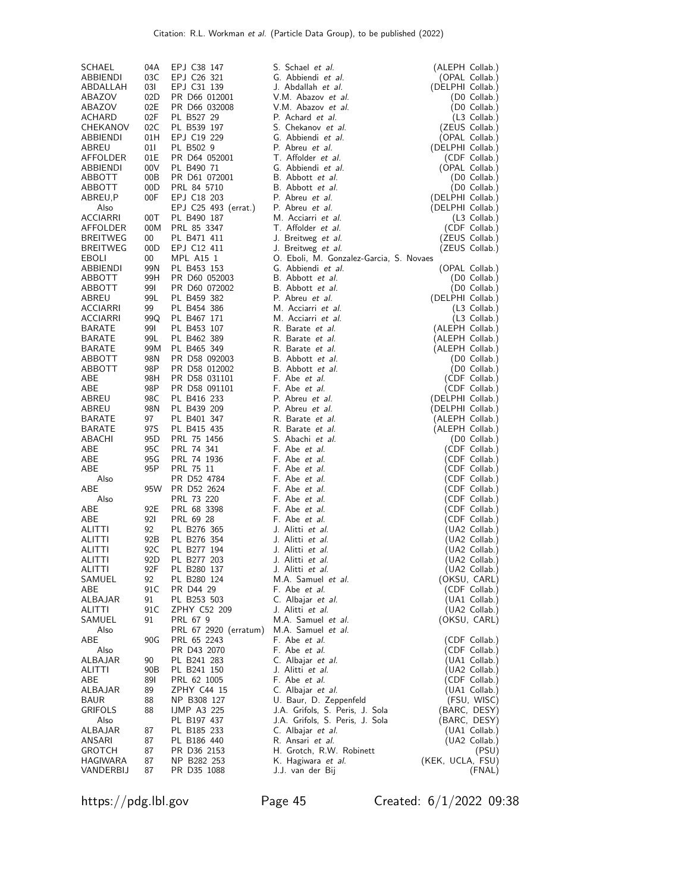| SCHAEL            | 04A         | EPJ C38 147                    | S. Schael et al.                                              | (ALEPH Collab.)                   |
|-------------------|-------------|--------------------------------|---------------------------------------------------------------|-----------------------------------|
| ABBIENDI          | 03C         | EPJ C26 321                    | G. Abbiendi et al.                                            | (OPAL Collab.)                    |
| ABDALLAH          | 031         | EPJ C31 139                    | J. Abdallah et al.                                            | (DELPHI Collab.)                  |
| ABAZOV            | 02D         | PR D66 012001                  | V.M. Abazov et al.                                            | (D0 Collab.)                      |
| ABAZOV            | 02E         | PR D66 032008                  | V.M. Abazov et al.                                            | (D0 Collab.)                      |
| ACHARD            | 02F         | PL B527 29                     | P. Achard et al.                                              | $(L3$ Collab.)                    |
| CHEKANOV          | 02C         | PL B539 197                    | S. Chekanov et al.                                            | (ZEUS Collab.)                    |
| ABBIENDI          | 01H         | EPJ C19 229                    | G. Abbiendi et al.<br>P. Abreu et al.                         | (OPAL Collab.)                    |
| ABREU<br>AFFOLDER | 01 I<br>01E | PL B502 9<br>PR D64 052001     | T. Affolder et al.                                            | (DELPHI Collab.)<br>(CDF Collab.) |
| ABBIENDI          | 00V         | PL B490 71                     | G. Abbiendi et al.                                            | (OPAL Collab.)                    |
| ABBOTT            | 00B         | PR D61 072001                  | B. Abbott et al.                                              | (D0 Collab.)                      |
| ABBOTT            | 00D         | PRL 84 5710                    | B. Abbott et al.                                              | (D0 Collab.)                      |
| ABREU,P           | 00F         | EPJ C18 203                    | P. Abreu et al.                                               | (DELPHI Collab.)                  |
| Also              |             | EPJ C25 493 (errat.)           | P. Abreu et al.                                               | (DELPHI Collab.)                  |
| <b>ACCIARRI</b>   | 00T         | PL B490 187                    | M. Acciarri et al.                                            | $(L3$ Collab.)                    |
| AFFOLDER          | 00M         | PRL 85 3347                    | T. Affolder et al.                                            | (CDF Collab.)                     |
| <b>BREITWEG</b>   | 00          | PL B471 411                    | J. Breitweg et al.                                            | (ZEUS Collab.)                    |
| <b>BREITWEG</b>   | 00D         | EPJ C12 411                    | J. Breitweg et al.                                            | (ZEUS Collab.)                    |
| EBOLI<br>ABBIENDI | 00<br>99N   | MPL A15 1<br>PL B453 153       | O. Eboli, M. Gonzalez-Garcia, S. Novaes<br>G. Abbiendi et al. | (OPAL Collab.)                    |
| ABBOTT            | 99H         | PR D60 052003                  | B. Abbott et al.                                              | (D0 Collab.)                      |
| ABBOTT            | 991         | PR D60 072002                  | B. Abbott et al.                                              | (D0 Collab.)                      |
| ABREU             | 99L         | PL B459 382                    | P. Abreu et al.                                               | (DELPHI Collab.)                  |
| <b>ACCIARRI</b>   | 99          | PL B454 386                    | M. Acciarri et al.                                            | (L3 Collab.)                      |
| <b>ACCIARRI</b>   | 99Q         | PL B467 171                    | M. Acciarri et al.                                            | $(L3$ Collab.)                    |
| BARATE            | 991         | PL B453 107                    | R. Barate et al.                                              | (ALEPH Collab.)                   |
| <b>BARATE</b>     | 99L         | PL B462 389                    | R. Barate et al.                                              | (ALEPH Collab.)                   |
| BARATE            | 99M         | PL B465 349                    | R. Barate et al.                                              | (ALEPH Collab.)                   |
| ABBOTT            | 98N         | PR D58 092003                  | B. Abbott et al.                                              | (D0 Collab.)                      |
| ABBOTT            | 98P         | PR D58 012002<br>PR D58 031101 | B. Abbott et al.<br>F. Abe et al.                             | (D0 Collab.)                      |
| ABE<br>ABE        | 98H<br>98P  | PR D58 091101                  | F. Abe et al.                                                 | (CDF Collab.)<br>(CDF Collab.)    |
| ABREU             | 98C         | PL B416 233                    | P. Abreu et al.                                               | (DELPHI Collab.)                  |
| ABREU             | 98N         | PL B439 209                    | P. Abreu et al.                                               | (DELPHI Collab.)                  |
| <b>BARATE</b>     | 97          | PL B401 347                    | R. Barate et al.                                              | (ALEPH Collab.)                   |
| <b>BARATE</b>     | 97S         | PL B415 435                    | R. Barate et al.                                              | (ALEPH Collab.)                   |
| ABACHI            | 95D         | PRL 75 1456                    | S. Abachi et al.                                              | $(D0$ Collab.)                    |
| ABE               | 95C         | PRL 74 341                     | F. Abe et al.                                                 | (CDF Collab.)                     |
| ABE               | 95 G        | PRL 74 1936                    | F. Abe et al.                                                 | (CDF Collab.)                     |
| ABE               | 95P         | PRL 75 11                      | F. Abe et al.                                                 | (CDF Collab.)                     |
| Also<br>ABE       | 95W         | PR D52 4784<br>PR D52 2624     | F. Abe et al.<br>F. Abe <i>et al.</i>                         | (CDF Collab.)<br>CDF Collab.)     |
| Also              |             | PRL 73 220                     | F. Abe et al.                                                 | (CDF Collab.)                     |
| ABE               | 92E         | PRL 68 3398                    | F. Abe et al.                                                 | (CDF Collab.)                     |
| ABE               | 92I         | PRL 69 28                      | F. Abe et al.                                                 | (CDF Collab.)                     |
| ALITTI            | 92          | PL B276 365                    | J. Alitti <i>et al.</i>                                       | (UA2 Collab.)                     |
| ALITTI            | 92B         | PL B276 354                    | J. Alitti et al.                                              | (UA2 Collab.)                     |
| ALITTI            | 92C         | PL B277 194                    | J. Alitti et al.                                              | (UA2 Collab.)                     |
| ALITTI            | 92D         | PL B277 203                    | J. Alitti et al.                                              | (UA2 Collab.)                     |
| ALITTI            | 92F         | PL B280 137                    | J. Alitti <i>et al.</i>                                       | (UA2 Collab.)                     |
| SAMUEL<br>ABE     | 92<br>91 C  | PL B280 124<br>PR D44 29       | M.A. Samuel et al.<br>F. Abe et al.                           | (OKSU, CARL)<br>(CDF Collab.)     |
| ALBAJAR           | 91          | PL B253 503                    | C. Albajar et al.                                             | (UA1 Collab.)                     |
| ALITTI            | 91C         | ZPHY C52 209                   | J. Alitti <i>et al.</i>                                       | (UA2 Collab.)                     |
| SAMUEL            | 91          | PRL 67 9                       | M.A. Samuel et al.                                            | (OKSU, CARL)                      |
| Also              |             | PRL 67 2920 (erratum)          | M.A. Samuel et al.                                            |                                   |
| ABE               | 90G         | PRL 65 2243                    | F. Abe <i>et al.</i>                                          | (CDF Collab.)                     |
| Also              |             | PR D43 2070                    | F. Abe et al.                                                 | (CDF Collab.)                     |
| ALBAJAR           | 90          | PL B241 283                    | C. Albajar et al.                                             | (UA1 Collab.)                     |
| ALITTI            | 90B         | PL B241 150                    | J. Alitti <i>et al.</i>                                       | (UA2 Collab.)                     |
| ABE<br>ALBAJAR    | 891<br>89   | PRL 62 1005<br>ZPHY C44 15     | F. Abe et al.<br>C. Albajar et al.                            | (CDF Collab.)<br>(UA1 Collab.)    |
| <b>BAUR</b>       | 88          | NP B308 127                    | U. Baur, D. Zeppenfeld                                        | (FSU, WISC)                       |
| <b>GRIFOLS</b>    | 88          | <b>IJMP A3 225</b>             | J.A. Grifols, S. Peris, J. Sola                               | (BARC, DESY)                      |
| Also              |             | PL B197 437                    | J.A. Grifols, S. Peris, J. Sola                               | (BARC, DESY)                      |
| ALBAJAR           | 87          | PL B185 233                    | C. Albajar et al.                                             | (UA1 Collab.)                     |
| ANSARI            | 87          | PL B186 440                    | R. Ansari et al.                                              | (UA2 Collab.)                     |
| <b>GROTCH</b>     | 87          | PR D36 2153                    | H. Grotch, R.W. Robinett                                      | (PSU)                             |
| HAGIWARA          | 87          | NP B282 253                    | K. Hagiwara et al.                                            | (KEK, UCLA, FSU)                  |
| VANDERBIJ         | 87          | PR D35 1088                    | J.J. van der Bij                                              | (FNAL)                            |

https://pdg.lbl.gov Page 45 Created: 6/1/2022 09:38